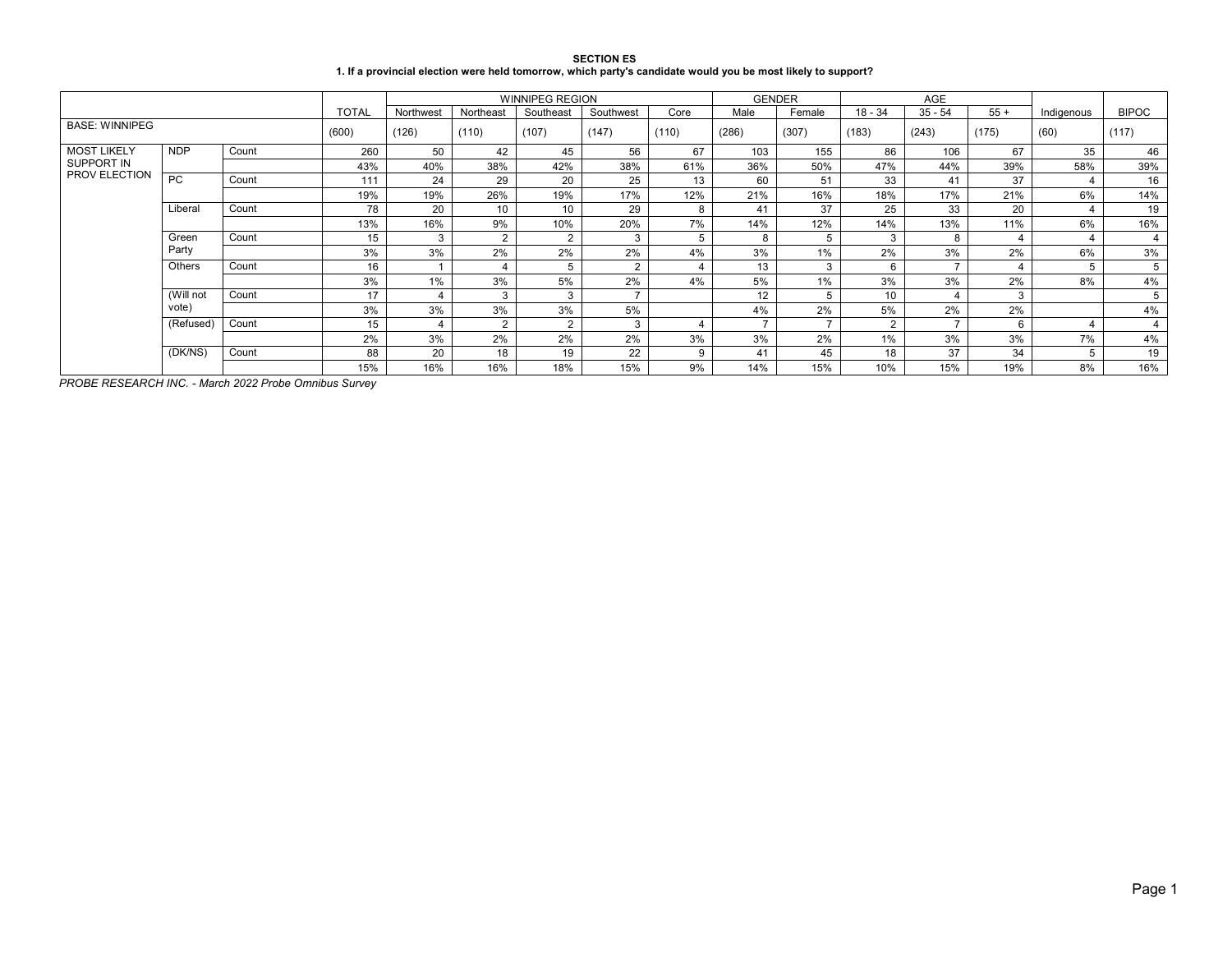| <b>SECTION ES</b>                                                                                            |
|--------------------------------------------------------------------------------------------------------------|
| 1. If a provincial election were held tomorrow, which party's candidate would you be most likely to support? |

|                       |            |       |              |           |                | <b>WINNIPEG REGION</b> |           |                |                   | <b>GENDER</b>  |                | <b>AGE</b> |       |            |                |
|-----------------------|------------|-------|--------------|-----------|----------------|------------------------|-----------|----------------|-------------------|----------------|----------------|------------|-------|------------|----------------|
|                       |            |       | <b>TOTAL</b> | Northwest | Northeast      | Southeast              | Southwest | Core           | Male              | Female         | $18 - 34$      | $35 - 54$  | $55+$ | Indigenous | <b>BIPOC</b>   |
| <b>BASE: WINNIPEG</b> |            |       | (600)        | (126)     | (110)          | (107)                  | (147)     | (110)          | (286)             | (307)          | (183)          | (243)      | (175) | (60)       | (117)          |
| <b>MOST LIKELY</b>    | <b>NDP</b> | Count | 260          | 50        | 42             | 45                     | 56        | 67             | 103               | 155            | 86             | 106        | 67    | 35         | 46             |
| SUPPORT IN            |            |       | 43%          | 40%       | 38%            | 42%                    | 38%       | 61%            | 36%               | 50%            | 47%            | 44%        | 39%   | 58%        | 39%            |
| <b>PROV ELECTION</b>  | <b>PC</b>  | Count | 111          | 24        | 29             | 20                     | 25        | 13             | 60                | 51             | 33             | 41         | 37    |            | 16             |
|                       |            |       | 19%          | 19%       | 26%            | 19%                    | 17%       | 12%            | 21%               | 16%            | 18%            | 17%        | 21%   | 6%         | 14%            |
|                       | Liberal    | Count | 78           | 20        | 10             | 10                     | 29        | 8              | 41                | 37             | 25             | 33         | 20    | 4          | 19             |
|                       |            |       | 13%          | 16%       | 9%             | 10%                    | 20%       | 7%             | 14%               | 12%            | 14%            | 13%        | 11%   | 6%         | 16%            |
|                       | Green      | Count | 15           | 3         | $\overline{2}$ | $\overline{2}$         | 3         | 5              | 8                 | 5              | 3              | 8          | 4     | 4          | $\overline{4}$ |
|                       | Party      |       | 3%           | 3%        | 2%             | 2%                     | 2%        | 4%             | 3%                | 1%             | 2%             | 3%         | 2%    | 6%         | 3%             |
|                       | Others     | Count | 16           |           | 4              | 5                      | ົ         | 4              | 13                | 3              | 6              |            |       |            | 5              |
|                       |            |       | 3%           | 1%        | 3%             | 5%                     | 2%        | 4%             | 5%                | 1%             | 3%             | 3%         | 2%    | 8%         | 4%             |
|                       | (Will not  | Count | 17           |           | 3              | 3                      |           |                | $12 \overline{ }$ | 5              | 10             |            | 3     |            | 5              |
|                       | vote)      |       | 3%           | 3%        | 3%             | 3%                     | 5%        |                | 4%                | 2%             | 5%             | 2%         | 2%    |            | 4%             |
|                       | (Refused)  | Count | 15           |           | $\overline{2}$ | $\overline{2}$         | 3         | $\overline{4}$ |                   | $\overline{ }$ | $\overline{2}$ |            | 6     |            | $\overline{4}$ |
|                       |            |       | 2%           | 3%        | 2%             | 2%                     | 2%        | 3%             | 3%                | 2%             | $1\%$          | 3%         | 3%    | 7%         | 4%             |
|                       | (DK/NS)    | Count | 88           | 20        | 18             | 19                     | 22        | 9              | 41                | 45             | 18             | 37         | 34    |            | 19             |
|                       |            |       | 15%          | 16%       | 16%            | 18%                    | 15%       | 9%             | 14%               | 15%            | 10%            | 15%        | 19%   | 8%         | 16%            |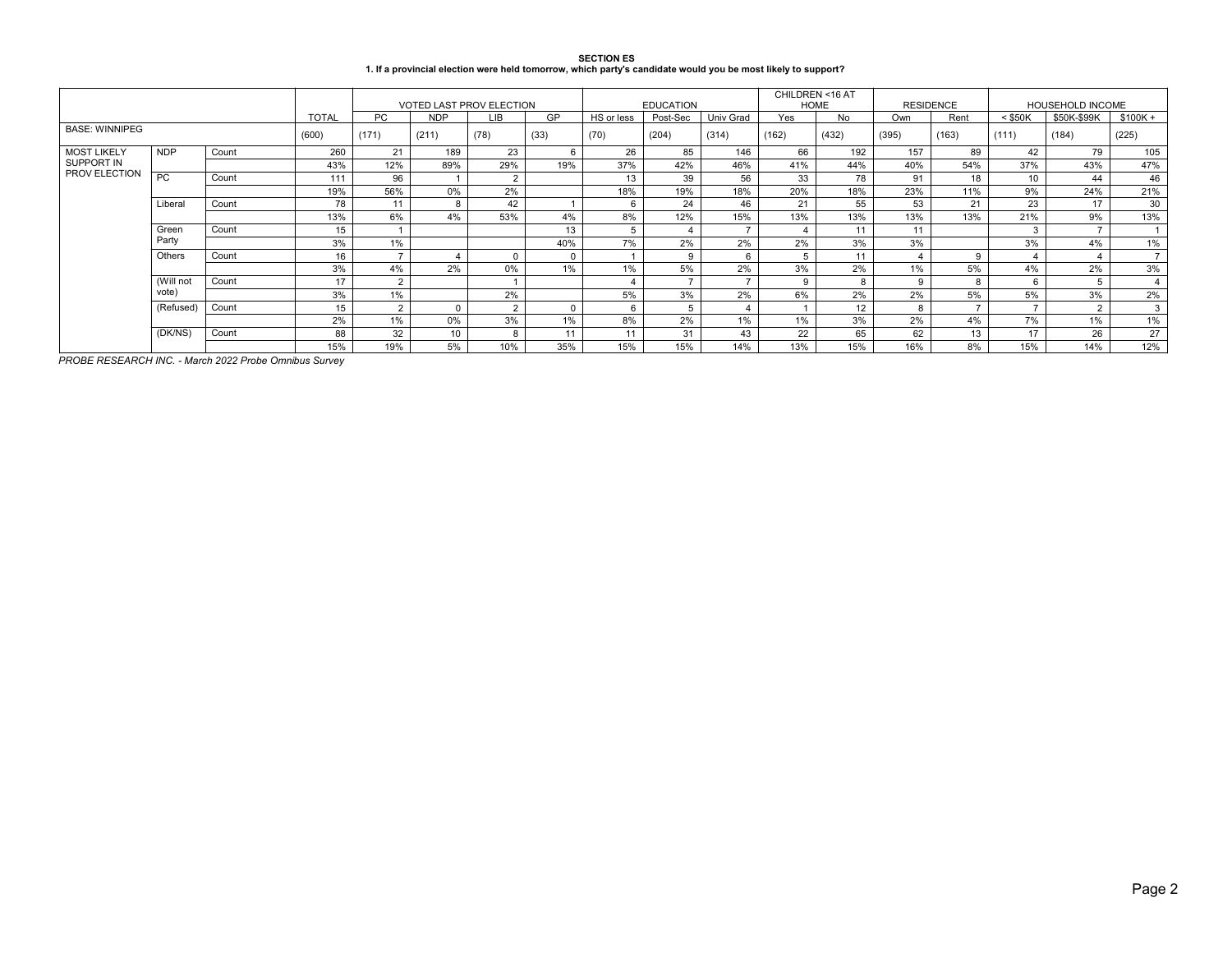| <b>SECTION ES</b>                                                                                            |
|--------------------------------------------------------------------------------------------------------------|
| 1. If a provincial election were held tomorrow, which party's candidate would you be most likely to support? |

|                             |            |       |              |                | <b>VOTED LAST PROV ELECTION</b> |            |          |            | <b>EDUCATION</b> |                | CHILDREN <16 AT<br><b>HOME</b> |       | <b>RESIDENCE</b> |               | <b>HOUSEHOLD INCOME</b> |                |                |
|-----------------------------|------------|-------|--------------|----------------|---------------------------------|------------|----------|------------|------------------|----------------|--------------------------------|-------|------------------|---------------|-------------------------|----------------|----------------|
|                             |            |       | <b>TOTAL</b> | <b>PC</b>      | <b>NDP</b>                      | <b>LIB</b> | GP       | HS or less | Post-Sec         | Univ Grad      | Yes                            | No    | Own              | Rent          | $<$ \$50K               | \$50K-\$99K    | $$100K +$      |
| <b>BASE: WINNIPEG</b>       |            |       | (600)        | (171)          | (211)                           | (78)       | (33)     | (70)       | (204)            | (314)          | (162)                          | (432) | (395)            | (163)         | (111)                   | (184)          | (225)          |
| <b>MOST LIKELY</b>          | <b>NDP</b> | Count | 260          | 21             | 189                             | 23         | 6        | 26         | 85               | 146            | 66                             | 192   | 157              | 89            | 42                      | 79             | 105            |
| SUPPORT IN<br>PROV ELECTION |            |       | 43%          | 12%            | 89%                             | 29%        | 19%      | 37%        | 42%              | 46%            | 41%                            | 44%   | 40%              | 54%           | 37%                     | 43%            | 47%            |
|                             | PC.        | Count | 111          | 96             |                                 | 2          |          | 13         | 39               | 56             | 33                             | 78    | 91               | 18            | 10 <sup>1</sup>         | 44             | 46             |
|                             |            |       | 19%          | 56%            | 0%                              | 2%         |          | 18%        | 19%              | 18%            | 20%                            | 18%   | 23%              | 11%           | 9%                      | 24%            | 21%            |
|                             | Liberal    | Count | 78           | 11             | 8                               | 42         |          |            | 24               | 46             | 21                             | 55    | 53               | 21            | 23                      | 17             | 30             |
|                             |            |       | 13%          | 6%             | 4%                              | 53%        | 4%       | 8%         | 12%              | 15%            | 13%                            | 13%   | 13%              | 13%           | 21%                     | 9%             | 13%            |
|                             | Green      | Count | 15           |                |                                 |            | 13       |            |                  |                | 4                              | 11    | 11               |               | 3                       | $\overline{ }$ |                |
|                             | Party      |       | 3%           | 1%             |                                 |            | 40%      | 7%         | 2%               | 2%             | 2%                             | 3%    | 3%               |               | 3%                      | 4%             | 1%             |
|                             | Others     | Count | 16           |                |                                 | $\Omega$   | $\Omega$ |            | <sub>9</sub>     | 6              | 5                              | 11    | 4                | 9             |                         |                | $\overline{7}$ |
|                             |            |       | 3%           | 4%             | 2%                              | 0%         | 1%       | 1%         | 5%               | 2%             | 3%                             | 2%    | 1%               | 5%            | 4%                      | 2%             | 3%             |
|                             | (Will not  | Count | 17           | $\overline{2}$ |                                 |            |          |            |                  |                | 9                              | 8     | 9                | 8             | 6                       | 5              | $\overline{4}$ |
|                             | vote)      |       | 3%           | 1%             |                                 | 2%         |          | 5%         | 3%               | 2%             | 6%                             | 2%    | 2%               | 5%            | 5%                      | 3%             | 2%             |
|                             | (Refused)  | Count | 15           | $\overline{2}$ | $\Omega$                        | 2          | $\Omega$ | 6          |                  | $\overline{4}$ |                                | 12    | 8                | $\rightarrow$ |                         | 2              | 3              |
|                             |            |       | 2%           | 1%             | $0\%$                           | 3%         | 1%       | 8%         | 2%               | 1%             | 1%                             | 3%    | 2%               | 4%            | 7%                      | 1%             | 1%             |
|                             | (DK/NS)    | Count | 88           | 32             | 10 <sup>°</sup>                 | 8          | 11       | 11         | 31               | 43             | 22                             | 65    | 62               | 13            | 17                      | 26             | 27             |
|                             |            |       | 15%          | 19%            | 5%                              | 10%        | 35%      | 15%        | 15%              | 14%            | 13%                            | 15%   | 16%              | 8%            | 15%                     | 14%            | 12%            |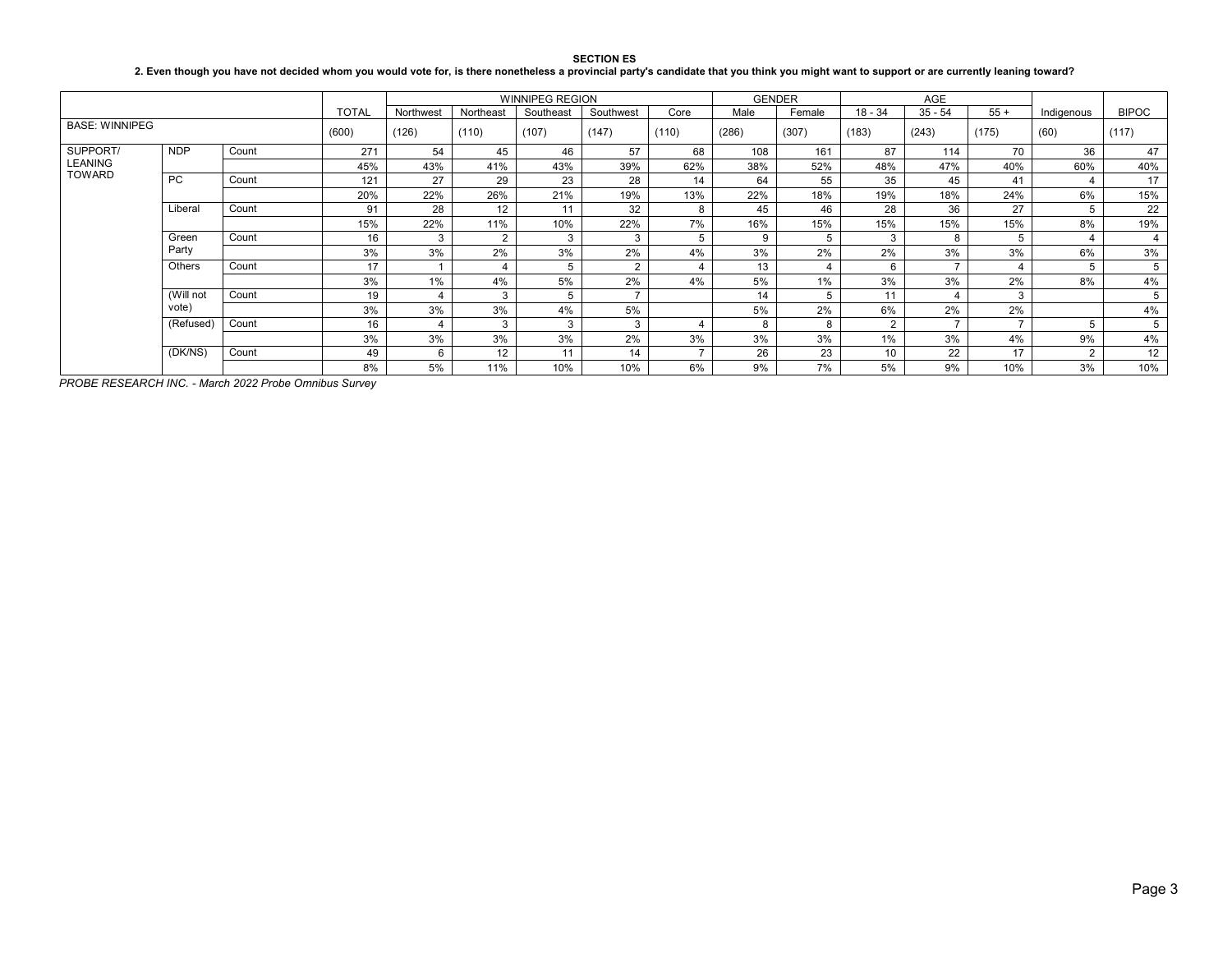SECTION ES<br>2. Even though you have not decided whom you would vote for, is there nonetheless a provincial party's candidate that you think you might want to support or are currently leaning toward?

|                                             |               |       |              |           |           | <b>WINNIPEG REGION</b> |                |                |       | <b>GENDER</b> |                | AGE       |       |                |              |
|---------------------------------------------|---------------|-------|--------------|-----------|-----------|------------------------|----------------|----------------|-------|---------------|----------------|-----------|-------|----------------|--------------|
|                                             |               |       | <b>TOTAL</b> | Northwest | Northeast | Southeast              | Southwest      | Core           | Male  | Female        | $18 - 34$      | $35 - 54$ | $55+$ | Indigenous     | <b>BIPOC</b> |
| <b>BASE: WINNIPEG</b>                       |               |       | (600)        | (126)     | (110)     | (107)                  | (147)          | (110)          | (286) | (307)         | (183)          | (243)     | (175) | (60)           | (117)        |
| SUPPORT/<br><b>LEANING</b><br><b>TOWARD</b> | <b>NDP</b>    | Count | 271          | 54        | 45        | 46                     | 57             | 68             | 108   | 161           | 87             | 114       | 70    | 36             | 47           |
|                                             |               |       | 45%          | 43%       | 41%       | 43%                    | 39%            | 62%            | 38%   | 52%           | 48%            | 47%       | 40%   | 60%            | 40%          |
|                                             | <b>PC</b>     | Count | 121          | 27        | 29        | 23                     | 28             | 14             | 64    | 55            | 35             | 45        | 41    | 4              | 17           |
|                                             |               |       | 20%          | 22%       | 26%       | 21%                    | 19%            | 13%            | 22%   | 18%           | 19%            | 18%       | 24%   | 6%             | 15%          |
|                                             | Liberal       | Count | 91           | 28        | 12        | 11                     | 32             | 8              | 45    | 46            | 28             | 36        | 27    | 5              | 22           |
|                                             |               |       | 15%          | 22%       | 11%       | 10%                    | 22%            | 7%             | 16%   | 15%           | 15%            | 15%       | 15%   | 8%             | 19%          |
|                                             | Green         | Count | 16           | 3         | 2         | 3                      | 3              | 5              | 9     | 5             | 3              | 8         | 5     | 4              | 4            |
|                                             | Party         |       | 3%           | 3%        | 2%        | 3%                     | 2%             | 4%             | 3%    | 2%            | 2%             | 3%        | 3%    | 6%             | 3%           |
|                                             | <b>Others</b> | Count | 17           |           | 4         | 5                      | $\overline{2}$ | 4              | 13    | 4             | 6              | -         |       | 5              | 5            |
|                                             |               |       | 3%           | 1%        | 4%        | 5%                     | 2%             | 4%             | 5%    | 1%            | 3%             | 3%        | 2%    | 8%             | 4%           |
|                                             | (Will not     | Count | 19           |           | 3         | 5                      |                |                | 14    | 5             | 11             |           | 3     |                | 5            |
|                                             | vote)         |       | 3%           | 3%        | 3%        | 4%                     | 5%             |                | 5%    | 2%            | 6%             | 2%        | 2%    |                | 4%           |
|                                             | (Refused)     | Count | 16           |           | 3         | 3                      | 3              | 4              | 8     | 8             | $\overline{2}$ | -         |       | 5              | 5            |
|                                             |               |       | 3%           | 3%        | 3%        | 3%                     | 2%             | 3%             | 3%    | 3%            | 1%             | 3%        | 4%    | 9%             | 4%           |
|                                             | (DK/NS)       | Count | 49           | 6         | 12        | 11                     | 14             | $\overline{z}$ | 26    | 23            | 10             | 22        | 17    | $\overline{2}$ | 12           |
|                                             |               |       | 8%           | 5%        | 11%       | 10%                    | 10%            | 6%             | 9%    | 7%            | 5%             | 9%        | 10%   | 3%             | 10%          |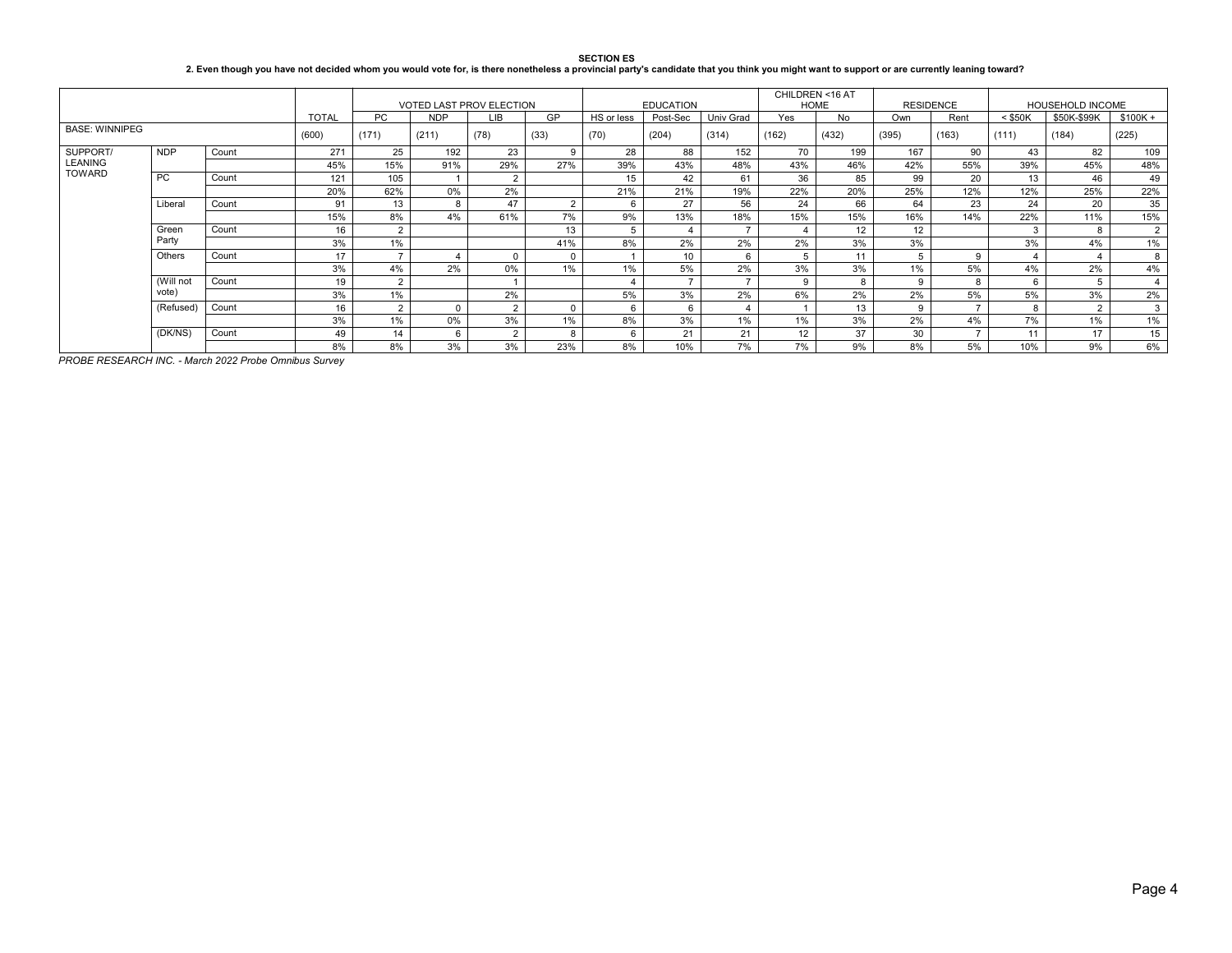#### **SECTION ES 2. Even though you have not decided whom you would vote for, is there nonetheless a provincial party's candidate that you think you might want to support or are currently leaning toward?**

|                                 |            |       |              | <b>VOTED LAST PROV ELECTION</b> |            |                |                |            | <b>EDUCATION</b> |           | CHILDREN <16 AT | <b>HOME</b> | <b>RESIDENCE</b> |                | HOUSEHOLD INCOME |             |                |
|---------------------------------|------------|-------|--------------|---------------------------------|------------|----------------|----------------|------------|------------------|-----------|-----------------|-------------|------------------|----------------|------------------|-------------|----------------|
|                                 |            |       | <b>TOTAL</b> | PC                              | <b>NDP</b> | <b>LIB</b>     | <b>GP</b>      | HS or less | Post-Sec         | Univ Grad | Yes             | No.         | Own              | Rent           | $<$ \$50K        | \$50K-\$99K | $$100K +$      |
| <b>BASE: WINNIPEG</b>           |            |       | (600)        | (171)                           | (211)      | (78)           | (33)           | (70)       | (204)            | (314)     | (162)           | (432)       | (395)            | (163)          | (111)            | (184)       | (225)          |
| SUPPORT/                        | <b>NDP</b> | Count | 271          | 25                              | 192        | 23             | <sub>9</sub>   | 28         | 88               | 152       | 70              | 199         | 167              | 90             | 43               | 82          | 109            |
| <b>LEANING</b><br><b>TOWARD</b> |            |       | 45%          | 15%                             | 91%        | 29%            | 27%            | 39%        | 43%              | 48%       | 43%             | 46%         | 42%              | 55%            | 39%              | 45%         | 48%            |
|                                 | PC.        | Count | 121          | 105                             |            | $\overline{2}$ |                | 15         | 42               | 61        | 36              | 85          | 99               | 20             | 13               | 46          | 49             |
|                                 |            |       | 20%          | 62%                             | 0%         | 2%             |                | 21%        | 21%              | 19%       | 22%             | 20%         | 25%              | 12%            | 12%              | 25%         | 22%            |
|                                 | Liberal    | Count | 91           | 13                              | 8          | 47             | $\overline{2}$ | 6          | 27               | 56        | 24              | 66          | 64               | 23             | 24               | 20          | 35             |
|                                 |            |       | 15%          | 8%                              | 4%         | 61%            | 7%             | 9%         | 13%              | 18%       | 15%             | 15%         | 16%              | 14%            | 22%              | 11%         | 15%            |
|                                 | Green      | Count | 16           | $\Omega$                        |            |                | 13             | 5          |                  |           |                 | 12          | 12               |                |                  | 8           | $2^{\circ}$    |
|                                 | Party      |       | 3%           | 1%                              |            |                | 41%            | 8%         | 2%               | 2%        | 2%              | 3%          | 3%               |                | 3%               | 4%          | 1%             |
|                                 | Others     | Count | 17           |                                 |            | $\Omega$       |                |            | 10               | 6         | 5               | 11          | 5                | 9              |                  |             | 8              |
|                                 |            |       | 3%           | 4%                              | 2%         | 0%             | $1\%$          | $1\%$      | 5%               | 2%        | 3%              | 3%          | $1\%$            | 5%             | 4%               | 2%          | 4%             |
|                                 | (Will not  | Count | 19           |                                 |            |                |                |            |                  |           | 9               | 8           | 9                | $\mathbf{R}$   | 6                | 5           | $\overline{4}$ |
|                                 | vote)      |       | 3%           | 1%                              |            | 2%             |                | 5%         | 3%               | 2%        | 6%              | 2%          | 2%               | 5%             | 5%               | 3%          | 2%             |
|                                 | (Refused)  | Count | 16           | $\overline{2}$                  | $\Omega$   | $\mathcal{D}$  | $\Omega$       | 6          |                  |           |                 | 13          | 9                | $\overline{ }$ | 8                | 2           | 3              |
|                                 |            |       | 3%           | 1%                              | 0%         | 3%             | $1\%$          | 8%         | 3%               | 1%        | 1%              | 3%          | 2%               | 4%             | 7%               | 1%          | 1%             |
|                                 | (DK/NS)    | Count | 49           | 14                              | 6          | $\Omega$       |                | 6          | 21               | 21        | 12              | 37          | 30               |                | 11               | 17          | 15             |
|                                 |            |       | 8%           | 8%                              | 3%         | 3%             | 23%            | 8%         | 10%              | 7%        | 7%              | 9%          | 8%               | 5%             | 10%              | 9%          | 6%             |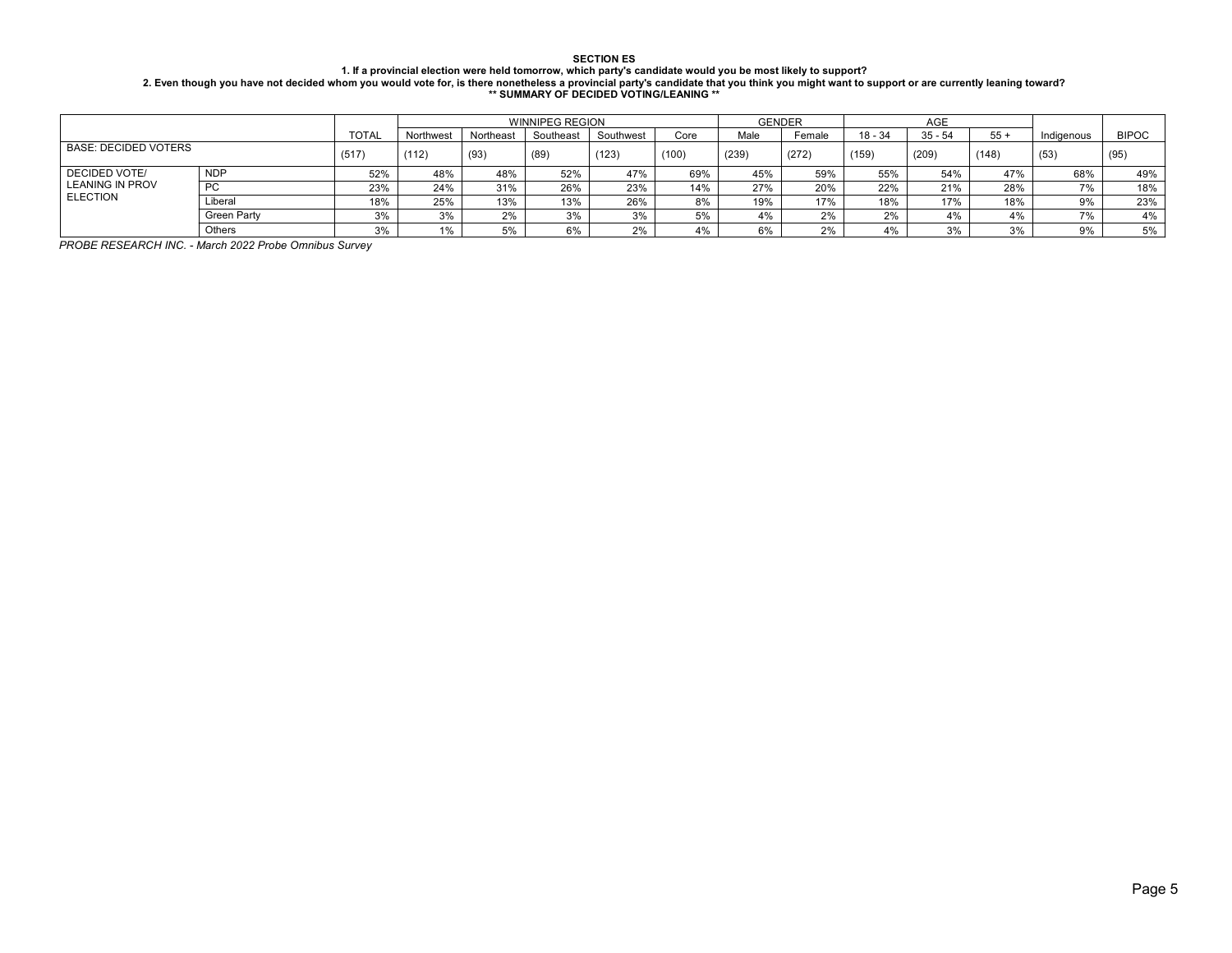## **SECTION ES** 1. If a provincial election were held tomorrow, which party's candidate would you be most likely to support?<br>2. Even though you have not decided whom you would vote for, is there nonetheless a provincial party's candidate

|                             |             |              |           |           | <b>WINNIPEG REGION</b> |           |       | <b>GENDER</b> |        |         | <b>AGE</b> |       |            |              |
|-----------------------------|-------------|--------------|-----------|-----------|------------------------|-----------|-------|---------------|--------|---------|------------|-------|------------|--------------|
|                             |             | <b>TOTAL</b> | Northwest | Northeast | Southeast              | Southwest | Core  | Male          | Female | 18 - 34 | $35 - 54$  | $55+$ | Indigenous | <b>BIPOC</b> |
| <b>BASE: DECIDED VOTERS</b> | (517)       | (112)        | (93)      | (89)      | (123)                  | (100)     | (239) | (272)         | (159)  | (209)   | (148)      | (53)  | (95)       |              |
| <b>DECIDED VOTE/</b>        | <b>NDP</b>  | 52%          | 48%       | 48%       | 52%                    | 47%       | 69%   | 45%           | 59%    | 55%     | 54%        | 47%   | 68%        | 49%          |
| <b>LEANING IN PROV</b>      | <b>PC</b>   | 23%          | 24%       | 31%       | 26%                    | 23%       | 14%   | 27%           | 20%    | 22%     | 21%        | 28%   | 7%         | 18%          |
| <b>ELECTION</b>             | Liberal     | 18%          | 25%       | 13%       | 13%                    | 26%       | 8%    | 19%           | 17%    | 18%     | 17%        | 18%   | 9%         | 23%          |
|                             | Green Party | 3%           | 3%        | 2%        | 3%                     | 3%        | 5%    | 4%            | 2%     | 2%      | 4%         | 4%    | 7%         | 4%           |
|                             | Others      | 3%           | 1%        | 5%        | 6%                     | 2%        | 4%    | 6%            | 2%     | 4%      | 3%         | 3%    | 9%         | 5%           |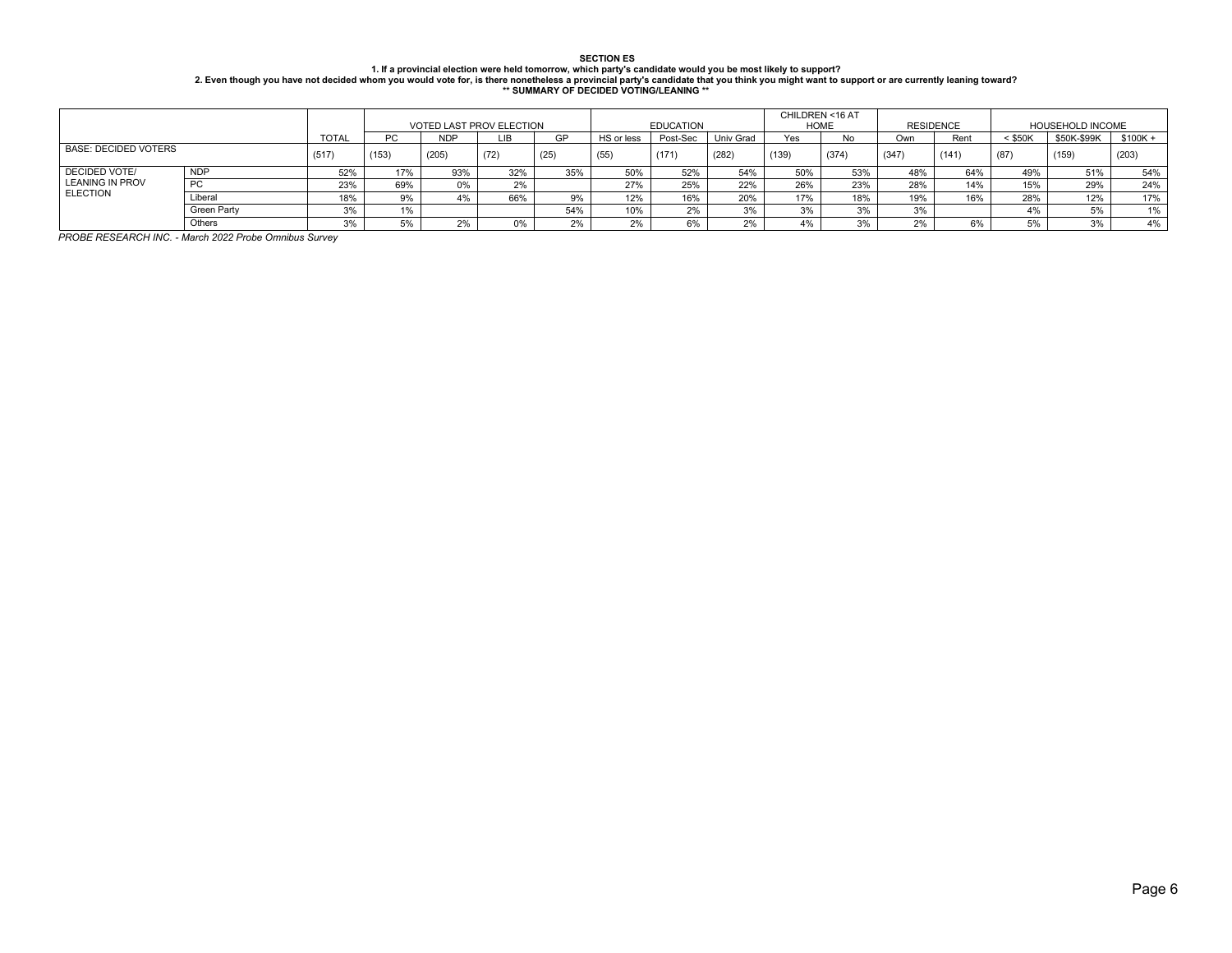# SECTION ESSARG MORES (SECTION UND RESSARGED MANUS VER SECTION UNDER SECTION ESSARGED 15 .<br>2. Even though you have not decided whom you would vote for, is there nonetheless a provincial party's candidate that you think you

|                             |            |              |       | <b>VOTED LAST PROV ELECTION</b> |      |      |            | <b>EDUCATION</b> |           | CHILDREN <16 AT<br><b>HOME</b> |           | <b>RESIDENCE</b> |      | HOUSEHOLD INCOME |             |          |
|-----------------------------|------------|--------------|-------|---------------------------------|------|------|------------|------------------|-----------|--------------------------------|-----------|------------------|------|------------------|-------------|----------|
|                             |            | <b>TOTAL</b> | PC    | <b>NDP</b>                      | LІB  | GP   | HS or less | Post-Sec         | Univ Grad | Yes                            | <b>No</b> | Own              | Rent | < \$50K          | \$50K-\$99K | \$100K + |
| <b>BASE: DECIDED VOTERS</b> | (517)      | (153)        | (205) | (72)                            | (25) | (55) | (171)      | (282)            | (139)     | (374)                          | (347)     | (141)            | (87) | (159)            | (203)       |          |
| <b>DECIDED VOTE/</b>        | <b>NDP</b> | 52%          | 17%   | 93%                             | 32%  | 35%  | 50%        | 52%              | 54%       | 50%                            | 53%       | 48%              | 64%  | 49%              | 51%         | 54%      |
| <b>LEANING IN PROV</b>      | <b>PC</b>  | 23%          | 69%   | 0%                              | 2%   |      | 27%        | 25%              | 22%       | 26%                            | 23%       | 28%              | 14%  | 15%              | 29%         | 24%      |
| <b>ELECTION</b><br>Liberal  |            | 18%          | 9%    | 4%                              | 66%  |      | 12%        | 16%              | 20%       | 17%                            | 18%       | 19%              | 16%  | 28%              | 12%         | 17%      |
| Green Party                 |            | 20/          |       |                                 |      | 54%  | 10%        | 20/              | 3%        | 3%                             | 3%        | 3%               |      | 4%               | 5%          | $1\%$    |
|                             | Others     | 30/          |       | 2%                              | ገ%   |      |            | 6%               | 2%        | 4%                             | 3%        | 2%               | 6%   | 5%               | 3%          | 4%       |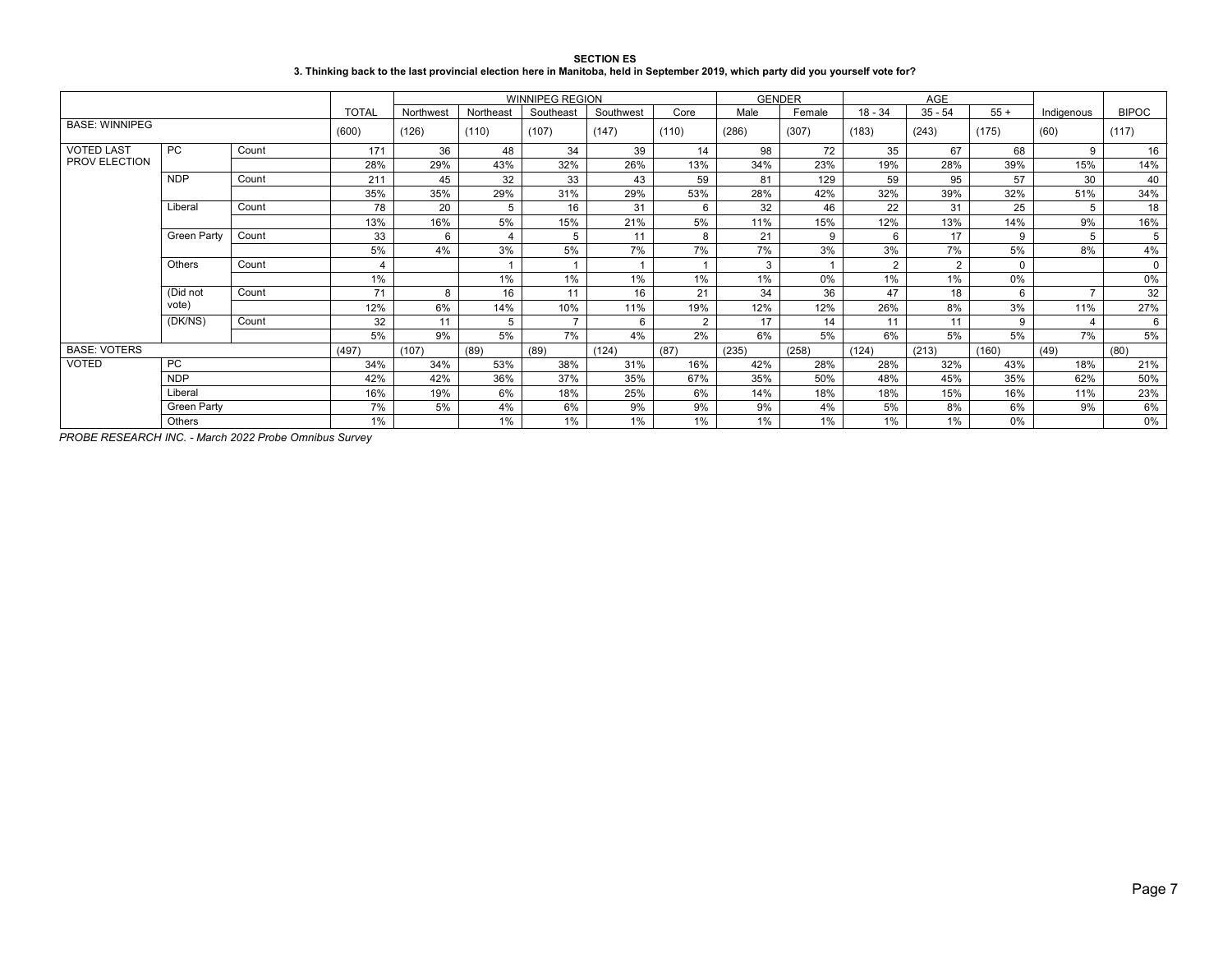| <b>SECTION ES</b>                                                                                                                 |
|-----------------------------------------------------------------------------------------------------------------------------------|
| 3. Thinking back to the last provincial election here in Manitoba, held in September 2019, which party did you yourself vote for? |

|                       |                             |       |              |           |           | <b>WINNIPEG REGION</b> |           |                |       | <b>GENDER</b> |           | AGE            |          |               |              |
|-----------------------|-----------------------------|-------|--------------|-----------|-----------|------------------------|-----------|----------------|-------|---------------|-----------|----------------|----------|---------------|--------------|
|                       |                             |       | <b>TOTAL</b> | Northwest | Northeast | Southeast              | Southwest | Core           | Male  | Female        | $18 - 34$ | $35 - 54$      | $55+$    | Indigenous    | <b>BIPOC</b> |
| <b>BASE: WINNIPEG</b> |                             |       | (600)        | (126)     | (110)     | (107)                  | (147)     | (110)          | (286) | (307)         | (183)     | (243)          | (175)    | (60)          | (117)        |
| <b>VOTED LAST</b>     | PC.                         | Count | 171          | 36        | 48        | 34                     | 39        | 14             | 98    | 72            | 35        | 67             | 68       | 9             | 16           |
| PROV ELECTION         |                             |       | 28%          | 29%       | 43%       | 32%                    | 26%       | 13%            | 34%   | 23%           | 19%       | 28%            | 39%      | 15%           | 14%          |
|                       | <b>NDP</b>                  | Count | 211          | 45        | 32        | 33                     | 43        | 59             | 81    | 129           | 59        | 95             | 57       | 30            | 40           |
|                       |                             |       | 35%          | 35%       | 29%       | 31%                    | 29%       | 53%            | 28%   | 42%           | 32%       | 39%            | 32%      | 51%           | 34%          |
|                       | Liberal                     | Count | 78           | 20        | 5         | 16                     | 31        | 6              | 32    | 46            | 22        | 31             | 25       | 5             | 18           |
|                       |                             |       | 13%          | 16%       | 5%        | 15%                    | 21%       | 5%             | 11%   | 15%           | 12%       | 13%            | 14%      | 9%            | 16%          |
|                       | <b>Green Party</b><br>Count |       | 33           | 6         | 4         | 5                      | 11        | 8              | 21    | 9             | 6         | 17             | 9        | 5             | 5            |
|                       |                             |       | 5%           | 4%        | 3%        | 5%                     | 7%        | 7%             | 7%    | 3%            | 3%        | 7%             | 5%       | 8%            | 4%           |
|                       | Others                      | Count |              |           |           |                        |           |                | 3     |               | 2         | $\overline{2}$ | $\Omega$ |               | $\mathbf 0$  |
|                       |                             |       | 1%           |           | 1%        | $1\%$                  | 1%        | $1\%$          | 1%    | $0\%$         | 1%        | 1%             | 0%       |               | 0%           |
|                       | (Did not                    | Count | 71           | 8         | 16        | 11                     | 16        | 21             | 34    | 36            | 47        | 18             | 6        | $\rightarrow$ | 32           |
|                       | vote)                       |       | 12%          | 6%        | 14%       | 10%                    | 11%       | 19%            | 12%   | 12%           | 26%       | 8%             | 3%       | 11%           | 27%          |
|                       | (DK/NS)                     | Count | 32           | 11        | 5         |                        | 6         | $\overline{2}$ | 17    | 14            | 11        | 11             | 9        | $\Delta$      | 6            |
|                       |                             |       | 5%           | 9%        | 5%        | 7%                     | 4%        | 2%             | 6%    | 5%            | 6%        | 5%             | 5%       | 7%            | 5%           |
| <b>BASE: VOTERS</b>   |                             |       | (497)        | (107)     | (89)      | (89)                   | (124)     | (87)           | (235) | (258)         | (124)     | (213)          | (160)    | (49)          | (80)         |
| <b>VOTED</b>          | <b>PC</b>                   |       | 34%          | 34%       | 53%       | 38%                    | 31%       | 16%            | 42%   | 28%           | 28%       | 32%            | 43%      | 18%           | 21%          |
|                       | <b>NDP</b>                  |       | 42%          | 42%       | 36%       | 37%                    | 35%       | 67%            | 35%   | 50%           | 48%       | 45%            | 35%      | 62%           | 50%          |
|                       | Liberal                     |       | 16%          | 19%       | 6%        | 18%                    | 25%       | 6%             | 14%   | 18%           | 18%       | 15%            | 16%      | 11%           | 23%          |
|                       | Green Party                 |       | 7%           | 5%        | 4%        | 6%                     | 9%        | 9%             | 9%    | 4%            | 5%        | 8%             | 6%       | 9%            | 6%           |
|                       | Others                      |       | 1%           |           | 1%        | $1\%$                  | $1\%$     | $1\%$          | 1%    | $1\%$         | 1%        | 1%             | 0%       |               | 0%           |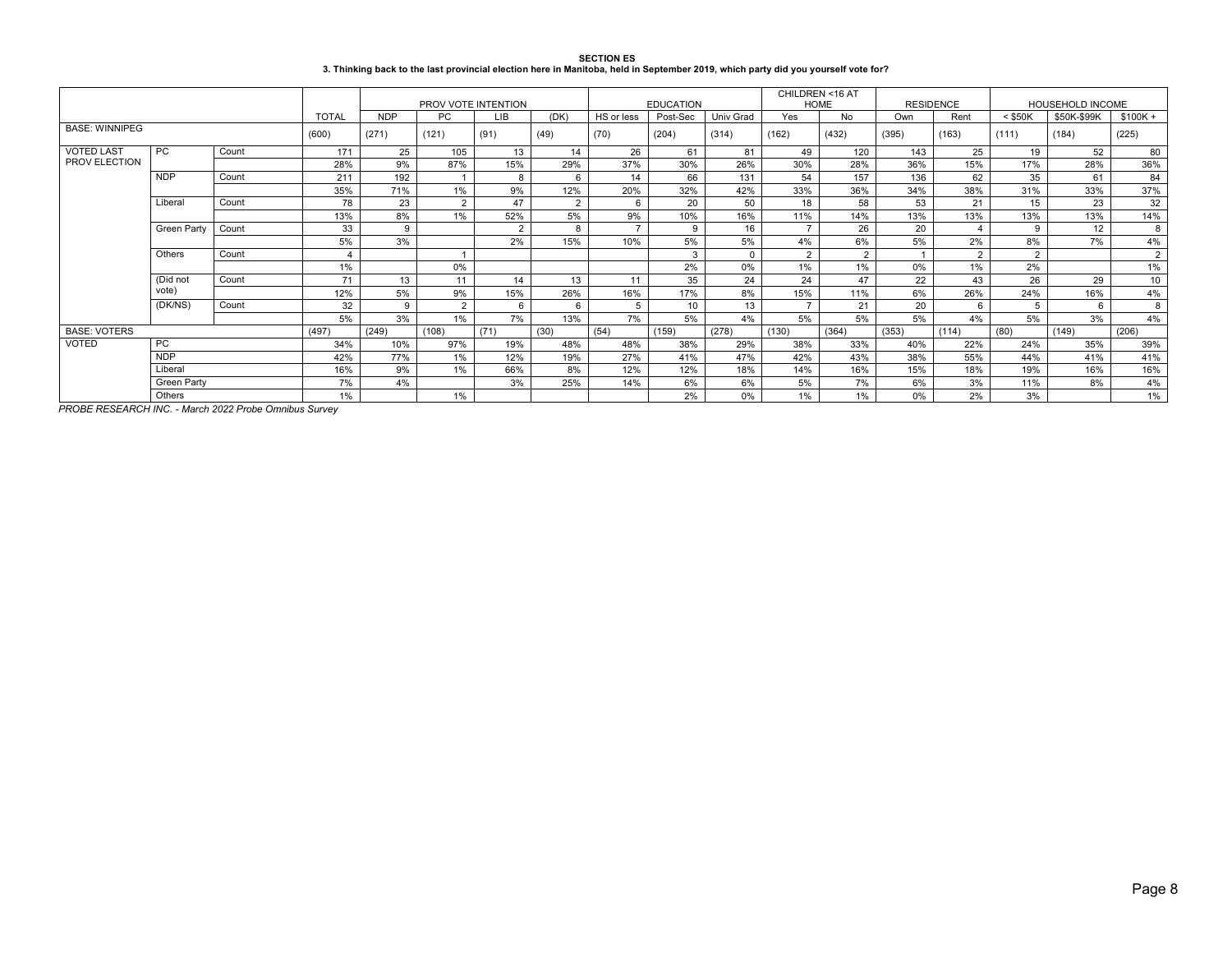| <b>SECTION ES</b>                                                                                                                 |
|-----------------------------------------------------------------------------------------------------------------------------------|
| 3. Thinking back to the last provincial election here in Manitoba, held in September 2019, which party did you yourself vote for? |

|                             |                  |       |              |            |                     |            |                |            |                  |                  | CHILDREN <16 AT<br><b>HOME</b> |                | <b>RESIDENCE</b> |       | HOUSEHOLD INCOME |             |                 |
|-----------------------------|------------------|-------|--------------|------------|---------------------|------------|----------------|------------|------------------|------------------|--------------------------------|----------------|------------------|-------|------------------|-------------|-----------------|
|                             |                  |       |              |            | PROV VOTE INTENTION |            |                |            | <b>EDUCATION</b> |                  |                                |                |                  |       |                  |             |                 |
|                             |                  |       | <b>TOTAL</b> | <b>NDP</b> | PC                  | <b>LIB</b> | (DK)           | HS or less | Post-Sec         | <b>Univ Grad</b> | Yes                            | No.            | Own              | Rent  | $<$ \$50K        | \$50K-\$99K | $$100K +$       |
| <b>BASE: WINNIPEG</b>       |                  |       | (600)        | (271)      | (121)               | (91)       | (49)           | (70)       | (204)            | (314)            | (162)                          | (432)          | (395)            | (163) | (111)            | (184)       | (225)           |
| <b>VOTED LAST</b>           | <b>PC</b>        | Count | 171          | 25         | 105                 | 13         | 14             | 26         | 61               | 81               | 49                             | 120            | 143              | 25    | 19               | 52          | 80              |
| PROV ELECTION               |                  |       | 28%          | 9%         | 87%                 | 15%        | 29%            | 37%        | 30%              | 26%              | 30%                            | 28%            | 36%              | 15%   | 17%              | 28%         | 36%             |
|                             | <b>NDP</b>       | Count | 211          | 192        |                     | 8          | $\epsilon$     | 14         | 66               | 131              | 54                             | 157            | 136              | 62    | 35               | 61          | 84              |
|                             |                  |       | 35%          | 71%        | $1\%$               | 9%         | 12%            | 20%        | 32%              | 42%              | 33%                            | 36%            | 34%              | 38%   | 31%              | 33%         | 37%             |
|                             | Liberal<br>Count |       | 78           | 23         | 2                   | 47         | $\overline{2}$ | 6          | 20               | 50               | 18                             | 58             | 53               | 21    | 15               | 23          | 32              |
|                             |                  |       | 13%          | 8%         | 1%                  | 52%        | 5%             | 9%         | 10%              | 16%              | 11%                            | 14%            | 13%              | 13%   | 13%              | 13%         | 14%             |
| <b>Green Party</b><br>Count |                  | 33    | 9            |            | $\overline{2}$      | 8          | $\rightarrow$  | 9          | 16               | $\overline{7}$   | 26                             | 20             | $\overline{4}$   | g     | 12               | 8           |                 |
|                             |                  |       | 5%           | 3%         |                     | 2%         | 15%            | 10%        | 5%               | 5%               | 4%                             | 6%             | 5%               | 2%    | 8%               | 7%          | 4%              |
|                             | Others           | Count |              |            |                     |            |                |            | 3                | $\Omega$         | $\overline{2}$                 | $\overline{2}$ | $\overline{A}$   | 2     | $\overline{2}$   |             | $\overline{2}$  |
|                             |                  |       | 1%           |            | 0%                  |            |                |            | 2%               | 0%               | 1%                             | 1%             | 0%               | 1%    | 2%               |             | 1%              |
|                             | (Did not         | Count | 71           | 13         | 11                  | 14         | 13             | 11         | 35               | 24               | 24                             | 47             | 22               | 43    | 26               | 29          | 10 <sup>1</sup> |
|                             | vote)            |       | 12%          | 5%         | 9%                  | 15%        | 26%            | 16%        | 17%              | 8%               | 15%                            | 11%            | 6%               | 26%   | 24%              | 16%         | 4%              |
|                             | (DK/NS)          | Count | 32           | 9          | $\overline{2}$      | 6          | 6              |            | 10               | 13               | $\overline{ }$                 | 21             | 20               | 6     |                  | 6           | 8               |
|                             |                  |       | 5%           | 3%         | 1%                  | 7%         | 13%            | 7%         | 5%               | 4%               | 5%                             | 5%             | 5%               | 4%    | 5%               | 3%          | 4%              |
| <b>BASE: VOTERS</b>         |                  |       | (497)        | (249)      | (108)               | (71)       | (30)           | (54)       | (159)            | (278)            | (130)                          | (364)          | (353)            | (114) | (80)             | (149)       | (206)           |
| VOTED                       | <b>PC</b>        |       | 34%          | 10%        | 97%                 | 19%        | 48%            | 48%        | 38%              | 29%              | 38%                            | 33%            | 40%              | 22%   | 24%              | 35%         | 39%             |
|                             | <b>NDP</b>       |       | 42%          | 77%        | 1%                  | 12%        | 19%            | 27%        | 41%              | 47%              | 42%                            | 43%            | 38%              | 55%   | 44%              | 41%         | 41%             |
|                             | Liberal          |       | 16%          | 9%         | 1%                  | 66%        | 8%             | 12%        | 12%              | 18%              | 14%                            | 16%            | 15%              | 18%   | 19%              | 16%         | 16%             |
|                             | Green Party      |       | 7%           | 4%         |                     | 3%         | 25%            | 14%        | 6%               | 6%               | 5%                             | 7%             | 6%               | 3%    | 11%              | 8%          | 4%              |
|                             | Others           |       | 1%           |            | 1%                  |            |                |            | 2%               | 0%               | 1%                             | 1%             | $0\%$            | 2%    | 3%               |             | $1\%$           |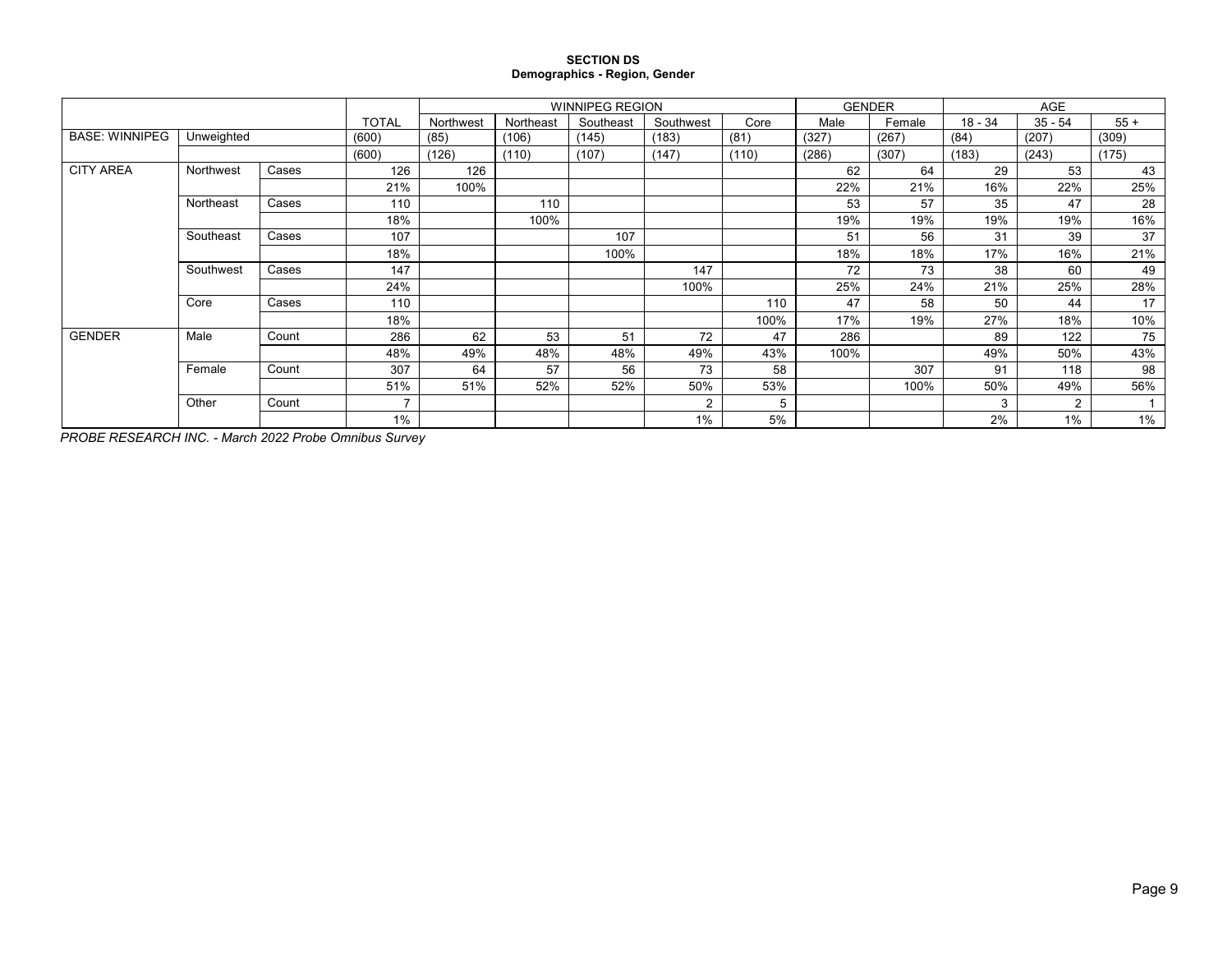#### **SECTION DS Demographics - Region, Gender**

|                       |            |       |                | <b>WINNIPEG REGION</b><br>Southeast<br>Northwest<br>Northeast<br>Southwest<br>Core |       |       |                |       |       | <b>GENDER</b> |           | AGE            |       |
|-----------------------|------------|-------|----------------|------------------------------------------------------------------------------------|-------|-------|----------------|-------|-------|---------------|-----------|----------------|-------|
|                       |            |       | <b>TOTAL</b>   |                                                                                    |       |       |                |       | Male  | Female        | $18 - 34$ | $35 - 54$      | $55+$ |
| <b>BASE: WINNIPEG</b> | Unweighted |       | (600)          | (85)                                                                               | (106) | (145) | (183)          | (81)  | (327) | (267)         | (84)      | (207)          | (309) |
|                       |            |       | (600)          | (126)                                                                              | (110) | (107) | (147)          | (110) | (286) | (307)         | (183)     | (243)          | (175) |
| <b>CITY AREA</b>      | Northwest  | Cases | 126            | 126                                                                                |       |       |                |       | 62    | 64            | 29        | 53             | 43    |
|                       |            |       | 21%            | 100%                                                                               |       |       |                |       | 22%   | 21%           | 16%       | 22%            | 25%   |
|                       | Northeast  | Cases | 110            |                                                                                    | 110   |       |                |       | 53    | 57            | 35        | 47             | 28    |
|                       |            |       |                |                                                                                    | 100%  |       |                |       | 19%   | 19%           | 19%       | 19%            | 16%   |
|                       | Southeast  | Cases | 107            |                                                                                    |       | 107   |                |       | 51    | 56            | 31        | 39             | 37    |
|                       |            |       | 18%            |                                                                                    |       | 100%  |                |       | 18%   | 18%           | 17%       | 16%            | 21%   |
|                       | Southwest  | Cases | 147            |                                                                                    |       |       | 147            |       | 72    | 73            | 38        | 60             | 49    |
|                       |            |       | 24%            |                                                                                    |       |       | 100%           |       | 25%   | 24%           | 21%       | 25%            | 28%   |
|                       | Core       | Cases | 110            |                                                                                    |       |       |                | 110   | 47    | 58            | 50        | 44             | 17    |
|                       |            |       | 18%            |                                                                                    |       |       |                | 100%  | 17%   | 19%           | 27%       | 18%            | 10%   |
| <b>GENDER</b>         | Male       | Count | 286            | 62                                                                                 | 53    | 51    | 72             | 47    | 286   |               | 89        | 122            | 75    |
|                       |            |       | 48%            | 49%                                                                                | 48%   | 48%   | 49%            | 43%   | 100%  |               | 49%       | 50%            | 43%   |
|                       | Female     | Count | 307            | 64                                                                                 | 57    | 56    | 73             | 58    |       | 307           | 91        | 118            | 98    |
|                       |            |       | 51%            |                                                                                    | 52%   | 52%   | 50%            | 53%   |       | 100%          | 50%       | 49%            | 56%   |
|                       | Other      | Count | $\overline{ }$ |                                                                                    |       |       | $\overline{2}$ |       |       |               | 3         | $\overline{2}$ |       |
|                       |            | 1%    |                |                                                                                    |       |       | 1%             | 5%    |       |               | 2%        | 1%             | 1%    |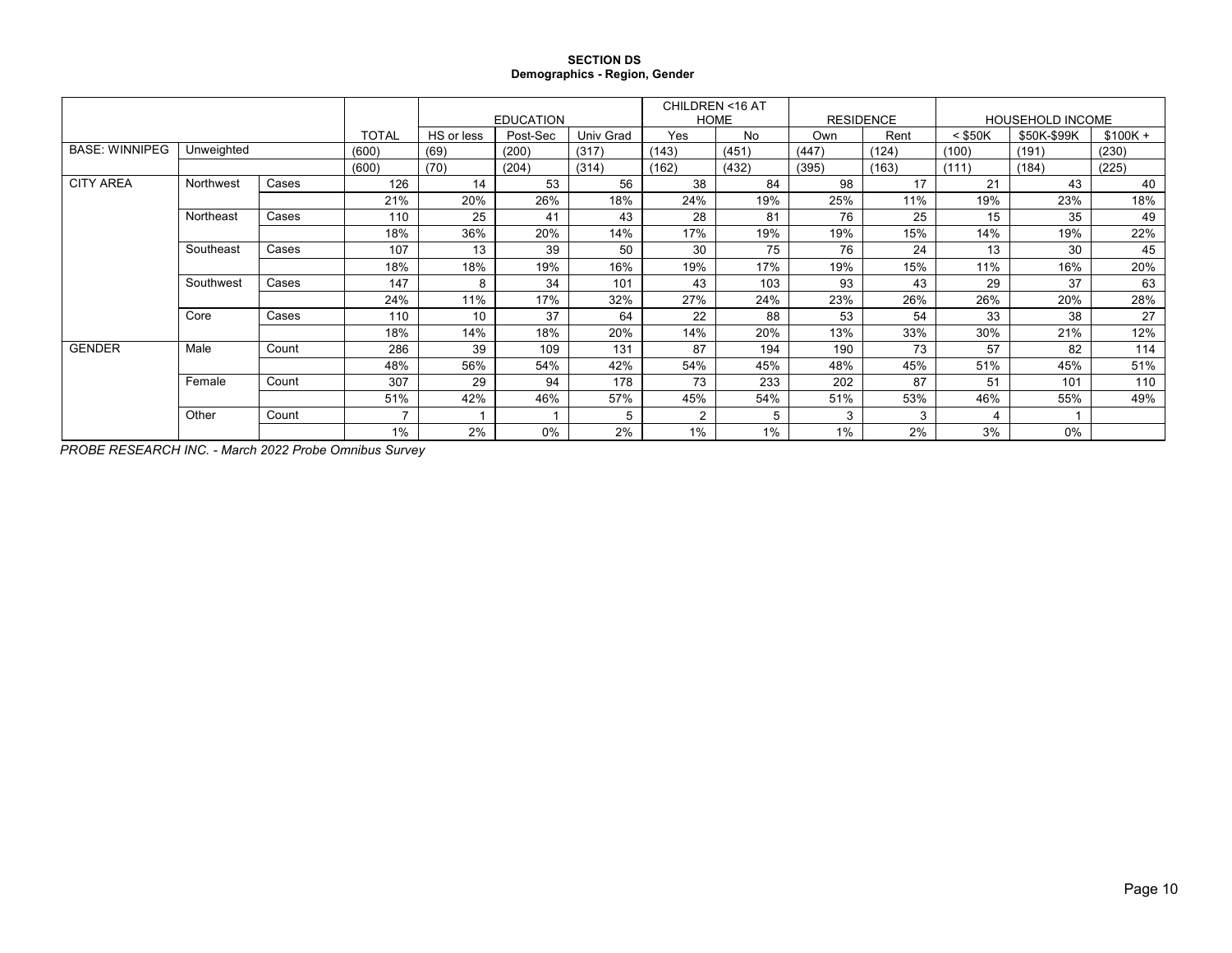#### **SECTION DS Demographics - Region, Gender**

|                       |            |       |              |            | <b>EDUCATION</b> |                  |                | CHILDREN <16 AT<br><b>HOME</b> | <b>RESIDENCE</b> |       | <b>HOUSEHOLD INCOME</b> |             |           |
|-----------------------|------------|-------|--------------|------------|------------------|------------------|----------------|--------------------------------|------------------|-------|-------------------------|-------------|-----------|
|                       |            |       | <b>TOTAL</b> | HS or less | Post-Sec         | <b>Univ Grad</b> | Yes            | No                             | Own              | Rent  | $<$ \$50K               | \$50K-\$99K | $$100K +$ |
| <b>BASE: WINNIPEG</b> | Unweighted |       | (600)        | (69)       | (200)            | (317)            | (143)          | (451)                          | (447)            | (124) | (100)                   | (191)       | (230)     |
|                       |            |       | (600)        | (70)       | (204)            | (314)            | (162)          | (432)                          | (395)            | (163) | (111)                   | (184)       | (225)     |
| <b>CITY AREA</b>      | Northwest  | Cases | 126          | 14         | 53               | 56               | 38             | 84                             | 98               | 17    | 21                      | 43          | 40        |
|                       |            |       | 21%          | 20%        | 26%              | 18%              | 24%            | 19%                            | 25%              | 11%   | 19%                     | 23%         | 18%       |
|                       | Northeast  | Cases | 110          | 25         | 41               | 43               | 28             | 81                             | 76               | 25    | 15                      | 35          | 49        |
|                       |            |       | 18%          | 36%        | 20%              | 14%              | 17%            | 19%                            | 19%              | 15%   | 14%                     | 19%         | 22%       |
|                       | Southeast  | Cases | 107          | 13         | 39               | 50               | 30             | 75                             | 76               | 24    | 13                      | 30          | 45        |
|                       |            |       | 18%          | 18%        | 19%              | 16%              | 19%            | 17%                            | 19%              | 15%   | 11%                     | 16%         | 20%       |
|                       | Southwest  | Cases | 147          | 8          | 34               | 101              | 43             | 103                            | 93               | 43    | 29                      | 37          | 63        |
|                       |            |       | 24%          | 11%        | 17%              | 32%              | 27%            | 24%                            | 23%              | 26%   | 26%                     | 20%         | 28%       |
|                       | Core       | Cases | 110          | 10         | 37               | 64               | 22             | 88                             | 53               | 54    | 33                      | 38          | 27        |
|                       |            |       | 18%          | 14%        | 18%              | 20%              | 14%            | 20%                            | 13%              | 33%   | 30%                     | 21%         | 12%       |
| <b>GENDER</b>         | Male       | Count | 286          | 39         | 109              | 131              | 87             | 194                            | 190              | 73    | 57                      | 82          | 114       |
|                       |            |       | 48%          | 56%        | 54%              | 42%              | 54%            | 45%                            | 48%              | 45%   | 51%                     | 45%         | 51%       |
|                       | Female     | Count | 307          | 29         | 94               | 178              | 73             | 233                            | 202              | 87    | 51                      | 101         | 110       |
|                       |            |       | 51%          | 42%        | 46%              | 57%              | 45%            | 54%                            | 51%              | 53%   | 46%                     | 55%         | 49%       |
|                       | Other      | Count |              |            |                  | 5                | $\overline{2}$ | 5                              | 3                | 3     | 4                       |             |           |
|                       |            |       | 1%           | 2%         | 0%               | 2%               | 1%             | 1%                             | 1%               | 2%    | 3%                      | 0%          |           |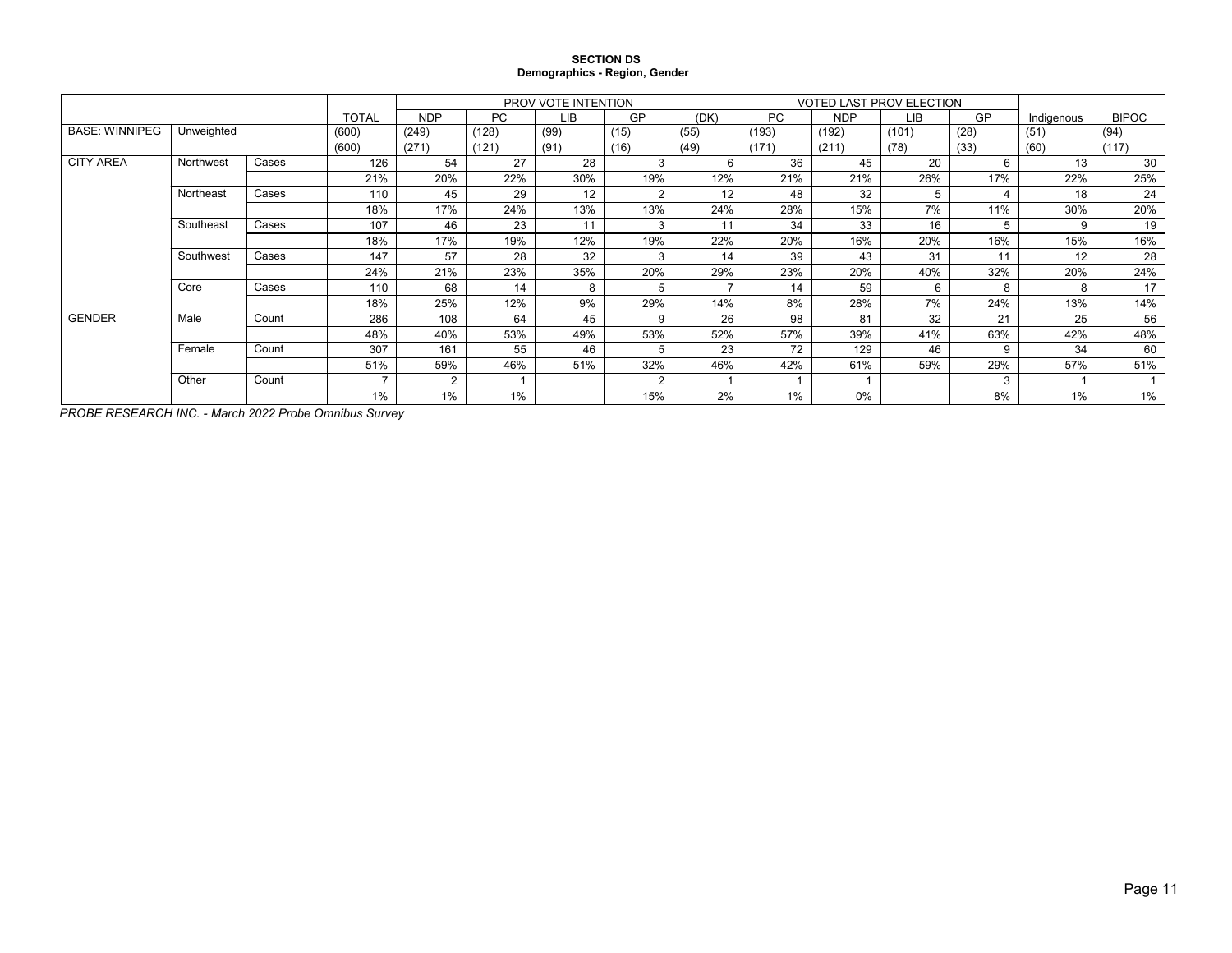#### **SECTION DS Demographics - Region, Gender**

|                       |            |       |              |                |           | PROV VOTE INTENTION |                |                          |           |            | <b>VOTED LAST PROV ELECTION</b> |      |            |              |
|-----------------------|------------|-------|--------------|----------------|-----------|---------------------|----------------|--------------------------|-----------|------------|---------------------------------|------|------------|--------------|
|                       |            |       | <b>TOTAL</b> | <b>NDP</b>     | <b>PC</b> | <b>LIB</b>          | GP             | (DK)                     | <b>PC</b> | <b>NDP</b> | <b>LIB</b>                      | GP   | Indigenous | <b>BIPOC</b> |
| <b>BASE: WINNIPEG</b> | Unweighted |       | (600)        | (249)          | (128)     | (99)                | (15)           | (55)                     | (193)     | (192)      | (101)                           | (28) | (51)       | (94)         |
|                       |            |       | (600)        | (271)          | (121)     | (91)                | (16)           | (49)                     | (171)     | (211)      | (78)                            | (33) | (60)       | (117)        |
| <b>CITY AREA</b>      | Northwest  | Cases | 126          | 54             | 27        | 28                  | 3              | 6                        | 36        | 45         | 20                              | 6    | 13         | 30           |
|                       |            |       | 21%          | 20%            | 22%       | 30%                 | 19%            | 12%                      | 21%       | 21%        | 26%                             | 17%  | 22%        | 25%          |
|                       | Northeast  | Cases | 110          | 45             | 29        | 12                  | $\overline{2}$ | 12                       | 48        | 32         | 5                               |      | 18         | 24           |
|                       |            |       | 18%          | 17%            | 24%       | 13%                 | 13%            | 24%                      | 28%       | 15%        | 7%                              | 11%  | 30%        | 20%          |
|                       | Southeast  | Cases | 107          | 46             | 23        | 11                  | 3              | 11                       | 34        | 33         | 16                              | 5    | 9          | 19           |
|                       |            |       | 18%          | 17%            | 19%       | 12%                 | 19%            | 22%                      | 20%       | 16%        | 20%                             | 16%  | 15%        | 16%          |
|                       | Southwest  | Cases | 147          | 57             | 28        | 32                  | 3              | 14                       | 39        | 43         | 31                              | 11   | 12         | 28           |
|                       |            |       | 24%          | 21%            | 23%       | 35%                 | 20%            | 29%                      | 23%       | 20%        | 40%                             | 32%  | 20%        | 24%          |
|                       | Core       | Cases | 110          | 68             | 14        | 8                   | 5              | $\overline{\phantom{a}}$ | 14        | 59         | 6                               | 8    | 8          | 17           |
|                       |            |       | 18%          | 25%            | 12%       | 9%                  | 29%            | 14%                      | 8%        | 28%        | 7%                              | 24%  | 13%        | 14%          |
| <b>GENDER</b>         | Male       | Count | 286          | 108            | 64        | 45                  | 9              | 26                       | 98        | 81         | 32                              | 21   | 25         | 56           |
|                       |            |       | 48%          | 40%            | 53%       | 49%                 | 53%            | 52%                      | 57%       | 39%        | 41%                             | 63%  | 42%        | 48%          |
|                       | Female     | Count | 307          | 161            | 55        | 46                  | 5              | 23                       | 72        | 129        | 46                              | 9    | 34         | 60           |
|                       |            |       | 51%          | 59%            | 46%       | 51%                 | 32%            | 46%                      | 42%       | 61%        | 59%                             | 29%  | 57%        | 51%          |
|                       | Other      | Count |              | $\overline{2}$ |           |                     | 2              |                          |           |            |                                 | 3    |            |              |
|                       |            |       | 1%           | 1%             | 1%        |                     | 15%            | 2%                       | 1%        | 0%         |                                 | 8%   | 1%         | 1%           |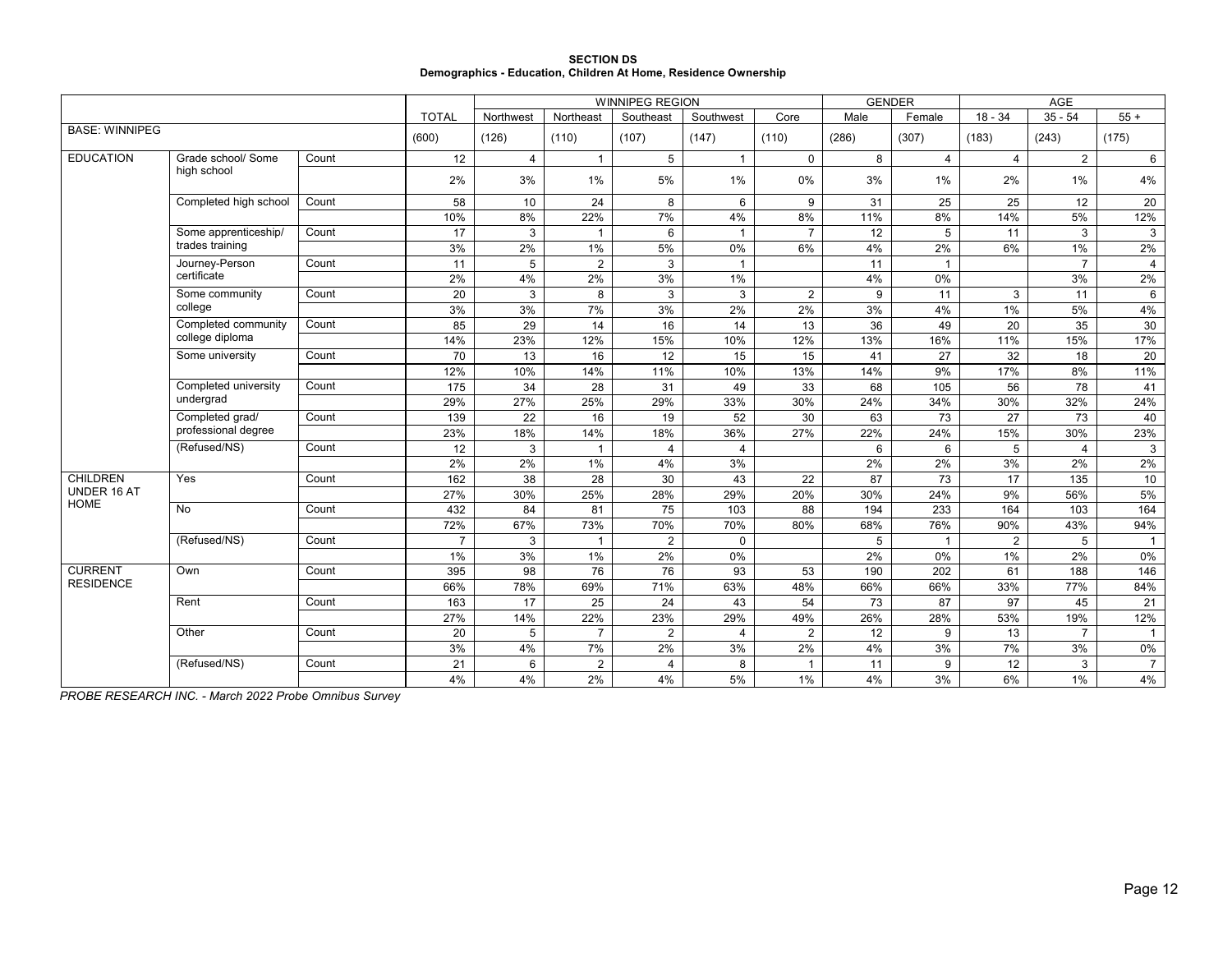|                                                                 | <b>SECTION DS</b> |  |
|-----------------------------------------------------------------|-------------------|--|
| Demographics - Education, Children At Home, Residence Ownership |                   |  |

|                       |                       |       |                |                |                | <b>WINNIPEG REGION</b> |                |                |       | <b>GENDER</b>  |                | AGE            |                |
|-----------------------|-----------------------|-------|----------------|----------------|----------------|------------------------|----------------|----------------|-------|----------------|----------------|----------------|----------------|
|                       |                       |       | <b>TOTAL</b>   | Northwest      | Northeast      | Southeast              | Southwest      | Core           | Male  | Female         | $18 - 34$      | $35 - 54$      | $55 +$         |
| <b>BASE: WINNIPEG</b> |                       |       | (600)          | (126)          | (110)          | (107)                  | (147)          | (110)          | (286) | (307)          | (183)          | (243)          | (175)          |
| <b>EDUCATION</b>      | Grade school/ Some    | Count | 12             | $\overline{4}$ | $\mathbf{1}$   | 5                      | $\mathbf{1}$   | $\mathbf 0$    | 8     | $\overline{4}$ | $\overline{4}$ | 2              | 6              |
|                       | high school           |       | 2%             | 3%             | $1\%$          | 5%                     | 1%             | $0\%$          | 3%    | 1%             | 2%             | 1%             | 4%             |
|                       | Completed high school | Count | 58             | 10             | 24             | 8                      | 6              | 9              | 31    | 25             | 25             | 12             | 20             |
|                       |                       |       | 10%            | 8%             | 22%            | 7%                     | 4%             | 8%             | 11%   | 8%             | 14%            | 5%             | 12%            |
|                       | Some apprenticeship/  | Count | 17             | 3              | $\mathbf{1}$   | 6                      | $\mathbf{1}$   | $\overline{7}$ | 12    | 5              | 11             | 3              | 3              |
|                       | trades training       |       | 3%             | 2%             | 1%             | 5%                     | 0%             | 6%             | 4%    | 2%             | 6%             | 1%             | 2%             |
|                       | Journey-Person        | Count | 11             | 5              | $\overline{2}$ | 3                      | $\overline{1}$ |                | 11    |                |                | $\overline{7}$ | $\overline{4}$ |
|                       | certificate           |       | 2%             | 4%             | 2%             | 3%                     | 1%             |                | 4%    | 0%             |                | 3%             | 2%             |
|                       | Some community        | Count | 20             | 3              | 8              | 3                      | 3              | $\overline{2}$ | 9     | 11             | 3              | 11             | 6              |
|                       | college               |       | 3%             | 3%             | 7%             | 3%                     | 2%             | 2%             | 3%    | 4%             | $1\%$          | 5%             | 4%             |
|                       | Completed community   | Count | 85             | 29             | 14             | 16                     | 14             | 13             | 36    | 49             | 20             | 35             | 30             |
|                       | college diploma       |       | 14%            | 23%            | 12%            | 15%                    | 10%            | 12%            | 13%   | 16%            | 11%            | 15%            | 17%            |
|                       | Some university       | Count | 70             | 13             | 16             | 12                     | 15             | 15             | 41    | 27             | 32             | 18             | 20             |
|                       |                       |       | 12%            | 10%            | 14%            | 11%                    | 10%            | 13%            | 14%   | 9%             | 17%            | 8%             | 11%            |
|                       | Completed university  | Count | 175            | 34             | 28             | 31                     | 49             | 33             | 68    | 105            | 56             | 78             | 41             |
|                       | undergrad             |       | 29%            | 27%            | 25%            | 29%                    | 33%            | 30%            | 24%   | 34%            | 30%            | 32%            | 24%            |
|                       | Completed grad/       | Count | 139            | 22             | 16             | 19                     | 52             | 30             | 63    | 73             | 27             | 73             | 40             |
|                       | professional degree   |       | 23%            | 18%            | 14%            | 18%                    | 36%            | 27%            | 22%   | 24%            | 15%            | 30%            | 23%            |
|                       | (Refused/NS)          | Count | 12             | 3              | $\mathbf{1}$   | $\overline{4}$         | $\overline{4}$ |                | 6     | 6              | 5              | $\overline{4}$ | $\mathbf{3}$   |
|                       |                       |       | 2%             | $2\%$          | 1%             | 4%                     | 3%             |                | 2%    | 2%             | 3%             | 2%             | $2\%$          |
| <b>CHILDREN</b>       | Yes                   | Count | 162            | 38             | 28             | 30                     | 43             | 22             | 87    | 73             | 17             | 135            | 10             |
| UNDER 16 AT           |                       |       | 27%            | 30%            | 25%            | 28%                    | 29%            | 20%            | 30%   | 24%            | 9%             | 56%            | 5%             |
| <b>HOME</b>           | <b>No</b>             | Count | 432            | 84             | 81             | 75                     | 103            | 88             | 194   | 233            | 164            | 103            | 164            |
|                       |                       |       | 72%            | 67%            | 73%            | 70%                    | 70%            | 80%            | 68%   | 76%            | 90%            | 43%            | 94%            |
|                       | (Refused/NS)          | Count | $\overline{7}$ | 3              | $\overline{1}$ | $\overline{2}$         | $\Omega$       |                | 5     | -1             | $\overline{2}$ | 5              | $\overline{1}$ |
|                       |                       |       | 1%             | 3%             | 1%             | 2%                     | 0%             |                | 2%    | 0%             | 1%             | 2%             | $0\%$          |
| <b>CURRENT</b>        | Own                   | Count | 395            | 98             | 76             | 76                     | 93             | 53             | 190   | 202            | 61             | 188            | 146            |
| <b>RESIDENCE</b>      |                       |       | 66%            | 78%            | 69%            | 71%                    | 63%            | 48%            | 66%   | 66%            | 33%            | 77%            | 84%            |
|                       | Rent                  | Count | 163            | 17             | 25             | 24                     | 43             | 54             | 73    | 87             | 97             | 45             | 21             |
|                       |                       |       | 27%            | 14%            | 22%            | 23%                    | 29%            | 49%            | 26%   | 28%            | 53%            | 19%            | 12%            |
|                       | Other                 | Count | 20             | 5              | $\overline{7}$ | $\overline{2}$         | $\overline{4}$ | 2              | 12    | 9              | 13             | $\overline{7}$ | $\overline{1}$ |
|                       |                       |       | 3%             | 4%             | 7%             | 2%                     | 3%             | 2%             | 4%    | 3%             | 7%             | 3%             | $0\%$          |
|                       | (Refused/NS)          | Count | 21             | 6              | $\overline{2}$ | $\overline{4}$         | 8              | $\overline{1}$ | 11    | 9              | 12             | 3              | $\overline{7}$ |
|                       |                       |       | 4%             | 4%             | 2%             | 4%                     | 5%             | 1%             | 4%    | 3%             | 6%             | 1%             | 4%             |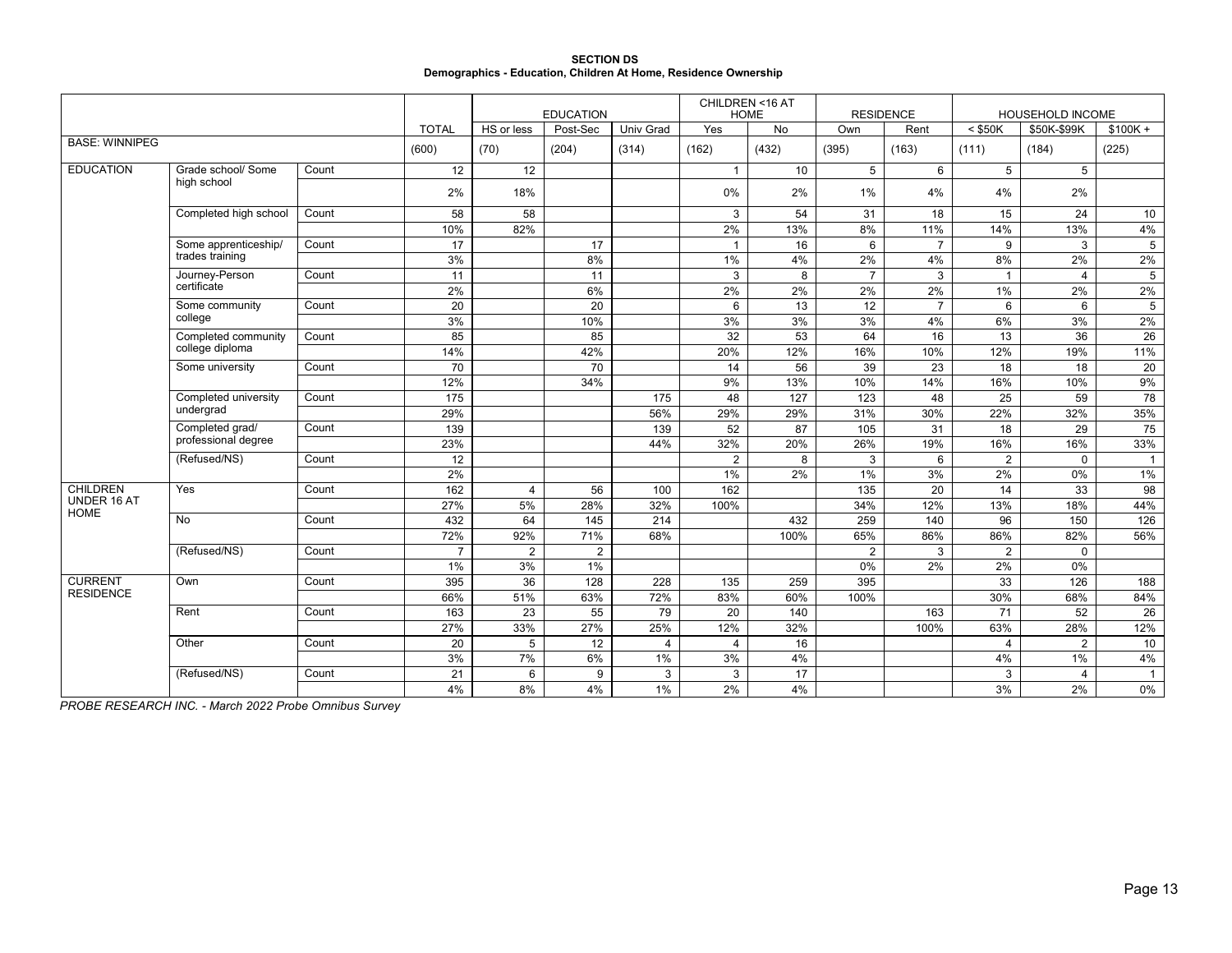|                                                                 | <b>SECTION DS</b> |  |
|-----------------------------------------------------------------|-------------------|--|
| Demographics - Education, Children At Home, Residence Ownership |                   |  |

|                            |                       |       |                  |                 | <b>EDUCATION</b> |                  |                | CHILDREN <16 AT<br><b>HOME</b> |                | <b>RESIDENCE</b> |                 | <b>HOUSEHOLD INCOME</b> |                 |
|----------------------------|-----------------------|-------|------------------|-----------------|------------------|------------------|----------------|--------------------------------|----------------|------------------|-----------------|-------------------------|-----------------|
|                            |                       |       | <b>TOTAL</b>     | HS or less      | Post-Sec         | Univ Grad        | Yes            | No                             | Own            | Rent             | $<$ \$50K       | \$50K-\$99K             | $$100K +$       |
| <b>BASE: WINNIPEG</b>      |                       |       | (600)            | (70)            | (204)            | (314)            | (162)          | (432)                          | (395)          | (163)            | (111)           | (184)                   | (225)           |
| <b>EDUCATION</b>           | Grade school/ Some    | Count | 12               | 12              |                  |                  | $\overline{1}$ | 10                             | 5              | 6                | 5               | 5                       |                 |
|                            | high school           |       | 2%               | 18%             |                  |                  | $0\%$          | 2%                             | 1%             | 4%               | 4%              | 2%                      |                 |
|                            | Completed high school | Count | 58               | 58              |                  |                  | 3              | 54                             | 31             | 18               | 15              | 24                      | 10              |
|                            |                       |       | 10%              | 82%             |                  |                  | 2%             | 13%                            | $8\%$          | 11%              | 14%             | 13%                     | 4%              |
|                            | Some apprenticeship/  | Count | $\overline{17}$  |                 | 17               |                  | $\overline{1}$ | $\overline{16}$                | 6              | $\overline{7}$   | 9               | 3                       | $\overline{5}$  |
|                            | trades training       |       | 3%               |                 | 8%               |                  | 1%             | 4%                             | 2%             | 4%               | 8%              | 2%                      | 2%              |
|                            | Journey-Person        | Count | 11               |                 | 11               |                  | 3              | 8                              | $\overline{7}$ | $\mathbf{3}$     | $\mathbf{1}$    | $\overline{4}$          | $5\phantom{.0}$ |
|                            | certificate           |       | 2%               |                 | 6%               |                  | 2%             | 2%                             | 2%             | 2%               | 1%              | 2%                      | 2%              |
|                            | Some community        | Count | 20               |                 | 20               |                  | 6              | 13                             | 12             | $\overline{7}$   | 6               | 6                       | $5\phantom{.0}$ |
|                            | college               |       | 3%               |                 | 10%              |                  | 3%             | 3%                             | 3%             | 4%               | 6%              | 3%                      | 2%              |
|                            | Completed community   | Count | 85               |                 | 85               |                  | 32             | 53                             | 64             | 16               | 13              | 36                      | $\overline{26}$ |
|                            | college diploma       |       | 14%              |                 | 42%              |                  | 20%            | 12%                            | 16%            | 10%              | 12%             | 19%                     | 11%             |
|                            | Some university       | Count | 70               |                 | 70               |                  | 14             | 56                             | 39             | 23               | 18              | 18                      | 20              |
|                            |                       |       | 12%              |                 | 34%              |                  | 9%             | 13%                            | 10%            | 14%              | 16%             | 10%                     | 9%              |
|                            | Completed university  | Count | $\overline{175}$ |                 |                  | 175              | 48             | 127                            | 123            | 48               | $\overline{25}$ | 59                      | 78              |
|                            | undergrad             |       | 29%              |                 |                  | 56%              | 29%            | 29%                            | 31%            | 30%              | 22%             | 32%                     | 35%             |
|                            | Completed grad/       | Count | 139              |                 |                  | 139              | 52             | 87                             | 105            | 31               | 18              | 29                      | 75              |
|                            | professional degree   |       | 23%              |                 |                  | 44%              | 32%            | 20%                            | 26%            | 19%              | 16%             | 16%                     | 33%             |
|                            | (Refused/NS)          | Count | 12               |                 |                  |                  | $\overline{2}$ | 8                              | 3              | 6                | $\overline{2}$  | $\Omega$                | $\overline{1}$  |
|                            |                       |       | 2%               |                 |                  |                  | $1\%$          | 2%                             | 1%             | 3%               | $2\%$           | 0%                      | $1\%$           |
| <b>CHILDREN</b>            | Yes                   | Count | 162              | $\overline{4}$  | 56               | 100              | 162            |                                | 135            | 20               | 14              | 33                      | 98              |
| UNDER 16 AT<br><b>HOME</b> |                       |       | 27%              | 5%              | 28%              | 32%              | 100%           |                                | 34%            | 12%              | 13%             | 18%                     | 44%             |
|                            | <b>No</b>             | Count | 432              | 64              | 145              | 214              |                | 432                            | 259            | 140              | 96              | 150                     | 126             |
|                            |                       |       | 72%              | 92%             | 71%              | 68%              |                | 100%                           | 65%            | 86%              | 86%             | 82%                     | 56%             |
|                            | (Refused/NS)          | Count | $\overline{7}$   | $\overline{2}$  | $\overline{2}$   |                  |                |                                | 2              | 3                | $\overline{2}$  | $\mathbf 0$             |                 |
|                            |                       |       | 1%               | 3%              | 1%               |                  |                |                                | 0%             | 2%               | 2%              | 0%                      |                 |
| <b>CURRENT</b>             | Own                   | Count | 395              | $\overline{36}$ | 128              | $\overline{228}$ | 135            | 259                            | 395            |                  | $\overline{33}$ | $\overline{126}$        | 188             |
| <b>RESIDENCE</b>           |                       |       | 66%              | 51%             | 63%              | 72%              | 83%            | 60%                            | 100%           |                  | 30%             | 68%                     | 84%             |
|                            | Rent                  | Count | 163              | 23              | 55               | 79               | 20             | 140                            |                | 163              | 71              | 52                      | 26              |
|                            |                       |       | 27%              | 33%             | 27%              | 25%              | 12%            | 32%                            |                | 100%             | 63%             | 28%                     | 12%             |
|                            | Other                 | Count | 20               | 5               | 12               | 4                | $\overline{4}$ | 16                             |                |                  | $\overline{4}$  | $\overline{2}$          | 10              |
|                            |                       |       | 3%               | 7%              | 6%               | 1%               | 3%             | 4%                             |                |                  | 4%              | 1%                      | 4%              |
|                            | (Refused/NS)          | Count | 21               | 6               | 9                | 3                | 3              | 17                             |                |                  | 3               | $\overline{4}$          | $\overline{1}$  |
|                            |                       |       | 4%               | 8%              | 4%               | 1%               | 2%             | 4%                             |                |                  | 3%              | 2%                      | $0\%$           |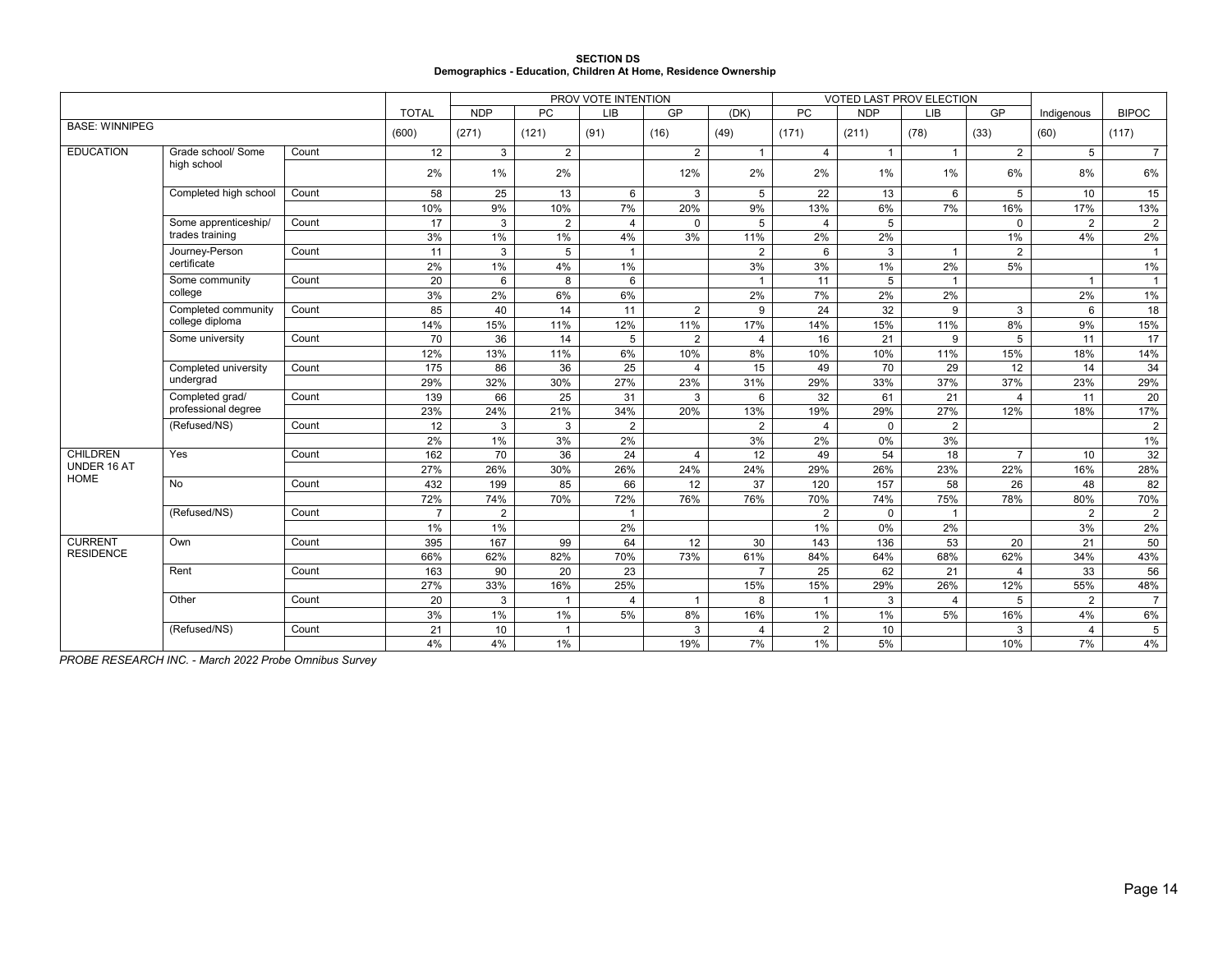| <b>SECTION DS</b>                                               |  |
|-----------------------------------------------------------------|--|
| Demographics - Education, Children At Home, Residence Ownership |  |

|                            |                       |       |                |                 |                | PROV VOTE INTENTION |                |                |                |                | VOTED LAST PROV ELECTION |                       |                |                |
|----------------------------|-----------------------|-------|----------------|-----------------|----------------|---------------------|----------------|----------------|----------------|----------------|--------------------------|-----------------------|----------------|----------------|
|                            |                       |       | <b>TOTAL</b>   | <b>NDP</b>      | <b>PC</b>      | <b>LIB</b>          | GP             | (DK)           | <b>PC</b>      | <b>NDP</b>     | <b>LIB</b>               | GP                    | Indigenous     | <b>BIPOC</b>   |
| <b>BASE: WINNIPEG</b>      |                       |       | (600)          | (271)           | (121)          | (91)                | (16)           | (49)           | (171)          | (211)          | (78)                     | (33)                  | (60)           | (117)          |
| <b>EDUCATION</b>           | Grade school/ Some    | Count | 12             | 3               | $\overline{2}$ |                     | $\overline{2}$ | $\overline{1}$ | $\overline{4}$ | $\overline{1}$ | $\overline{1}$           | $\overline{2}$        | 5              | $\overline{7}$ |
|                            | high school           |       | 2%             | 1%              | 2%             |                     | 12%            | 2%             | 2%             | 1%             | 1%                       | 6%                    | 8%             | 6%             |
|                            | Completed high school | Count | 58             | $\overline{25}$ | 13             | 6                   | 3              | 5              | 22             | 13             | 6                        | 5                     | 10             | 15             |
|                            |                       |       | 10%            | 9%              | 10%            | 7%                  | 20%            | 9%             | 13%            | 6%             | 7%                       | 16%                   | 17%            | 13%            |
|                            | Some apprenticeship/  | Count | 17             | 3               | 2              | 4                   | $\Omega$       | 5              | $\overline{4}$ | 5              |                          | $\mathbf 0$           | 2              | $\overline{2}$ |
|                            | trades training       |       | 3%             | $1\%$           | $1\%$          | 4%                  | 3%             | 11%            | 2%             | 2%             |                          | 1%                    | 4%             | 2%             |
|                            | Journey-Person        | Count | 11             | 3               | 5              | $\mathbf{1}$        |                | $\overline{2}$ | 6              | 3              | $\mathbf{1}$             | 2                     |                | $\sim$         |
|                            | certificate           |       | 2%             | 1%              | 4%             | $1\%$               |                | 3%             | 3%             | 1%             | 2%                       | 5%                    |                | 1%             |
|                            | Some community        | Count | 20             | 6               | 8              | 6                   |                | $\overline{1}$ | 11             | 5              | $\mathbf{1}$             |                       | $\mathbf{1}$   | $\overline{1}$ |
|                            | college               |       | 3%             | 2%              | 6%             | 6%                  |                | 2%             | 7%             | 2%             | 2%                       |                       | 2%             | 1%             |
|                            | Completed community   | Count | 85             | 40              | 14             | 11                  | $\overline{2}$ | 9              | 24             | 32             | 9                        | 3                     | 6              | 18             |
|                            | college diploma       |       | 14%            | 15%             | 11%            | 12%                 | 11%            | 17%            | 14%            | 15%            | 11%                      | 8%                    | 9%             | 15%            |
|                            | Some university       | Count | 70             | 36              | 14             | 5                   | 2              | 4              | 16             | 21             | 9                        | 5                     | 11             | 17             |
|                            |                       |       | 12%            | 13%             | 11%            | 6%                  | 10%            | 8%             | 10%            | 10%            | 11%                      | 15%                   | 18%            | 14%            |
|                            | Completed university  | Count | 175            | 86              | 36             | 25                  | $\overline{4}$ | 15             | 49             | 70             | 29                       | 12                    | 14             | 34             |
|                            | undergrad             |       | 29%            | 32%             | 30%            | 27%                 | 23%            | 31%            | 29%            | 33%            | 37%                      | 37%                   | 23%            | 29%            |
|                            | Completed grad/       | Count | 139            | 66              | 25             | 31                  | 3              | 6              | 32             | 61             | 21                       | $\boldsymbol{\Delta}$ | 11             | 20             |
|                            | professional degree   |       | 23%            | 24%             | 21%            | 34%                 | 20%            | 13%            | 19%            | 29%            | 27%                      | 12%                   | 18%            | 17%            |
|                            | (Refused/NS)          | Count | 12             | 3               | 3              | $\overline{2}$      |                | $\overline{2}$ | $\overline{4}$ | $\mathbf 0$    | $\overline{2}$           |                       |                | $\overline{2}$ |
|                            |                       |       | 2%             | 1%              | 3%             | 2%                  |                | 3%             | 2%             | 0%             | 3%                       |                       |                | $1\%$          |
| <b>CHILDREN</b>            | Yes                   | Count | 162            | 70              | 36             | 24                  | $\overline{4}$ | 12             | 49             | 54             | 18                       | $\overline{7}$        | 10             | 32             |
| UNDER 16 AT<br><b>HOME</b> |                       |       | 27%            | 26%             | 30%            | 26%                 | 24%            | 24%            | 29%            | 26%            | 23%                      | 22%                   | 16%            | 28%            |
|                            | <b>No</b>             | Count | 432            | 199             | 85             | 66                  | 12             | 37             | 120            | 157            | 58                       | 26                    | 48             | 82             |
|                            |                       |       | 72%            | 74%             | 70%            | 72%                 | 76%            | 76%            | 70%            | 74%            | 75%                      | 78%                   | 80%            | 70%            |
|                            | (Refused/NS)          | Count | $\overline{7}$ | 2               |                | $\overline{1}$      |                |                | $\overline{2}$ | $\mathbf{0}$   | $\overline{1}$           |                       | $\overline{2}$ | $\overline{2}$ |
|                            |                       |       | $1\%$          | $1\%$           |                | 2%                  |                |                | 1%             | 0%             | 2%                       |                       | 3%             | 2%             |
| <b>CURRENT</b>             | Own                   | Count | 395            | 167             | 99             | 64                  | 12             | 30             | 143            | 136            | 53                       | 20                    | 21             | 50             |
| <b>RESIDENCE</b>           |                       |       | 66%            | 62%             | 82%            | 70%                 | 73%            | 61%            | 84%            | 64%            | 68%                      | 62%                   | 34%            | 43%            |
|                            | Rent                  | Count | 163            | 90              | 20             | 23                  |                | $\overline{7}$ | 25             | 62             | 21                       | $\overline{4}$        | 33             | 56             |
|                            |                       |       | 27%            | 33%             | 16%            | 25%                 |                | 15%            | 15%            | 29%            | 26%                      | 12%                   | 55%            | 48%            |
|                            | Other                 | Count | 20             | 3               | $\overline{1}$ | 4                   | $\mathbf{1}$   | 8              | $\overline{1}$ | 3              | $\overline{4}$           | 5                     | 2              | $\overline{7}$ |
|                            |                       |       | 3%             | $1\%$           | 1%             | 5%                  | 8%             | 16%            | 1%             | 1%             | 5%                       | 16%                   | 4%             | 6%             |
|                            | (Refused/NS)          | Count | 21             | 10              | $\overline{1}$ |                     | 3              | $\overline{4}$ | $\overline{2}$ | 10             |                          | 3                     | $\overline{4}$ | 5              |
|                            |                       |       | 4%             | 4%              | 1%             |                     | 19%            | 7%             | $1\%$          | 5%             |                          | 10%                   | 7%             | 4%             |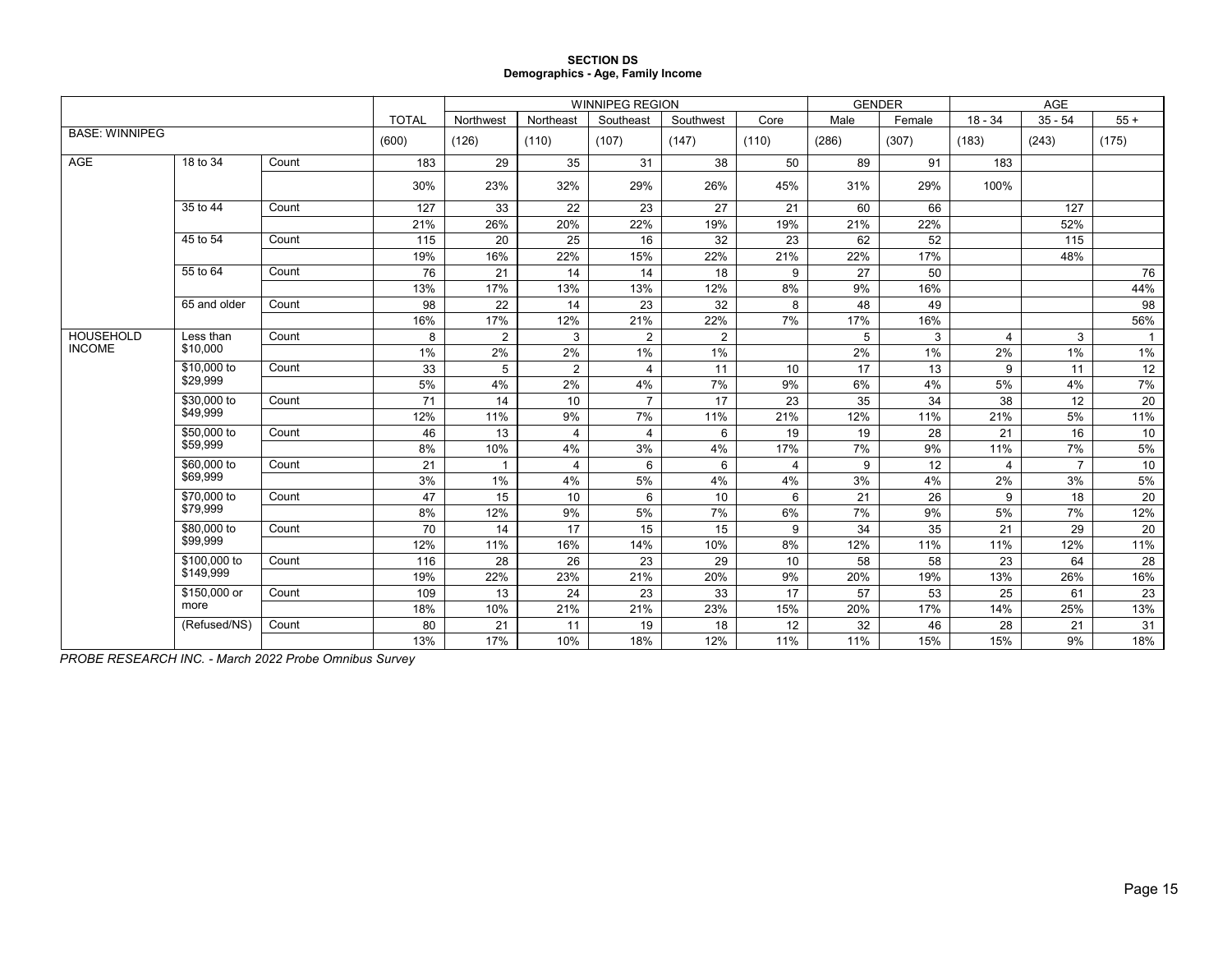#### **SECTION DS Demographics - Age, Family Income**

|                       |              |       |       | <b>WINNIPEG REGION</b><br><b>TOTAL</b><br>Northeast<br>Southeast<br>Southwest<br>Northwest<br>Core |                |                |                |       | <b>GENDER</b> |        | AGE            |                |                 |
|-----------------------|--------------|-------|-------|----------------------------------------------------------------------------------------------------|----------------|----------------|----------------|-------|---------------|--------|----------------|----------------|-----------------|
|                       |              |       |       |                                                                                                    |                |                |                |       | Male          | Female | $18 - 34$      | $35 - 54$      | $55+$           |
| <b>BASE: WINNIPEG</b> |              |       | (600) | (126)                                                                                              | (110)          | (107)          | (147)          | (110) | (286)         | (307)  | (183)          | (243)          | (175)           |
| AGE                   | 18 to 34     | Count | 183   | 29                                                                                                 | 35             | 31             | 38             | 50    | 89            | 91     | 183            |                |                 |
|                       |              |       | 30%   | 23%                                                                                                | 32%            | 29%            | 26%            | 45%   | 31%           | 29%    | 100%           |                |                 |
|                       | 35 to 44     | Count | 127   | 33                                                                                                 | 22             | 23             | 27             | 21    | 60            | 66     |                | 127            |                 |
|                       |              |       | 21%   | 26%                                                                                                | 20%            | 22%            | 19%            | 19%   | 21%           | 22%    |                | 52%            |                 |
|                       | 45 to 54     | Count | 115   | 20                                                                                                 | 25             | 16             | 32             | 23    | 62            | 52     |                | 115            |                 |
|                       |              |       | 19%   | 16%                                                                                                | 22%            | 15%            | 22%            | 21%   | 22%           | 17%    |                | 48%            |                 |
|                       | 55 to 64     | Count | 76    | 21                                                                                                 | 14             | 14             | 18             | 9     | 27            | 50     |                |                | 76              |
|                       |              |       | 13%   | 17%                                                                                                | 13%            | 13%            | 12%            | 8%    | 9%            | 16%    |                |                | 44%             |
|                       | 65 and older | Count | 98    | 22                                                                                                 | 14             | 23             | 32             | 8     | 48            | 49     |                |                | 98              |
|                       |              |       | 16%   | 17%                                                                                                | 12%            | 21%            | 22%            | 7%    | 17%           | 16%    |                |                | 56%             |
| HOUSEHOLD             | Less than    | Count | 8     | $\overline{2}$                                                                                     | 3              | 2              | $\overline{2}$ |       | 5             | 3      | 4              | 3              | $\overline{1}$  |
| <b>INCOME</b>         | \$10,000     |       | 1%    | 2%                                                                                                 | 2%             | 1%             | 1%             |       | 2%            | 1%     | 2%             | $1\%$          | 1%              |
|                       | \$10,000 to  | Count | 33    | 5                                                                                                  | $\overline{2}$ | 4              | 11             | 10    | 17            | 13     | 9              | 11             | 12              |
|                       | \$29.999     |       | 5%    | 4%                                                                                                 | 2%             | 4%             | 7%             | 9%    | 6%            | 4%     | 5%             | 4%             | 7%              |
|                       | \$30,000 to  | Count | 71    | 14                                                                                                 | 10             | $\overline{7}$ | 17             | 23    | 35            | 34     | 38             | 12             | 20              |
|                       | \$49,999     |       | 12%   | 11%                                                                                                | 9%             | 7%             | 11%            | 21%   | 12%           | 11%    | 21%            | 5%             | 11%             |
|                       | \$50,000 to  | Count | 46    | 13                                                                                                 | 4              | 4              | 6              | 19    | 19            | 28     | 21             | 16             | 10              |
|                       | \$59,999     |       | 8%    | 10%                                                                                                | 4%             | 3%             | 4%             | 17%   | 7%            | 9%     | 11%            | 7%             | $5\%$           |
|                       | \$60,000 to  | Count | 21    | $\overline{1}$                                                                                     | 4              | 6              | 6              | 4     | 9             | 12     | $\overline{4}$ | $\overline{7}$ | 10              |
|                       | \$69.999     |       | 3%    | 1%                                                                                                 | 4%             | 5%             | 4%             | 4%    | 3%            | 4%     | 2%             | 3%             | 5%              |
|                       | \$70,000 to  | Count | 47    | 15                                                                                                 | 10             | 6              | 10             | 6     | 21            | 26     | 9              | 18             | $\overline{20}$ |
|                       | \$79,999     |       | 8%    | 12%                                                                                                | 9%             | 5%             | 7%             | 6%    | 7%            | 9%     | 5%             | 7%             | 12%             |
|                       | \$80,000 to  | Count | 70    | 14                                                                                                 | 17             | 15             | 15             | 9     | 34            | 35     | 21             | 29             | 20              |
|                       | \$99,999     |       | 12%   | 11%                                                                                                | 16%            | 14%            | 10%            | 8%    | 12%           | 11%    | 11%            | 12%            | 11%             |
|                       | \$100,000 to | Count | 116   | 28                                                                                                 | 26             | 23             | 29             | 10    | 58            | 58     | 23             | 64             | 28              |
|                       | \$149,999    |       | 19%   | 22%                                                                                                | 23%            | 21%            | 20%            | 9%    | 20%           | 19%    | 13%            | 26%            | 16%             |
|                       | \$150,000 or | Count | 109   | 13                                                                                                 | 24             | 23             | 33             | 17    | 57            | 53     | 25             | 61             | 23              |
|                       | more         |       | 18%   | 10%                                                                                                | 21%            | 21%            | 23%            | 15%   | 20%           | 17%    | 14%            | 25%            | 13%             |
|                       | (Refused/NS) | Count | 80    | 21                                                                                                 | 11             | 19             | 18             | 12    | 32            | 46     | 28             | 21             | 31              |
|                       |              |       | 13%   | 17%                                                                                                | 10%            | 18%            | 12%            | 11%   | 11%           | 15%    | 15%            | 9%             | 18%             |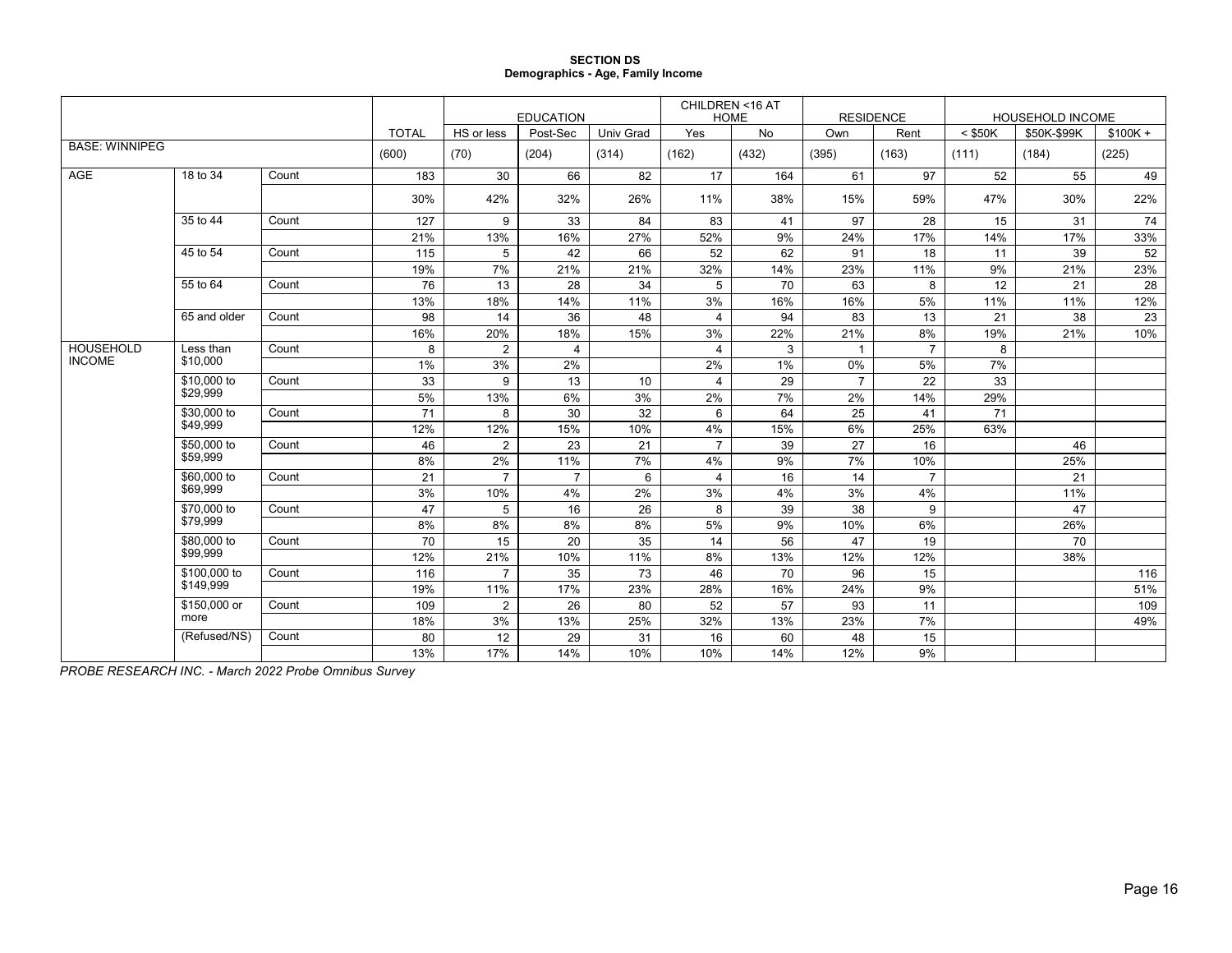#### **SECTION DS Demographics - Age, Family Income**

|                       |              |       |              |                | <b>EDUCATION</b> |           | CHILDREN <16 AT | <b>HOME</b> | <b>RESIDENCE</b> |                |           | HOUSEHOLD INCOME |           |
|-----------------------|--------------|-------|--------------|----------------|------------------|-----------|-----------------|-------------|------------------|----------------|-----------|------------------|-----------|
|                       |              |       | <b>TOTAL</b> | HS or less     | Post-Sec         | Univ Grad | Yes             | <b>No</b>   | Own              | Rent           | $<$ \$50K | \$50K-\$99K      | $$100K +$ |
| <b>BASE: WINNIPEG</b> |              |       | (600)        | (70)           | (204)            | (314)     | (162)           | (432)       | (395)            | (163)          | (111)     | (184)            | (225)     |
| <b>AGE</b>            | 18 to 34     | Count | 183          | 30             | 66               | 82        | 17              | 164         | 61               | 97             | 52        | 55               | 49        |
|                       |              |       | 30%          | 42%            | 32%              | 26%       | 11%             | 38%         | 15%              | 59%            | 47%       | 30%              | 22%       |
|                       | 35 to 44     | Count | 127          | 9              | 33               | 84        | 83              | 41          | 97               | 28             | 15        | 31               | 74        |
|                       |              |       | 21%          | 13%            | 16%              | 27%       | 52%             | 9%          | 24%              | 17%            | 14%       | 17%              | 33%       |
|                       | 45 to 54     | Count | 115          | 5              | 42               | 66        | 52              | 62          | 91               | 18             | 11        | 39               | 52        |
|                       |              |       | 19%          | 7%             | 21%              | 21%       | 32%             | 14%         | 23%              | 11%            | 9%        | 21%              | 23%       |
|                       | 55 to 64     | Count | 76           | 13             | 28               | 34        | 5               | 70          | 63               | 8              | 12        | 21               | 28        |
|                       |              |       | 13%          | 18%            | 14%              | 11%       | 3%              | 16%         | 16%              | 5%             | 11%       | 11%              | 12%       |
|                       | 65 and older | Count | 98           | 14             | 36               | 48        | 4               | 94          | 83               | 13             | 21        | 38               | 23        |
|                       |              |       | 16%          | 20%            | 18%              | 15%       | 3%              | 22%         | 21%              | 8%             | 19%       | 21%              | 10%       |
| <b>HOUSEHOLD</b>      | Less than    | Count | 8            | $\overline{2}$ | $\overline{4}$   |           | $\overline{4}$  | 3           | $\mathbf{1}$     | $\overline{7}$ | 8         |                  |           |
| <b>INCOME</b>         | \$10,000     |       | 1%           | 3%             | 2%               |           | 2%              | 1%          | 0%               | 5%             | 7%        |                  |           |
|                       | \$10,000 to  | Count | 33           | 9              | 13               | 10        | 4               | 29          | $\overline{7}$   | 22             | 33        |                  |           |
|                       | \$29,999     |       | 5%           | 13%            | 6%               | 3%        | 2%              | 7%          | 2%               | 14%            | 29%       |                  |           |
|                       | \$30,000 to  | Count | 71           | 8              | 30               | 32        | 6               | 64          | 25               | 41             | 71        |                  |           |
|                       | \$49,999     |       | 12%          | 12%            | 15%              | 10%       | 4%              | 15%         | 6%               | 25%            | 63%       |                  |           |
|                       | \$50,000 to  | Count | 46           | 2              | 23               | 21        | $\overline{7}$  | 39          | 27               | 16             |           | 46               |           |
|                       | \$59,999     |       | 8%           | 2%             | 11%              | 7%        | 4%              | 9%          | 7%               | 10%            |           | 25%              |           |
|                       | \$60,000 to  | Count | 21           | $\overline{7}$ | $\overline{7}$   | 6         | 4               | 16          | 14               | $\overline{7}$ |           | 21               |           |
|                       | \$69.999     |       | 3%           | 10%            | 4%               | 2%        | 3%              | 4%          | 3%               | 4%             |           | 11%              |           |
|                       | \$70,000 to  | Count | 47           | 5              | 16               | 26        | 8               | 39          | 38               | 9              |           | 47               |           |
|                       | \$79,999     |       | 8%           | 8%             | 8%               | 8%        | 5%              | 9%          | 10%              | 6%             |           | 26%              |           |
|                       | \$80,000 to  | Count | 70           | 15             | 20               | 35        | 14              | 56          | 47               | 19             |           | 70               |           |
|                       | \$99.999     |       | 12%          | 21%            | 10%              | 11%       | 8%              | 13%         | 12%              | 12%            |           | 38%              |           |
|                       | \$100,000 to | Count | 116          | $\overline{7}$ | 35               | 73        | 46              | 70          | 96               | 15             |           |                  | 116       |
|                       | \$149,999    |       | 19%          | 11%            | 17%              | 23%       | 28%             | 16%         | 24%              | 9%             |           |                  | 51%       |
|                       | \$150,000 or | Count | 109          | 2              | 26               | 80        | 52              | 57          | 93               | 11             |           |                  | 109       |
|                       | more         |       | 18%          | 3%             | 13%              | 25%       | 32%             | 13%         | 23%              | 7%             |           |                  | 49%       |
|                       | (Refused/NS) | Count | 80           | 12             | 29               | 31        | 16              | 60          | 48               | 15             |           |                  |           |
|                       |              |       | 13%          | 17%            | 14%              | 10%       | 10%             | 14%         | 12%              | 9%             |           |                  |           |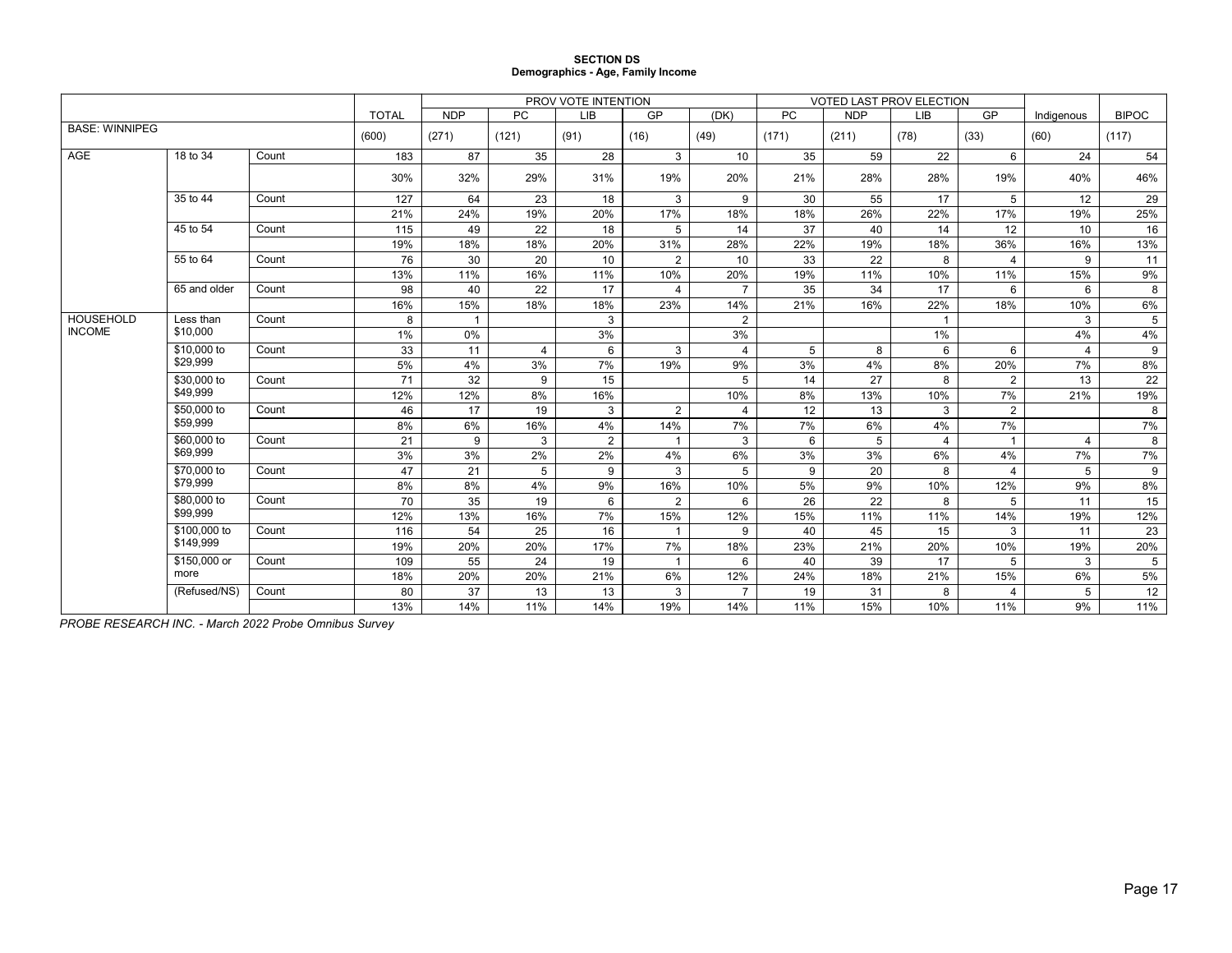#### **SECTION DS Demographics - Age, Family Income**

|                       |              |       |              |                |           | PROV VOTE INTENTION |                |                |       | VOTED LAST PROV ELECTION |      |                |                |                |
|-----------------------|--------------|-------|--------------|----------------|-----------|---------------------|----------------|----------------|-------|--------------------------|------|----------------|----------------|----------------|
|                       |              |       | <b>TOTAL</b> | <b>NDP</b>     | <b>PC</b> | <b>LIB</b>          | GP             | (DK)           | PC    | <b>NDP</b>               | LIB  | GP             | Indigenous     | <b>BIPOC</b>   |
| <b>BASE: WINNIPEG</b> |              |       | (600)        | (271)          | (121)     | (91)                | (16)           | (49)           | (171) | (211)                    | (78) | (33)           | (60)           | (117)          |
| AGE                   | 18 to 34     | Count | 183          | 87             | 35        | 28                  | 3              | 10             | 35    | 59                       | 22   | 6              | 24             | 54             |
|                       |              |       | 30%          | 32%            | 29%       | 31%                 | 19%            | 20%            | 21%   | 28%                      | 28%  | 19%            | 40%            | 46%            |
|                       | 35 to 44     | Count | 127          | 64             | 23        | 18                  | 3              | 9              | 30    | 55                       | 17   | 5              | 12             | 29             |
|                       |              |       | 21%          | 24%            | 19%       | 20%                 | 17%            | 18%            | 18%   | 26%                      | 22%  | 17%            | 19%            | 25%            |
|                       | 45 to 54     | Count | 115          | 49             | 22        | 18                  | 5              | 14             | 37    | 40                       | 14   | 12             | 10             | 16             |
|                       |              |       | 19%          | 18%            | 18%       | 20%                 | 31%            | 28%            | 22%   | 19%                      | 18%  | 36%            | 16%            | 13%            |
|                       | 55 to 64     | Count | 76           | 30             | 20        | 10                  | 2              | 10             | 33    | 22                       | 8    | $\overline{4}$ | 9              | 11             |
|                       |              |       | 13%          | 11%            | 16%       | 11%                 | 10%            | 20%            | 19%   | 11%                      | 10%  | 11%            | 15%            | 9%             |
|                       | 65 and older | Count | 98           | 40             | 22        | 17                  | 4              | $\overline{7}$ | 35    | 34                       | 17   | 6              | 6              | 8              |
|                       |              |       | 16%          | 15%            | 18%       | 18%                 | 23%            | 14%            | 21%   | 16%                      | 22%  | 18%            | 10%            | 6%             |
| <b>HOUSEHOLD</b>      | Less than    | Count | 8            | $\overline{1}$ |           | 3                   |                | $\overline{2}$ |       |                          | -1   |                | 3              | $\overline{5}$ |
| <b>INCOME</b>         | \$10,000     |       | $1\%$        | 0%             |           | 3%                  |                | 3%             |       |                          | 1%   |                | 4%             | 4%             |
|                       | \$10,000 to  | Count | 33           | 11             | 4         | 6                   | 3              | 4              | 5     | 8                        | 6    | 6              | $\overline{4}$ | 9              |
|                       | \$29,999     |       | 5%           | 4%             | 3%        | 7%                  | 19%            | 9%             | 3%    | 4%                       | 8%   | 20%            | 7%             | 8%             |
|                       | \$30,000 to  | Count | 71           | 32             | 9         | 15                  |                | 5              | 14    | 27                       | 8    | $\overline{2}$ | 13             | 22             |
|                       | \$49,999     |       | 12%          | 12%            | 8%        | 16%                 |                | 10%            | 8%    | 13%                      | 10%  | 7%             | 21%            | 19%            |
|                       | \$50,000 to  | Count | 46           | 17             | 19        | 3                   | $\overline{2}$ | 4              | 12    | 13                       | 3    | $\overline{2}$ |                | 8              |
|                       | \$59,999     |       | 8%           | 6%             | 16%       | 4%                  | 14%            | 7%             | 7%    | 6%                       | 4%   | 7%             |                | 7%             |
|                       | \$60,000 to  | Count | 21           | 9              | 3         | 2                   | $\overline{1}$ | 3              | 6     | 5                        | 4    | $\mathbf{1}$   | $\overline{4}$ | 8              |
|                       | \$69,999     |       | 3%           | 3%             | 2%        | 2%                  | 4%             | 6%             | 3%    | 3%                       | 6%   | 4%             | 7%             | 7%             |
|                       | \$70,000 to  | Count | 47           | 21             | 5         | 9                   | 3              | 5              | 9     | 20                       | 8    | $\overline{4}$ | 5              | $9\,$          |
|                       | \$79,999     |       | 8%           | 8%             | 4%        | 9%                  | 16%            | 10%            | 5%    | 9%                       | 10%  | 12%            | 9%             | 8%             |
|                       | \$80,000 to  | Count | 70           | 35             | 19        | 6                   | 2              | 6              | 26    | 22                       | 8    | 5              | 11             | 15             |
|                       | \$99,999     |       | 12%          | 13%            | 16%       | 7%                  | 15%            | 12%            | 15%   | 11%                      | 11%  | 14%            | 19%            | 12%            |
|                       | \$100,000 to | Count | 116          | 54             | 25        | 16                  | $\mathbf{1}$   | 9              | 40    | 45                       | 15   | 3              | 11             | 23             |
|                       | \$149.999    |       | 19%          | 20%            | 20%       | 17%                 | 7%             | 18%            | 23%   | 21%                      | 20%  | 10%            | 19%            | 20%            |
|                       | \$150,000 or | Count | 109          | 55             | 24        | 19                  | $\mathbf{1}$   | 6              | 40    | 39                       | 17   | 5              | 3              | 5              |
|                       | more         |       | 18%          | 20%            | 20%       | 21%                 | 6%             | 12%            | 24%   | 18%                      | 21%  | 15%            | 6%             | 5%             |
|                       | (Refused/NS) | Count | 80           | 37             | 13        | 13                  | 3              | $\overline{7}$ | 19    | 31                       | 8    | $\overline{4}$ | 5              | 12             |
|                       |              |       | 13%          | 14%            | 11%       | 14%                 | 19%            | 14%            | 11%   | 15%                      | 10%  | 11%            | 9%             | 11%            |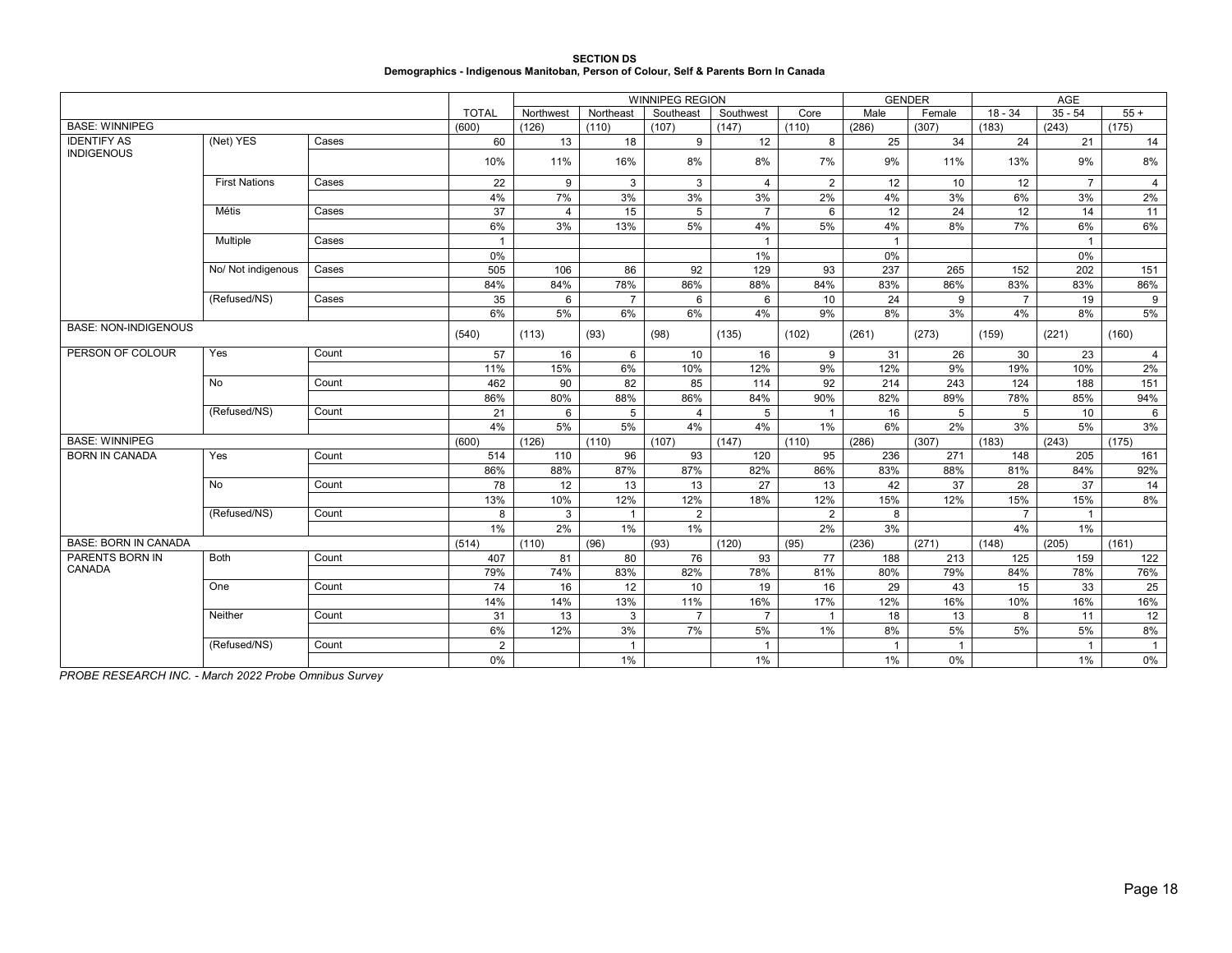| <b>SECTION DS</b>                                                                    |
|--------------------------------------------------------------------------------------|
| Demographics - Indigenous Manitoban, Person of Colour, Self & Parents Born In Canada |

|                             |                      |       |                | <b>WINNIPEG REGION</b> |                |                |                |                |                | <b>GENDER</b> |                |                |                |
|-----------------------------|----------------------|-------|----------------|------------------------|----------------|----------------|----------------|----------------|----------------|---------------|----------------|----------------|----------------|
|                             |                      |       | <b>TOTAL</b>   | Northwest              | Northeast      | Southeast      | Southwest      | Core           | Male           | Female        | $18 - 34$      | $35 - 54$      | $55+$          |
| <b>BASE: WINNIPEG</b>       |                      |       | (600)          | (126)                  | (110)          | (107)          | (147)          | (110)          | (286)          | (307)         | (183)          | (243)          | (175)          |
| <b>IDENTIFY AS</b>          | (Net) YES            | Cases | 60             | 13                     | 18             | 9              | 12             | 8              | 25             | 34            | 24             | 21             | 14             |
| <b>INDIGENOUS</b>           |                      |       | 10%            | 11%                    | 16%            | 8%             | 8%             | 7%             | 9%             | 11%           | 13%            | 9%             | 8%             |
|                             | <b>First Nations</b> | Cases | 22             | 9                      | 3              | 3              | $\overline{4}$ | $\overline{2}$ | 12             | 10            | 12             | $\overline{7}$ | $\overline{4}$ |
|                             |                      |       | 4%             | 7%                     | 3%             | 3%             | 3%             | 2%             | 4%             | 3%            | 6%             | 3%             | 2%             |
|                             | Métis                | Cases | 37             | $\overline{4}$         | 15             | 5              | $\overline{7}$ | 6              | 12             | 24            | 12             | 14             | 11             |
|                             |                      |       | 6%             | 3%                     | 13%            | 5%             | 4%             | 5%             | 4%             | 8%            | 7%             | 6%             | 6%             |
|                             | Multiple             | Cases |                |                        |                |                | $\overline{1}$ |                | $\overline{1}$ |               |                | $\mathbf{1}$   |                |
|                             |                      |       | 0%             |                        |                |                | 1%             |                | 0%             |               |                | 0%             |                |
|                             | No/ Not indigenous   | Cases | 505            | 106                    | 86             | 92             | 129            | 93             | 237            | 265           | 152            | 202            | 151            |
|                             |                      |       | 84%            | 84%                    | 78%            | 86%            | 88%            | 84%            | 83%            | 86%           | 83%            | 83%            | 86%            |
|                             | (Refused/NS)         | Cases | 35             | 6                      | $\overline{7}$ | 6              | 6              | 10             | 24             | 9             | $\overline{7}$ | 19             | 9              |
|                             |                      |       | 6%             | 5%                     | 6%             | 6%             | 4%             | 9%             | 8%             | 3%            | 4%             | 8%             | 5%             |
| <b>BASE: NON-INDIGENOUS</b> |                      |       | (540)          | (113)                  | (93)           | (98)           | (135)          | (102)          | (261)          | (273)         | (159)          | (221)          | (160)          |
| PERSON OF COLOUR            | Yes                  | Count | 57             | 16                     | 6              | 10             | 16             | 9              | 31             | 26            | 30             | 23             | $\overline{4}$ |
|                             |                      |       | 11%            | 15%                    | 6%             | 10%            | 12%            | 9%             | 12%            | 9%            | 19%            | 10%            | 2%             |
|                             | No                   | Count | 462            | 90                     | 82             | 85             | 114            | 92             | 214            | 243           | 124            | 188            | 151            |
|                             |                      |       | 86%            | 80%                    | 88%            | 86%            | 84%            | 90%            | 82%            | 89%           | 78%            | 85%            | 94%            |
|                             | (Refused/NS)         | Count | 21             | 6                      | 5              | $\overline{4}$ | 5              | $\overline{1}$ | 16             | 5             | 5              | 10             | 6              |
|                             |                      |       | 4%             | 5%                     | 5%             | 4%             | 4%             | $1\%$          | 6%             | 2%            | 3%             | 5%             | 3%             |
| <b>BASE: WINNIPEG</b>       |                      |       | (600)          | (126)                  | (110)          | (107)          | (147)          | (110)          | (286)          | (307)         | (183)          | (243)          | (175)          |
| <b>BORN IN CANADA</b>       | Yes                  | Count | 514            | 110                    | 96             | 93             | 120            | 95             | 236            | 271           | 148            | 205            | 161            |
|                             |                      |       | 86%            | 88%                    | 87%            | 87%            | 82%            | 86%            | 83%            | 88%           | 81%            | 84%            | 92%            |
|                             | No                   | Count | 78             | 12                     | 13             | 13             | 27             | 13             | 42             | 37            | 28             | 37             | 14             |
|                             |                      |       | 13%            | 10%                    | 12%            | 12%            | 18%            | 12%            | 15%            | 12%           | 15%            | 15%            | 8%             |
|                             | (Refused/NS)         | Count | 8              | 3                      | $\overline{1}$ | $\overline{2}$ |                | 2              | 8              |               | $\overline{7}$ | $\overline{1}$ |                |
|                             |                      |       | 1%             | 2%                     | 1%             | 1%             |                | 2%             | 3%             |               | 4%             | 1%             |                |
| <b>BASE: BORN IN CANADA</b> |                      |       | (514)          | (110)                  | (96)           | (93)           | (120)          | (95)           | (236)          | (271)         | (148)          | (205)          | (161)          |
| PARENTS BORN IN             | <b>Both</b>          | Count | 407            | 81                     | 80             | 76             | 93             | 77             | 188            | 213           | 125            | 159            | 122            |
| CANADA                      |                      |       | 79%            | 74%                    | 83%            | 82%            | 78%            | 81%            | 80%            | 79%           | 84%            | 78%            | 76%            |
|                             | One                  | Count | 74             | 16                     | 12             | 10             | 19             | 16             | 29             | 43            | 15             | 33             | 25             |
|                             |                      |       | 14%            | 14%                    | 13%            | 11%            | 16%            | 17%            | 12%            | 16%           | 10%            | 16%            | 16%            |
|                             | Neither              | Count | 31             | 13                     | 3              | $\overline{7}$ | $\overline{7}$ | $\overline{1}$ | 18             | 13            | 8              | 11             | 12             |
|                             |                      |       | 6%             | 12%                    | 3%             | 7%             | 5%             | 1%             | 8%             | 5%            | 5%             | 5%             | 8%             |
|                             | (Refused/NS)         | Count | $\overline{2}$ |                        | $\overline{1}$ |                | $\mathbf 1$    |                | $\mathbf{1}$   |               |                | $\mathbf 1$    | $\mathbf{1}$   |
|                             |                      |       | 0%             |                        | $1\%$          |                | 1%             |                | 1%             | 0%            |                | 1%             | 0%             |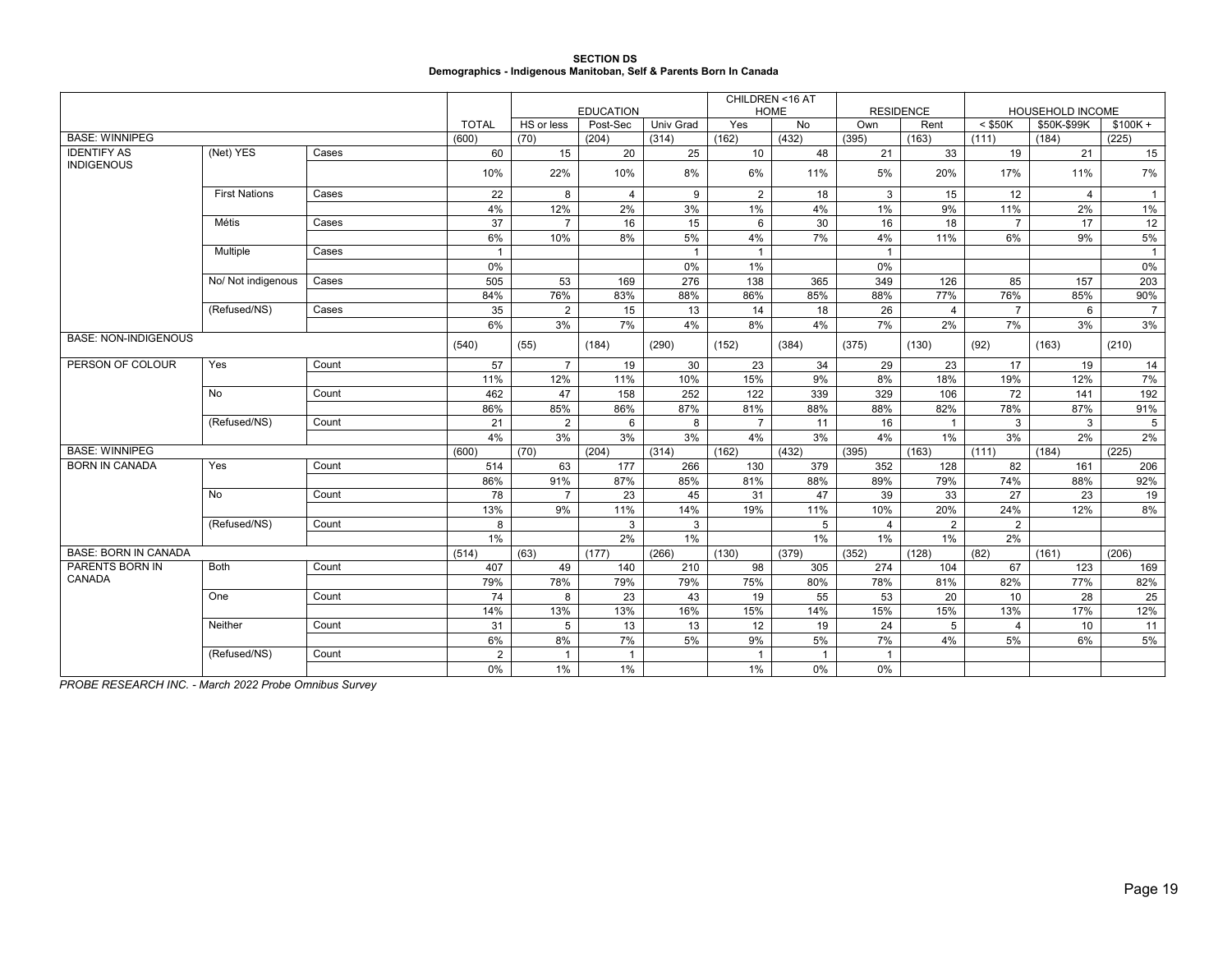## **SECTION DS Demographics - Indigenous Manitoban, Self & Parents Born In Canada**

|                             |                      |       |                |                |                              |              | CHILDREN <16 AT<br><b>HOME</b> |                | <b>RESIDENCE</b> |                |                |                                 |                |
|-----------------------------|----------------------|-------|----------------|----------------|------------------------------|--------------|--------------------------------|----------------|------------------|----------------|----------------|---------------------------------|----------------|
|                             |                      |       | <b>TOTAL</b>   | HS or less     | <b>EDUCATION</b><br>Post-Sec | Univ Grad    | Yes                            | No             | Own              | Rent           | $<$ \$50K      | HOUSEHOLD INCOME<br>\$50K-\$99K | $$100K +$      |
| <b>BASE: WINNIPEG</b>       |                      |       | (600)          | (70)           | (204)                        | (314)        | (162)                          | (432)          | (395)            | (163)          | (111)          | (184)                           | (225)          |
| <b>IDENTIFY AS</b>          | (Net) YES            | Cases | 60             | 15             | 20                           | 25           | 10                             | 48             | 21               | 33             | 19             | 21                              | 15             |
| <b>INDIGENOUS</b>           |                      |       | 10%            | 22%            | 10%                          | 8%           | 6%                             | 11%            | 5%               | 20%            | 17%            | 11%                             | 7%             |
|                             | <b>First Nations</b> | Cases | 22             | 8              | $\overline{4}$               | 9            | 2                              | 18             | 3                | 15             | 12             | $\overline{4}$                  | $\overline{1}$ |
|                             |                      |       | 4%             | 12%            | 2%                           | 3%           | 1%                             | 4%             | 1%               | 9%             | 11%            | 2%                              | 1%             |
|                             | Métis                | Cases | 37             | $\overline{7}$ | 16                           | 15           | 6                              | 30             | 16               | 18             | $\overline{7}$ | 17                              | 12             |
|                             |                      |       | 6%             | 10%            | 8%                           | 5%           | 4%                             | 7%             | 4%               | 11%            | 6%             | 9%                              | 5%             |
|                             | Multiple             | Cases | -1             |                |                              | $\mathbf{1}$ | $\mathbf{1}$                   |                | $\mathbf{1}$     |                |                |                                 | $\overline{1}$ |
|                             |                      |       | 0%             |                |                              | 0%           | 1%                             |                | 0%               |                |                |                                 | $0\%$          |
|                             | No/ Not indigenous   | Cases | 505            | 53             | 169                          | 276          | 138                            | 365            | 349              | 126            | 85             | 157                             | 203            |
|                             |                      |       | 84%            | 76%            | 83%                          | 88%          | 86%                            | 85%            | 88%              | 77%            | 76%            | 85%                             | 90%            |
|                             | (Refused/NS)         | Cases | 35             | $\overline{2}$ | 15                           | 13           | 14                             | 18             | 26               | $\overline{4}$ | $\overline{7}$ | 6                               | $\overline{7}$ |
|                             |                      |       | 6%             | 3%             | 7%                           | 4%           | 8%                             | 4%             | 7%               | 2%             | 7%             | 3%                              | 3%             |
| <b>BASE: NON-INDIGENOUS</b> |                      |       | (540)          | (55)           | (184)                        | (290)        | (152)                          | (384)          | (375)            | (130)          | (92)           | (163)                           | (210)          |
| PERSON OF COLOUR            | Yes                  | Count | 57             | $\overline{7}$ | 19                           | 30           | 23                             | 34             | 29               | 23             | 17             | 19                              | 14             |
|                             |                      |       | 11%            | 12%            | 11%                          | 10%          | 15%                            | 9%             | 8%               | 18%            | 19%            | 12%                             | 7%             |
|                             | No                   | Count | 462            | 47             | 158                          | 252          | 122                            | 339            | 329              | 106            | 72             | 141                             | 192            |
|                             |                      |       | 86%            | 85%            | 86%                          | 87%          | 81%                            | 88%            | 88%              | 82%            | 78%            | 87%                             | 91%            |
|                             | (Refused/NS)         | Count | 21             | 2              | 6                            | 8            | $\overline{7}$                 | 11             | 16               | $\mathbf{1}$   | 3              | 3                               | 5              |
|                             |                      |       | 4%             | 3%             | 3%                           | 3%           | 4%                             | 3%             | 4%               | $1\%$          | 3%             | 2%                              | $2\%$          |
| <b>BASE: WINNIPEG</b>       |                      |       | (600)          | (70)           | (204)                        | (314)        | (162)                          | (432)          | (395)            | (163)          | (111)          | (184)                           | (225)          |
| <b>BORN IN CANADA</b>       | Yes                  | Count | 514            | 63             | 177                          | 266          | 130                            | 379            | 352              | 128            | 82             | 161                             | 206            |
|                             |                      |       | 86%            | 91%            | 87%                          | 85%          | 81%                            | 88%            | 89%              | 79%            | 74%            | 88%                             | 92%            |
|                             | No                   | Count | 78             | $\overline{7}$ | 23                           | 45           | 31                             | 47             | 39               | 33             | 27             | 23                              | 19             |
|                             |                      |       | 13%            | 9%             | 11%                          | 14%          | 19%                            | 11%            | 10%              | 20%            | 24%            | 12%                             | 8%             |
|                             | (Refused/NS)         | Count | 8              |                | 3                            | 3            |                                | 5              | $\overline{4}$   | 2              | 2              |                                 |                |
|                             |                      |       | 1%             |                | 2%                           | 1%           |                                | 1%             | 1%               | $1\%$          | 2%             |                                 |                |
| <b>BASE: BORN IN CANADA</b> |                      |       | (514)          | (63)           | (177)                        | (266)        | (130)                          | (379)          | (352)            | (128)          | (82)           | (161)                           | (206)          |
| PARENTS BORN IN             | <b>Both</b>          | Count | 407            | 49             | 140                          | 210          | 98                             | 305            | 274              | 104            | 67             | 123                             | 169            |
| CANADA                      |                      |       | 79%            | 78%            | 79%                          | 79%          | 75%                            | 80%            | 78%              | 81%            | 82%            | 77%                             | 82%            |
|                             | One                  | Count | 74             | 8              | 23                           | 43           | 19                             | 55             | 53               | 20             | 10             | 28                              | 25             |
|                             |                      |       | 14%            | 13%            | 13%                          | 16%          | 15%                            | 14%            | 15%              | 15%            | 13%            | 17%                             | 12%            |
|                             | Neither              | Count | 31             | 5              | 13                           | 13           | 12                             | 19             | 24               | 5              | $\overline{4}$ | 10                              | 11             |
|                             |                      |       | 6%             | 8%             | 7%                           | 5%           | 9%                             | 5%             | 7%               | 4%             | 5%             | 6%                              | 5%             |
|                             | (Refused/NS)         | Count | $\overline{2}$ | $\mathbf{1}$   | $\overline{1}$               |              | $\mathbf{1}$                   | $\overline{1}$ | $\mathbf{1}$     |                |                |                                 |                |
|                             |                      |       | 0%             | 1%             | 1%                           |              | 1%                             | 0%             | 0%               |                |                |                                 |                |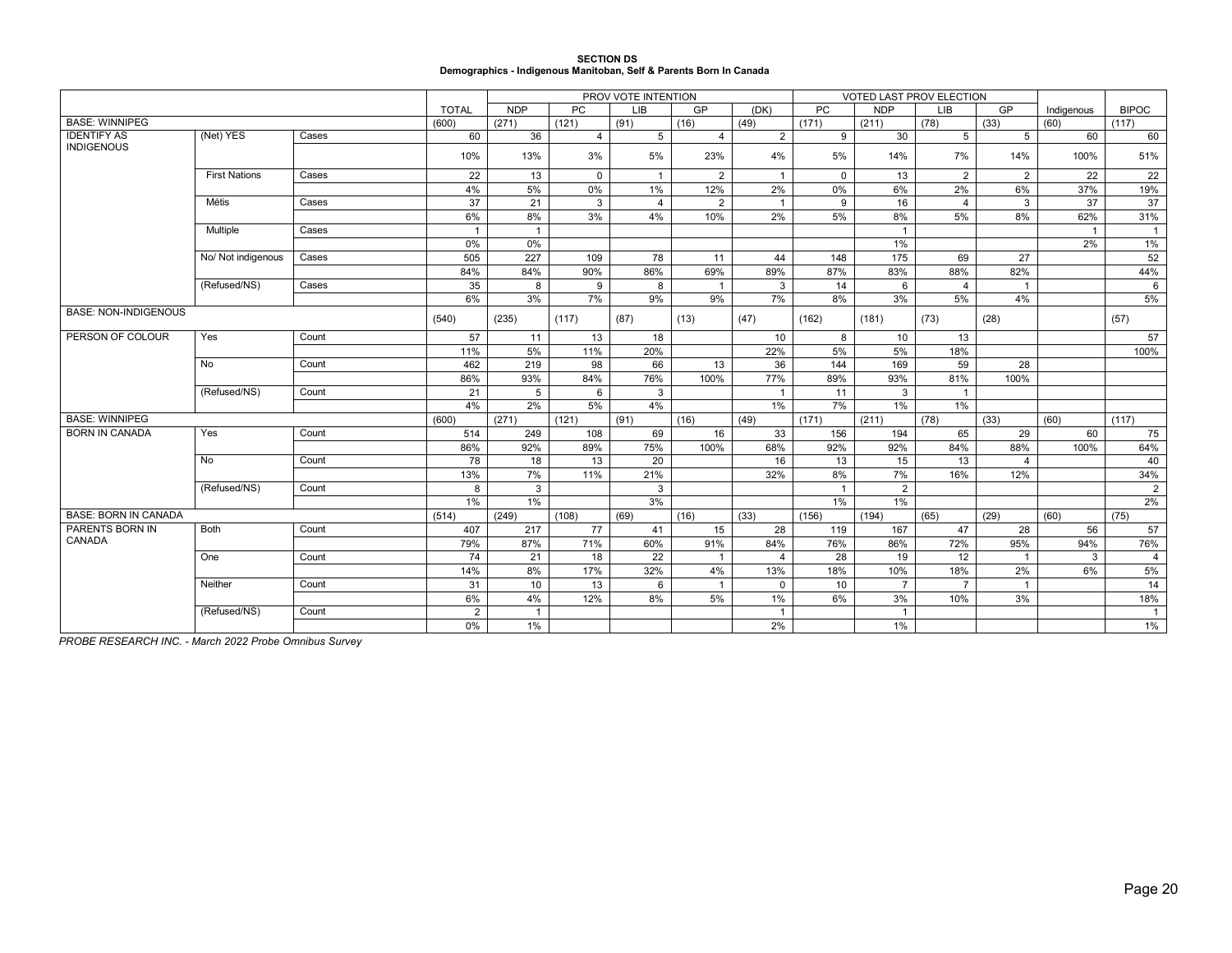| <b>SECTION DS</b>                                                  |
|--------------------------------------------------------------------|
| Demographics - Indigenous Manitoban, Self & Parents Born In Canada |

|                             |                      |       |                | PROV VOTE INTENTION |                |                |                |                |              | VOTED LAST PROV ELECTION |                |                |            |              |
|-----------------------------|----------------------|-------|----------------|---------------------|----------------|----------------|----------------|----------------|--------------|--------------------------|----------------|----------------|------------|--------------|
|                             |                      |       | <b>TOTAL</b>   | <b>NDP</b>          | <b>PC</b>      | <b>LIB</b>     | GP             | (DK)           | <b>PC</b>    | <b>NDP</b>               | <b>LIB</b>     | GP             | Indigenous | <b>BIPOC</b> |
| <b>BASE: WINNIPEG</b>       |                      |       | (600)          | (271)               | (121)          | (91)           | (16)           | (49)           | (171)        | (211)                    | (78)           | (33)           | (60)       | (117)        |
| <b>IDENTIFY AS</b>          | (Net) YES            | Cases | 60             | 36                  | $\overline{4}$ | 5              | $\overline{4}$ | 2              | 9            | 30                       | 5 <sup>5</sup> | $5^{\circ}$    | 60         | 60           |
| <b>INDIGENOUS</b>           |                      |       | 10%            | 13%                 | 3%             | 5%             | 23%            | 4%             | 5%           | 14%                      | 7%             | 14%            | 100%       | 51%          |
|                             | <b>First Nations</b> | Cases | 22             | 13                  | $\mathbf 0$    | $\overline{1}$ | $\overline{2}$ | $\mathbf{1}$   | $\mathbf 0$  | 13                       | 2              | 2              | 22         | 22           |
|                             |                      |       | 4%             | 5%                  | 0%             | 1%             | 12%            | 2%             | 0%           | 6%                       | 2%             | 6%             | 37%        | 19%          |
|                             | Métis                | Cases | 37             | 21                  | 3              | $\overline{4}$ | 2              | $\overline{1}$ | 9            | 16                       | $\overline{4}$ | 3              | 37         | 37           |
|                             |                      |       | 6%             | 8%                  | 3%             | 4%             | 10%            | 2%             | 5%           | 8%                       | 5%             | 8%             | 62%        | 31%          |
|                             | Multiple             | Cases | $\overline{1}$ | $\overline{1}$      |                |                |                |                |              | $\overline{1}$           |                |                |            | $\mathbf{1}$ |
|                             |                      |       | 0%             | 0%                  |                |                |                |                |              | 1%                       |                |                | 2%         | 1%           |
|                             | No/ Not indigenous   | Cases | 505            | 227                 | 109            | 78             | 11             | 44             | 148          | 175                      | 69             | 27             |            | 52           |
|                             |                      |       | 84%            | 84%                 | 90%            | 86%            | 69%            | 89%            | 87%          | 83%                      | 88%            | 82%            |            | 44%          |
|                             | (Refused/NS)         | Cases | 35             | 8                   | 9              | 8              | $\overline{1}$ | $\mathbf{3}$   | 14           | 6                        | $\overline{4}$ | $\overline{1}$ |            | 6            |
|                             |                      |       | 6%             | 3%                  | 7%             | 9%             | 9%             | 7%             | 8%           | 3%                       | 5%             | 4%             |            | 5%           |
| <b>BASE: NON-INDIGENOUS</b> |                      |       | (540)          | (235)               | (117)          | (87)           | (13)           | (47)           | (162)        | (181)                    | (73)           | (28)           |            | (57)         |
| PERSON OF COLOUR            | Yes                  | Count | 57             | 11                  | 13             | 18             |                | 10             | 8            | 10                       | 13             |                |            | 57           |
|                             |                      |       | 11%            | 5%                  | 11%            | 20%            |                | 22%            | 5%           | 5%                       | 18%            |                |            | 100%         |
|                             | $\overline{N_{0}}$   | Count | 462            | 219                 | 98             | 66             | 13             | 36             | 144          | 169                      | 59             | 28             |            |              |
|                             |                      |       | 86%            | 93%                 | 84%            | 76%            | 100%           | 77%            | 89%          | 93%                      | 81%            | 100%           |            |              |
|                             | (Refused/NS)         | Count | 21             | 5                   | 6              | 3              |                | $\overline{1}$ | 11           | $\mathbf{3}$             | $\mathbf{1}$   |                |            |              |
|                             |                      |       | 4%             | 2%                  | 5%             | 4%             |                | 1%             | 7%           | 1%                       | $1\%$          |                |            |              |
| <b>BASE: WINNIPEG</b>       |                      |       | (600)          | (271)               | (121)          | (91)           | (16)           | (49)           | (171)        | (211)                    | (78)           | (33)           | (60)       | (117)        |
| <b>BORN IN CANADA</b>       | Yes                  | Count | 514            | 249                 | 108            | 69             | 16             | 33             | 156          | 194                      | 65             | 29             | 60         | 75           |
|                             |                      |       | 86%            | 92%                 | 89%            | 75%            | 100%           | 68%            | 92%          | 92%                      | 84%            | 88%            | 100%       | 64%          |
|                             | <b>No</b>            | Count | 78             | 18                  | 13             | 20             |                | 16             | 13           | 15                       | 13             | $\overline{4}$ |            | 40           |
|                             |                      |       | 13%            | 7%                  | 11%            | 21%            |                | 32%            | 8%           | 7%                       | 16%            | 12%            |            | 34%          |
|                             | (Refused/NS)         | Count | 8              | 3                   |                | 3              |                |                | $\mathbf{1}$ | $\overline{2}$           |                |                |            | $2^{\circ}$  |
|                             |                      |       | 1%             | 1%                  |                | 3%             |                |                | 1%           | 1%                       |                |                |            | 2%           |
| <b>BASE: BORN IN CANADA</b> |                      |       | (514)          | (249)               | (108)          | (69)           | (16)           | (33)           | (156)        | (194)                    | (65)           | (29)           | (60)       | (75)         |
| PARENTS BORN IN             | <b>Both</b>          | Count | 407            | 217                 | 77             | 41             | 15             | 28             | 119          | 167                      | 47             | 28             | 56         | 57           |
| CANADA                      |                      |       | 79%            | 87%                 | 71%            | 60%            | 91%            | 84%            | 76%          | 86%                      | 72%            | 95%            | 94%        | 76%          |
|                             | One                  | Count | 74             | 21                  | 18             | 22             | $\mathbf{1}$   | $\overline{4}$ | 28           | 19                       | 12             | $\overline{1}$ | 3          | 4            |
|                             |                      |       | 14%            | 8%                  | 17%            | 32%            | 4%             | 13%            | 18%          | 10%                      | 18%            | 2%             | 6%         | 5%           |
|                             | Neither              | Count | 31             | 10 <sup>°</sup>     | 13             | 6              | $\overline{1}$ | $\mathbf 0$    | 10           | $\overline{7}$           | $\overline{7}$ | $\overline{1}$ |            | 14           |
|                             |                      |       | 6%             | 4%                  | 12%            | 8%             | 5%             | 1%             | 6%           | 3%                       | 10%            | 3%             |            | 18%          |
|                             | (Refused/NS)         | Count | $\overline{2}$ | $\overline{1}$      |                |                |                | $\overline{1}$ |              | $\mathbf{1}$             |                |                |            | $\mathbf{1}$ |
|                             |                      |       | 0%             | 1%                  |                |                |                | 2%             |              | $1\%$                    |                |                |            | $1\%$        |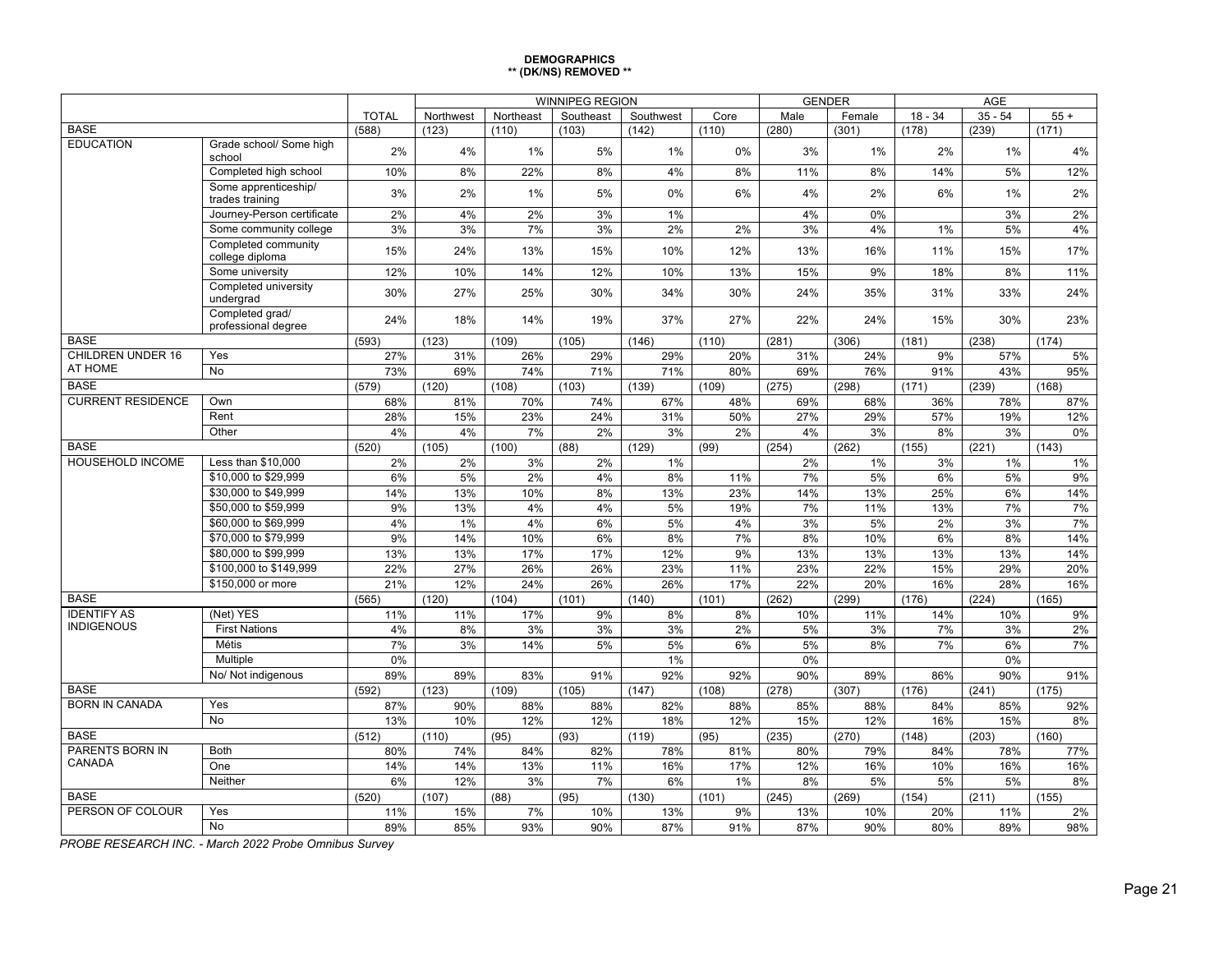#### **DEMOGRAPHICS \*\* (DK/NS) REMOVED \*\***

|                                         |                                         |              |              |             | <b>WINNIPEG REGION</b> |              |             |            | <b>GENDER</b> |              |            |            |
|-----------------------------------------|-----------------------------------------|--------------|--------------|-------------|------------------------|--------------|-------------|------------|---------------|--------------|------------|------------|
|                                         |                                         | <b>TOTAL</b> | Northwest    | Northeast   | Southeast              | Southwest    | Core        | Male       | Female        | $18 - 34$    | $35 - 54$  | $55+$      |
| <b>BASE</b>                             |                                         | (588)        | (123)        | (110)       | (103)                  | (142)        | (110)       | (280)      | (301)         | (178)        | (239)      | (171)      |
| <b>EDUCATION</b>                        | Grade school/ Some high<br>school       | 2%           | 4%           | 1%          | 5%                     | 1%           | 0%          | 3%         | 1%            | 2%           | 1%         | 4%         |
|                                         | Completed high school                   | 10%          | 8%           | 22%         | 8%                     | 4%           | 8%          | 11%        | 8%            | 14%          | 5%         | 12%        |
|                                         | Some apprenticeship/<br>trades training | 3%           | 2%           | 1%          | 5%                     | 0%           | 6%          | 4%         | 2%            | 6%           | 1%         | 2%         |
|                                         | Journey-Person certificate              | 2%           | 4%           | 2%          | 3%                     | 1%           |             | 4%         | 0%            |              | 3%         | 2%         |
|                                         | Some community college                  | 3%           | 3%           | 7%          | 3%                     | 2%           | 2%          | 3%         | 4%            | 1%           | 5%         | 4%         |
|                                         | Completed community<br>college diploma  | 15%          | 24%          | 13%         | 15%                    | 10%          | 12%         | 13%        | 16%           | 11%          | 15%        | 17%        |
|                                         | Some university                         | 12%          | 10%          | 14%         | 12%                    | 10%          | 13%         | 15%        | 9%            | 18%          | 8%         | 11%        |
|                                         | Completed university<br>undergrad       | 30%          | 27%          | 25%         | 30%                    | 34%          | 30%         | 24%        | 35%           | 31%          | 33%        | 24%        |
|                                         | Completed grad/<br>professional degree  | 24%          | 18%          | 14%         | 19%                    | 37%          | 27%         | 22%        | 24%           | 15%          | 30%        | 23%        |
| <b>BASE</b>                             |                                         | (593)        | (123)        | (109)       | (105)                  | (146)        | (110)       | (281)      | (306)         | (181)        | (238)      | (174)      |
| <b>CHILDREN UNDER 16</b>                | Yes                                     | 27%          | 31%          | 26%         | 29%                    | 29%          | 20%         | 31%        | 24%           | 9%           | 57%        | 5%         |
| AT HOME                                 | <b>No</b>                               | 73%          | 69%          | 74%         | 71%                    | 71%          | 80%         | 69%        | 76%           | 91%          | 43%        | 95%        |
| <b>BASE</b>                             |                                         | (579)        | (120)        | (108)       | (103)                  | (139)        | (109)       | (275)      | (298)         | (171)        | (239)      | (168)      |
| <b>CURRENT RESIDENCE</b>                | Own                                     | 68%          | 81%          | 70%         | 74%                    | 67%          | 48%         | 69%        | 68%           | 36%          | 78%        | 87%        |
|                                         | Rent                                    | 28%          | 15%          | 23%         | 24%                    | 31%          | 50%         | 27%        | 29%           | 57%          | 19%        | 12%        |
|                                         | Other                                   | 4%           | 4%           | 7%          | 2%                     | 3%           | 2%          | 4%         | 3%            | 8%           | 3%         | 0%         |
| <b>BASE</b>                             |                                         | (520)        | (105)        | (100)       | (88)                   | (129)        | (99)        | (254)      | (262)         | (155)        | (221)      | (143)      |
| <b>HOUSEHOLD INCOME</b>                 | Less than \$10,000                      | 2%           | 2%           | 3%          | 2%                     | 1%           |             | 2%         | 1%            | 3%           | 1%         | 1%         |
|                                         | \$10,000 to \$29,999                    | 6%           | 5%           | 2%          | 4%                     | 8%           | 11%         | 7%         | 5%            | 6%           | 5%         | 9%         |
|                                         | \$30,000 to \$49,999                    | 14%          | 13%          | 10%         | 8%                     | 13%          | 23%         | 14%        | 13%           | 25%          | 6%         | 14%        |
|                                         | \$50,000 to \$59,999                    | 9%           | 13%          | 4%          | 4%                     | 5%           | 19%         | 7%         | 11%           | 13%          | 7%         | 7%         |
|                                         | \$60,000 to \$69,999                    | 4%           | 1%           | 4%          | 6%                     | 5%           | 4%          | 3%         | 5%            | 2%           | 3%         | 7%         |
|                                         | \$70,000 to \$79,999                    | 9%           | 14%          | 10%         | 6%                     | 8%           | 7%          | 8%         | 10%           | 6%           | 8%         | 14%        |
|                                         | \$80,000 to \$99,999                    | 13%          | 13%          | 17%         | 17%                    | 12%          | 9%          | 13%        | 13%           | 13%          | 13%        | 14%        |
|                                         | \$100,000 to \$149,999                  | 22%          | 27%          | 26%         | 26%                    | 23%          | 11%         | 23%        | 22%           | 15%          | 29%        | 20%        |
|                                         | \$150,000 or more                       | 21%          | 12%          | 24%         | 26%                    | 26%          | 17%         | 22%        | 20%           | 16%          | 28%        | 16%        |
| <b>BASE</b>                             |                                         | (565)        | (120)        | (104)       | (101)                  | (140)        | (101)       | (262)      | (299)         | (176)        | (224)      | (165)      |
| <b>IDENTIFY AS</b><br><b>INDIGENOUS</b> | (Net) YES                               | 11%          | 11%          | 17%         | 9%                     | 8%           | 8%          | 10%        | 11%           | 14%          | 10%        | 9%         |
|                                         | <b>First Nations</b>                    | 4%           | 8%           | 3%          | 3%                     | 3%           | 2%          | 5%         | 3%            | 7%           | 3%         | 2%         |
|                                         | Métis                                   | 7%           | 3%           | 14%         | 5%                     | 5%           | 6%          | 5%         | 8%            | 7%           | 6%         | 7%         |
|                                         | Multiple                                | 0%           |              |             |                        | 1%           |             | 0%         |               |              | 0%         |            |
| <b>BASE</b>                             | No/ Not indigenous                      | 89%          | 89%          | 83%         | 91%                    | 92%          | 92%         | 90%        | 89%           | 86%          | 90%        | 91%        |
| <b>BORN IN CANADA</b>                   |                                         | (592)        | (123)        | (109)       | (105)                  | (147)        | (108)       | (278)      | (307)         | (176)        | (241)      | (175)      |
|                                         | Yes                                     | 87%          | 90%          | 88%         | 88%                    | 82%          | 88%         | 85%        | 88%           | 84%          | 85%        | 92%        |
| <b>BASE</b>                             | No                                      | 13%          | 10%          | 12%         | 12%                    | 18%          | 12%         | 15%        | 12%           | 16%          | 15%        | 8%         |
| PARENTS BORN IN                         | <b>Both</b>                             | (512)        | (110)<br>74% | (95)<br>84% | (93)<br>82%            | (119)<br>78% | (95)<br>81% | (235)      | (270)<br>79%  | (148)<br>84% | (203)      | (160)      |
| CANADA                                  | One                                     | 80%<br>14%   | 14%          | 13%         | 11%                    | 16%          | 17%         | 80%<br>12% | 16%           | 10%          | 78%<br>16% | 77%<br>16% |
|                                         | Neither                                 | 6%           | 12%          | 3%          | 7%                     | 6%           | 1%          | 8%         | 5%            | 5%           | 5%         | 8%         |
| <b>BASE</b>                             |                                         | (520)        | (107)        | (88)        | (95)                   | (130)        | (101)       | (245)      | (269)         | (154)        | (211)      | (155)      |
| PERSON OF COLOUR                        | Yes                                     | 11%          | 15%          | 7%          | 10%                    | 13%          | 9%          | 13%        | 10%           | 20%          | 11%        | 2%         |
|                                         | $\overline{No}$                         | 89%          | 85%          | 93%         | 90%                    | 87%          | 91%         | 87%        | 90%           | 80%          | 89%        | 98%        |
|                                         |                                         |              |              |             |                        |              |             |            |               |              |            |            |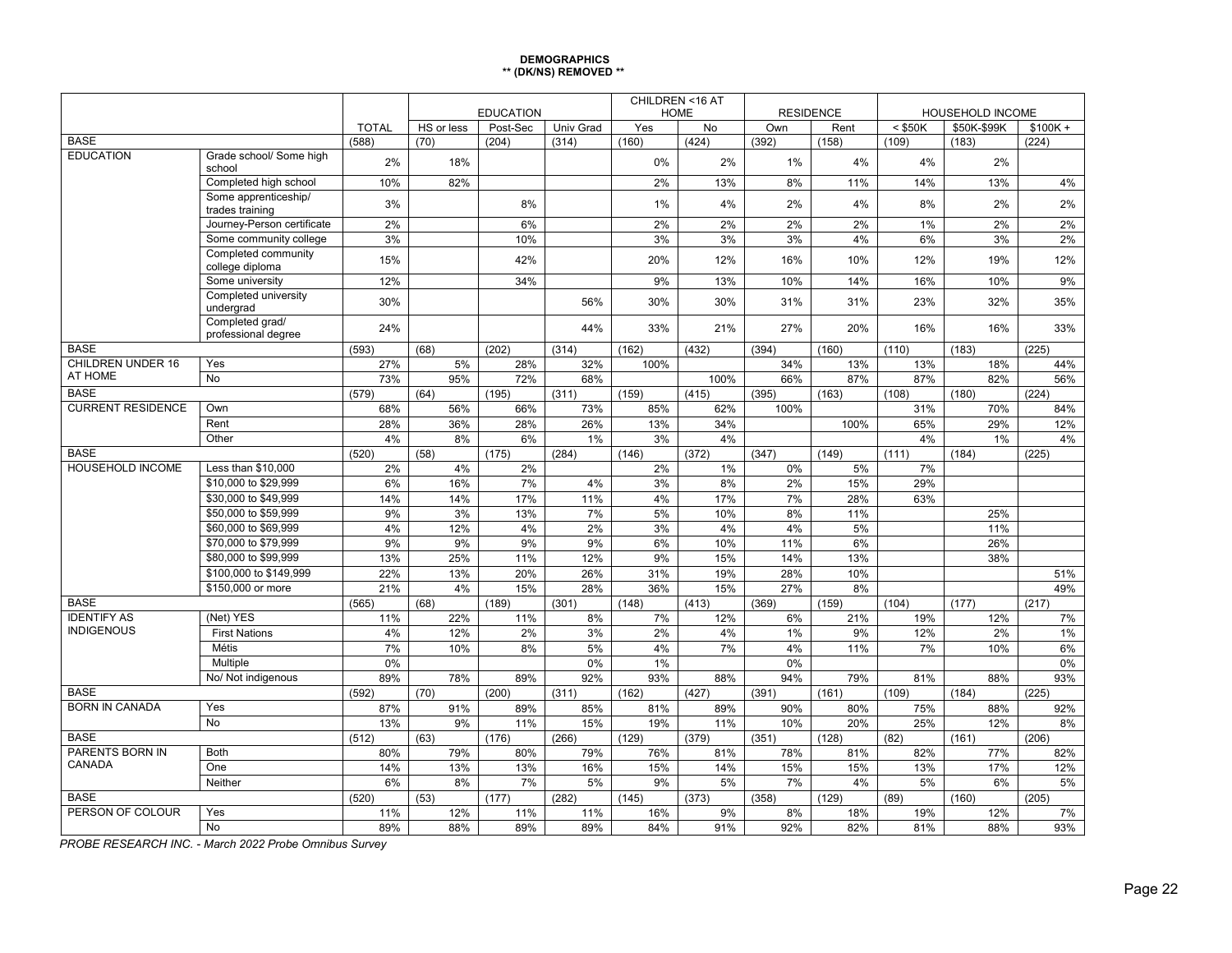#### **DEMOGRAPHICS \*\* (DK/NS) REMOVED \*\***

|                          |                                         |              |            |                  |           | CHILDREN <16 AT |       |       |                  |           |                         |           |
|--------------------------|-----------------------------------------|--------------|------------|------------------|-----------|-----------------|-------|-------|------------------|-----------|-------------------------|-----------|
|                          |                                         |              |            | <b>EDUCATION</b> |           | <b>HOME</b>     |       |       | <b>RESIDENCE</b> |           | <b>HOUSEHOLD INCOME</b> |           |
| <b>BASE</b>              |                                         | <b>TOTAL</b> | HS or less | Post-Sec         | Univ Grad | Yes             | No    | Own   | Rent             | $<$ \$50K | \$50K-\$99K             | $$100K +$ |
| <b>EDUCATION</b>         |                                         | (588)        | (70)       | (204)            | (314)     | (160)           | (424) | (392) | (158)            | (109)     | (183)                   | (224)     |
|                          | Grade school/ Some high<br>school       | 2%           | 18%        |                  |           | 0%              | 2%    | $1\%$ | 4%               | 4%        | 2%                      |           |
|                          | Completed high school                   | 10%          | 82%        |                  |           | 2%              | 13%   | 8%    | 11%              | 14%       | 13%                     | 4%        |
|                          | Some apprenticeship/<br>trades training | 3%           |            | 8%               |           | 1%              | 4%    | 2%    | 4%               | 8%        | 2%                      | 2%        |
|                          | Journey-Person certificate              | 2%           |            | 6%               |           | 2%              | 2%    | 2%    | 2%               | 1%        | 2%                      | 2%        |
|                          | Some community college                  | 3%           |            | 10%              |           | 3%              | 3%    | 3%    | 4%               | 6%        | 3%                      | 2%        |
|                          | Completed community<br>college diploma  | 15%          |            | 42%              |           | 20%             | 12%   | 16%   | 10%              | 12%       | 19%                     | 12%       |
|                          | Some university                         | 12%          |            | 34%              |           | 9%              | 13%   | 10%   | 14%              | 16%       | 10%                     | 9%        |
|                          | Completed university<br>undergrad       | 30%          |            |                  | 56%       | 30%             | 30%   | 31%   | 31%              | 23%       | 32%                     | 35%       |
|                          | Completed grad/<br>professional degree  | 24%          |            |                  | 44%       | 33%             | 21%   | 27%   | 20%              | 16%       | 16%                     | 33%       |
| <b>BASE</b>              |                                         | (593)        | (68)       | (202)            | (314)     | (162)           | (432) | (394) | (160)            | (110)     | (183)                   | (225)     |
| <b>CHILDREN UNDER 16</b> | Yes                                     | 27%          | 5%         | 28%              | 32%       | 100%            |       | 34%   | 13%              | 13%       | 18%                     | 44%       |
| AT HOME                  | <b>No</b>                               | 73%          | 95%        | 72%              | 68%       |                 | 100%  | 66%   | 87%              | 87%       | 82%                     | 56%       |
| <b>BASE</b>              |                                         | (579)        | (64)       | (195)            | (311)     | (159)           | (415) | (395) | (163)            | (108)     | (180)                   | (224)     |
| <b>CURRENT RESIDENCE</b> | Own                                     | 68%          | 56%        | 66%              | 73%       | 85%             | 62%   | 100%  |                  | 31%       | 70%                     | 84%       |
|                          | Rent                                    | 28%          | 36%        | 28%              | 26%       | 13%             | 34%   |       | 100%             | 65%       | 29%                     | 12%       |
|                          | Other                                   | 4%           | 8%         | 6%               | 1%        | 3%              | 4%    |       |                  | 4%        | 1%                      | 4%        |
| <b>BASE</b>              |                                         | (520)        | (58)       | (175)            | (284)     | (146)           | (372) | (347) | (149)            | (111)     | (184)                   | (225)     |
| <b>HOUSEHOLD INCOME</b>  | Less than \$10,000                      | 2%           | 4%         | 2%               |           | 2%              | 1%    | 0%    | 5%               | 7%        |                         |           |
|                          | \$10,000 to \$29,999                    | 6%           | 16%        | 7%               | 4%        | 3%              | 8%    | 2%    | 15%              | 29%       |                         |           |
|                          | \$30,000 to \$49,999                    | 14%          | 14%        | 17%              | 11%       | 4%              | 17%   | 7%    | 28%              | 63%       |                         |           |
|                          | \$50,000 to \$59.999                    | 9%           | 3%         | 13%              | 7%        | 5%              | 10%   | 8%    | 11%              |           | 25%                     |           |
|                          | \$60,000 to \$69.999                    | 4%           | 12%        | 4%               | 2%        | 3%              | 4%    | 4%    | 5%               |           | 11%                     |           |
|                          | \$70,000 to \$79,999                    | 9%           | 9%         | 9%               | 9%        | 6%              | 10%   | 11%   | 6%               |           | 26%                     |           |
|                          | \$80,000 to \$99,999                    | 13%          | 25%        | 11%              | 12%       | 9%              | 15%   | 14%   | 13%              |           | 38%                     |           |
|                          | \$100,000 to \$149.999                  | 22%          | 13%        | 20%              | 26%       | 31%             | 19%   | 28%   | 10%              |           |                         | 51%       |
|                          | \$150,000 or more                       | 21%          | 4%         | 15%              | 28%       | 36%             | 15%   | 27%   | 8%               |           |                         | 49%       |
| <b>BASE</b>              |                                         | (565)        | (68)       | (189)            | (301)     | (148)           | (413) | (369) | (159)            | (104)     | (177)                   | (217)     |
| <b>IDENTIFY AS</b>       | (Net) YES                               | 11%          | 22%        | 11%              | 8%        | 7%              | 12%   | 6%    | 21%              | 19%       | 12%                     | 7%        |
| <b>INDIGENOUS</b>        | <b>First Nations</b>                    | 4%           | 12%        | 2%               | 3%        | 2%              | 4%    | 1%    | 9%               | 12%       | 2%                      | 1%        |
|                          | Métis                                   | 7%           | 10%        | 8%               | 5%        | 4%              | 7%    | 4%    | 11%              | 7%        | 10%                     | 6%        |
|                          | Multiple                                | 0%           |            |                  | 0%        | 1%              |       | 0%    |                  |           |                         | 0%        |
|                          | No/ Not indigenous                      | 89%          | 78%        | 89%              | 92%       | 93%             | 88%   | 94%   | 79%              | 81%       | 88%                     | 93%       |
| <b>BASE</b>              |                                         | (592)        | (70)       | (200)            | (311)     | (162)           | (427) | (391) | (161)            | (109)     | (184)                   | (225)     |
| <b>BORN IN CANADA</b>    | Yes                                     | 87%          | 91%        | 89%              | 85%       | 81%             | 89%   | 90%   | 80%              | 75%       | 88%                     | 92%       |
|                          | <b>No</b>                               | 13%          | 9%         | 11%              | 15%       | 19%             | 11%   | 10%   | 20%              | 25%       | 12%                     | 8%        |
| <b>BASE</b>              |                                         | (512)        | (63)       | (176)            | (266)     | (129)           | (379) | (351) | (128)            | (82)      | (161)                   | (206)     |
| PARENTS BORN IN          | <b>Both</b>                             | 80%          | 79%        | 80%              | 79%       | 76%             | 81%   | 78%   | 81%              | 82%       | 77%                     | 82%       |
| CANADA                   | One                                     | 14%          | 13%        | 13%              | 16%       | 15%             | 14%   | 15%   | 15%              | 13%       | 17%                     | 12%       |
|                          | Neither                                 | 6%           | 8%         | 7%               | 5%        | 9%              | 5%    | 7%    | 4%               | 5%        | 6%                      | 5%        |
| <b>BASE</b>              |                                         | (520)        | (53)       | (177)            | (282)     | (145)           | (373) | (358) | (129)            | (89)      | (160)                   | (205)     |
| PERSON OF COLOUR         | Yes                                     | 11%          | 12%        | 11%              | 11%       | 16%             | 9%    | 8%    | 18%              | 19%       | 12%                     | 7%        |
|                          | <b>No</b>                               | 89%          | 88%        | 89%              | 89%       | 84%             | 91%   | 92%   | 82%              | 81%       | 88%                     | 93%       |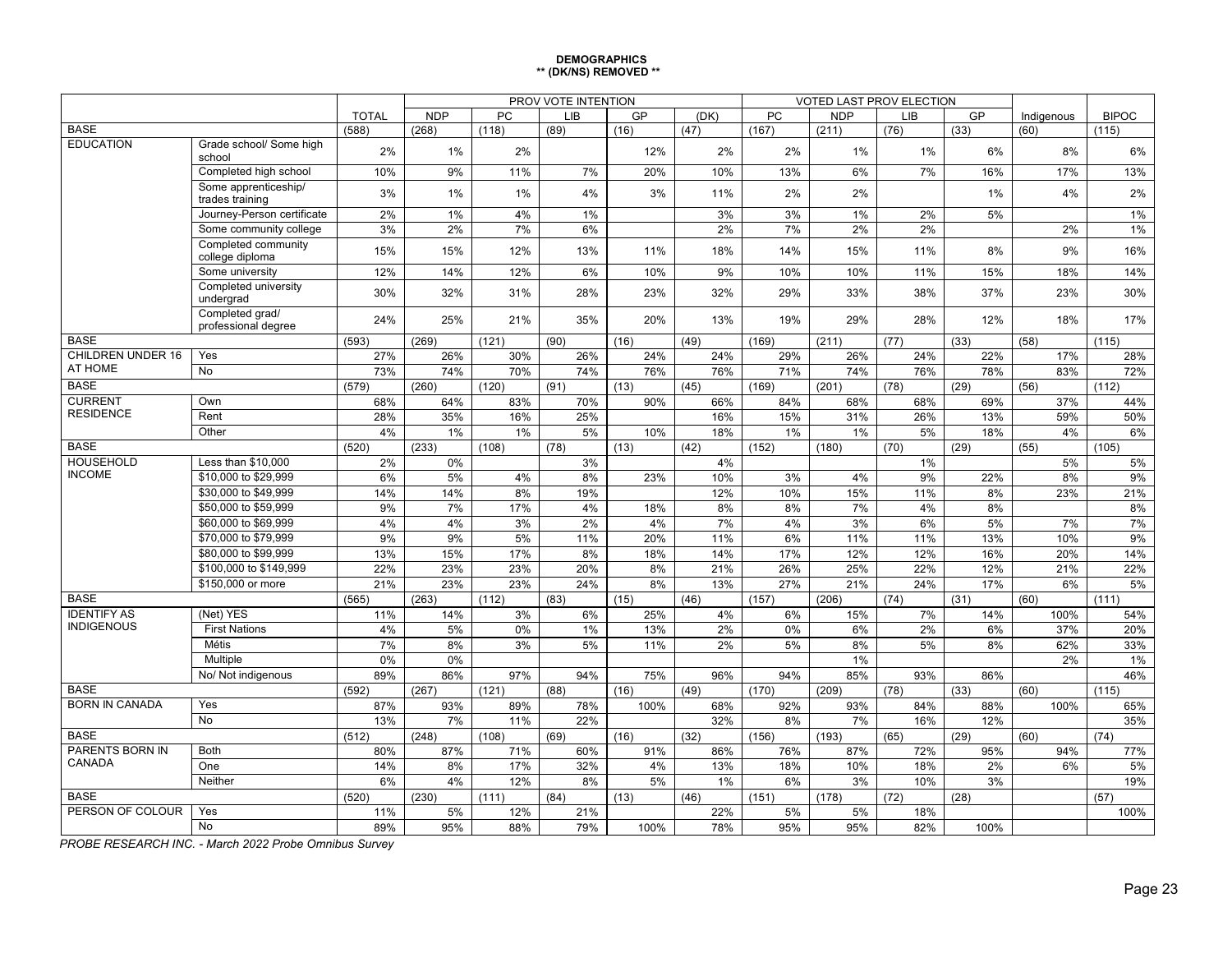#### **DEMOGRAPHICS \*\* (DK/NS) REMOVED \*\***

|                           |                                         |              |            |       | PROV VOTE INTENTION |      |      |           |            | <b>VOTED LAST PROV ELECTION</b> |      |            |              |
|---------------------------|-----------------------------------------|--------------|------------|-------|---------------------|------|------|-----------|------------|---------------------------------|------|------------|--------------|
|                           |                                         | <b>TOTAL</b> | <b>NDP</b> | PC    | <b>LIB</b>          | GP   | (DK) | <b>PC</b> | <b>NDP</b> | <b>LIB</b>                      | GP   | Indigenous | <b>BIPOC</b> |
| <b>BASE</b>               |                                         | (588)        | (268)      | (118) | (89)                | (16) | (47) | (167)     | (211)      | (76)                            | (33) | (60)       | (115)        |
| <b>EDUCATION</b>          | Grade school/ Some high<br>school       | 2%           | 1%         | 2%    |                     | 12%  | 2%   | 2%        | 1%         | $1\%$                           | 6%   | 8%         | 6%           |
|                           | Completed high school                   | 10%          | 9%         | 11%   | 7%                  | 20%  | 10%  | 13%       | 6%         | 7%                              | 16%  | 17%        | 13%          |
|                           | Some apprenticeship/<br>trades training | 3%           | 1%         | 1%    | 4%                  | 3%   | 11%  | 2%        | 2%         |                                 | 1%   | 4%         | 2%           |
|                           | Journey-Person certificate              | 2%           | 1%         | 4%    | 1%                  |      | 3%   | 3%        | 1%         | 2%                              | 5%   |            | 1%           |
|                           | Some community college                  | 3%           | 2%         | 7%    | 6%                  |      | 2%   | 7%        | 2%         | 2%                              |      | 2%         | 1%           |
|                           | Completed community<br>college diploma  | 15%          | 15%        | 12%   | 13%                 | 11%  | 18%  | 14%       | 15%        | 11%                             | 8%   | 9%         | 16%          |
|                           | Some university                         | 12%          | 14%        | 12%   | 6%                  | 10%  | 9%   | 10%       | 10%        | 11%                             | 15%  | 18%        | 14%          |
|                           | Completed university<br>undergrad       | 30%          | 32%        | 31%   | 28%                 | 23%  | 32%  | 29%       | 33%        | 38%                             | 37%  | 23%        | 30%          |
|                           | Completed grad/<br>professional degree  | 24%          | 25%        | 21%   | 35%                 | 20%  | 13%  | 19%       | 29%        | 28%                             | 12%  | 18%        | 17%          |
| <b>BASE</b>               |                                         | (593)        | (269)      | (121) | (90)                | (16) | (49) | (169)     | (211)      | (77)                            | (33) | (58)       | (115)        |
| <b>CHILDREN UNDER 16</b>  | Yes                                     | 27%          | 26%        | 30%   | 26%                 | 24%  | 24%  | 29%       | 26%        | 24%                             | 22%  | 17%        | 28%          |
| AT HOME                   | <b>No</b>                               | 73%          | 74%        | 70%   | 74%                 | 76%  | 76%  | 71%       | 74%        | 76%                             | 78%  | 83%        | 72%          |
| <b>BASE</b>               |                                         | (579)        | (260)      | (120) | (91)                | (13) | (45) | (169)     | (201)      | (78)                            | (29) | (56)       | (112)        |
| <b>CURRENT</b>            | Own                                     | 68%          | 64%        | 83%   | 70%                 | 90%  | 66%  | 84%       | 68%        | 68%                             | 69%  | 37%        | 44%          |
| <b>RESIDENCE</b>          | Rent                                    | 28%          | 35%        | 16%   | 25%                 |      | 16%  | 15%       | 31%        | 26%                             | 13%  | 59%        | 50%          |
|                           | Other                                   | 4%           | 1%         | 1%    | 5%                  | 10%  | 18%  | 1%        | 1%         | 5%                              | 18%  | 4%         | $6\%$        |
| <b>BASE</b>               |                                         | (520)        | (233)      | (108) | (78)                | (13) | (42) | (152)     | (180)      | (70)                            | (29) | (55)       | (105)        |
| <b>HOUSEHOLD</b>          | Less than \$10,000                      | 2%           | 0%         |       | 3%                  |      | 4%   |           |            | 1%                              |      | 5%         | 5%           |
| <b>INCOME</b>             | \$10,000 to \$29,999                    | 6%           | 5%         | 4%    | 8%                  | 23%  | 10%  | 3%        | 4%         | 9%                              | 22%  | 8%         | 9%           |
|                           | \$30,000 to \$49,999                    | 14%          | 14%        | 8%    | 19%                 |      | 12%  | 10%       | 15%        | 11%                             | 8%   | 23%        | 21%          |
|                           | \$50,000 to \$59,999                    | 9%           | 7%         | 17%   | 4%                  | 18%  | 8%   | 8%        | 7%         | 4%                              | 8%   |            | 8%           |
|                           | \$60,000 to \$69,999                    | 4%           | 4%         | 3%    | 2%                  | 4%   | 7%   | 4%        | 3%         | 6%                              | 5%   | 7%         | 7%           |
|                           | \$70,000 to \$79,999                    | 9%           | 9%         | 5%    | 11%                 | 20%  | 11%  | 6%        | 11%        | 11%                             | 13%  | 10%        | 9%           |
|                           | \$80,000 to \$99,999                    | 13%          | 15%        | 17%   | 8%                  | 18%  | 14%  | 17%       | 12%        | 12%                             | 16%  | 20%        | 14%          |
|                           | \$100,000 to \$149.999                  | 22%          | 23%        | 23%   | 20%                 | 8%   | 21%  | 26%       | 25%        | 22%                             | 12%  | 21%        | 22%          |
|                           | \$150,000 or more                       | 21%          | 23%        | 23%   | 24%                 | 8%   | 13%  | 27%       | 21%        | 24%                             | 17%  | 6%         | 5%           |
| <b>BASE</b>               |                                         | (565)        | (263)      | (112) | (83)                | (15) | (46) | (157)     | (206)      | (74)                            | (31) | (60)       | (111)        |
| <b>IDENTIFY AS</b>        | (Net) YES                               | 11%          | 14%        | 3%    | 6%                  | 25%  | 4%   | 6%        | 15%        | 7%                              | 14%  | 100%       | 54%          |
| <b>INDIGENOUS</b>         | <b>First Nations</b>                    | 4%           | 5%         | $0\%$ | 1%                  | 13%  | 2%   | 0%        | 6%         | 2%                              | 6%   | 37%        | 20%          |
|                           | Métis                                   | 7%           | 8%         | 3%    | 5%                  | 11%  | 2%   | 5%        | 8%         | 5%                              | 8%   | 62%        | 33%          |
|                           | Multiple                                | 0%           | 0%         |       |                     |      |      |           | 1%         |                                 |      | 2%         | 1%           |
|                           | No/ Not indigenous                      | 89%          | 86%        | 97%   | 94%                 | 75%  | 96%  | 94%       | 85%        | 93%                             | 86%  |            | 46%          |
| <b>BASE</b>               |                                         | (592)        | (267)      | (121) | (88)                | (16) | (49) | (170)     | (209)      | (78)                            | (33) | (60)       | (115)        |
| <b>BORN IN CANADA</b>     | Yes                                     | 87%          | 93%        | 89%   | 78%                 | 100% | 68%  | 92%       | 93%        | 84%                             | 88%  | 100%       | 65%          |
|                           | N <sub>o</sub>                          | 13%          | 7%         | 11%   | 22%                 |      | 32%  | 8%        | 7%         | 16%                             | 12%  |            | 35%          |
| <b>BASE</b>               |                                         | (512)        | (248)      | (108) | (69)                | (16) | (32) | (156)     | (193)      | (65)                            | (29) | (60)       | (74)         |
| PARENTS BORN IN<br>CANADA | <b>Both</b>                             | 80%          | 87%        | 71%   | 60%                 | 91%  | 86%  | 76%       | 87%        | 72%                             | 95%  | 94%        | 77%          |
|                           | One                                     | 14%          | 8%         | 17%   | 32%                 | 4%   | 13%  | 18%       | 10%        | 18%                             | 2%   | 6%         | 5%           |
|                           | Neither                                 | 6%           | 4%         | 12%   | 8%                  | 5%   | 1%   | 6%        | 3%         | 10%                             | 3%   |            | 19%          |
| <b>BASE</b>               |                                         | (520)        | (230)      | (111) | (84)                | (13) | (46) | (151)     | (178)      | (72)                            | (28) |            | (57)         |
| PERSON OF COLOUR          | Yes                                     | 11%          | 5%         | 12%   | 21%                 |      | 22%  | 5%        | 5%         | 18%                             |      |            | 100%         |
|                           | $\overline{No}$                         | 89%          | 95%        | 88%   | 79%                 | 100% | 78%  | 95%       | 95%        | 82%                             | 100% |            |              |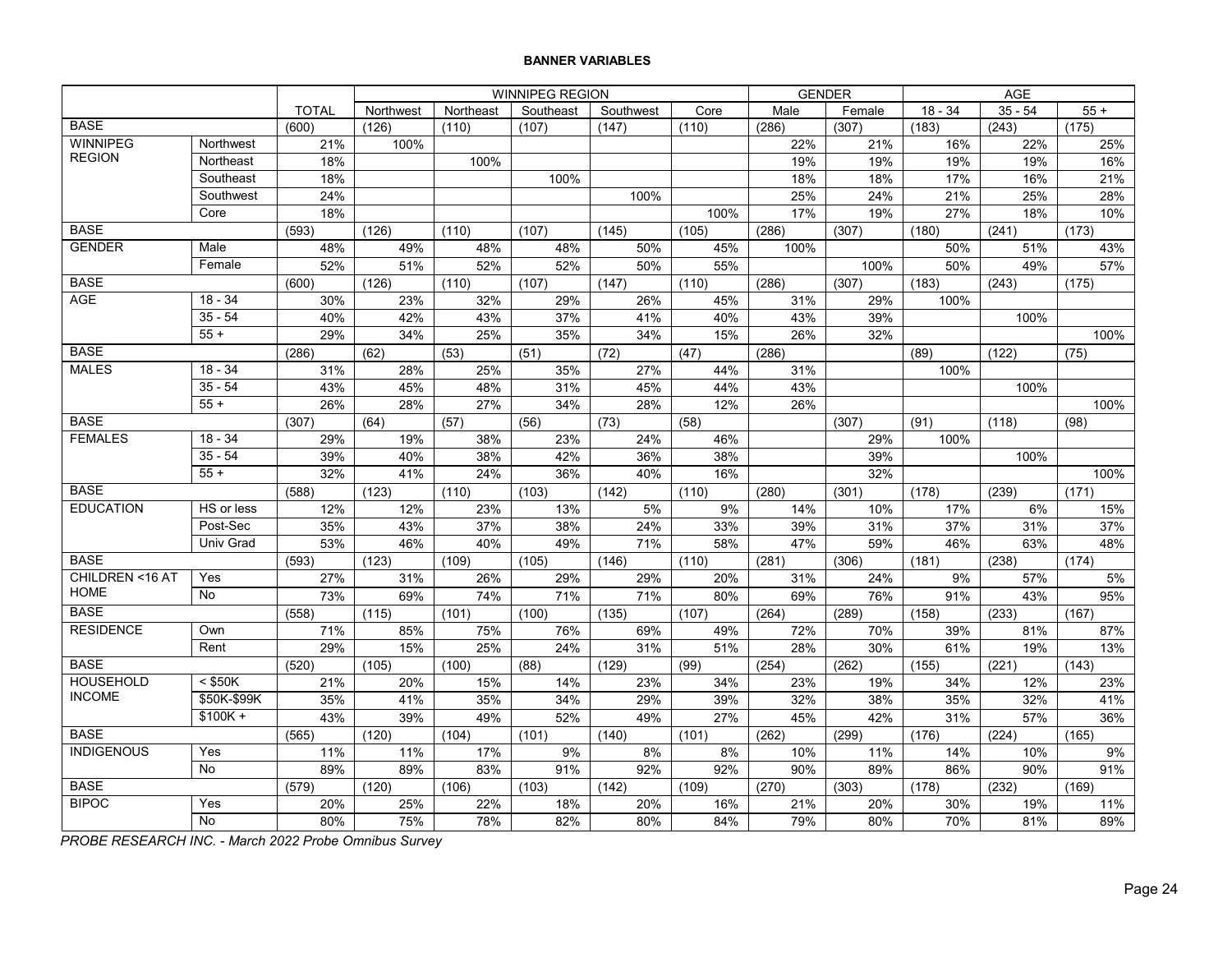|                   |             |              |           |           | WINNIPEG REGION |           |       | <b>GENDER</b> |        |           | AGE       |       |
|-------------------|-------------|--------------|-----------|-----------|-----------------|-----------|-------|---------------|--------|-----------|-----------|-------|
|                   |             | <b>TOTAL</b> | Northwest | Northeast | Southeast       | Southwest | Core  | Male          | Female | $18 - 34$ | $35 - 54$ | $55+$ |
| <b>BASE</b>       |             | (600)        | (126)     | (110)     | (107)           | (147)     | (110) | (286)         | (307)  | (183)     | (243)     | (175) |
| <b>WINNIPEG</b>   | Northwest   | 21%          | 100%      |           |                 |           |       | 22%           | 21%    | 16%       | 22%       | 25%   |
| <b>REGION</b>     | Northeast   | 18%          |           | 100%      |                 |           |       | 19%           | 19%    | 19%       | 19%       | 16%   |
|                   | Southeast   | 18%          |           |           | 100%            |           |       | 18%           | 18%    | 17%       | 16%       | 21%   |
|                   | Southwest   | 24%          |           |           |                 | 100%      |       | 25%           | 24%    | 21%       | 25%       | 28%   |
|                   | Core        | 18%          |           |           |                 |           | 100%  | 17%           | 19%    | 27%       | 18%       | 10%   |
| <b>BASE</b>       |             | (593)        | (126)     | (110)     | (107)           | (145)     | (105) | (286)         | (307)  | (180)     | (241)     | (173) |
| <b>GENDER</b>     | Male        | 48%          | 49%       | 48%       | 48%             | 50%       | 45%   | 100%          |        | 50%       | 51%       | 43%   |
|                   | Female      | 52%          | 51%       | 52%       | 52%             | 50%       | 55%   |               | 100%   | 50%       | 49%       | 57%   |
| <b>BASE</b>       |             | (600)        | (126)     | (110)     | (107)           | (147)     | (110) | (286)         | (307)  | (183)     | (243)     | (175) |
| <b>AGE</b>        | $18 - 34$   | 30%          | 23%       | 32%       | 29%             | 26%       | 45%   | 31%           | 29%    | 100%      |           |       |
|                   | $35 - 54$   | 40%          | 42%       | 43%       | 37%             | 41%       | 40%   | 43%           | 39%    |           | 100%      |       |
|                   | $55 +$      | 29%          | 34%       | 25%       | 35%             | 34%       | 15%   | 26%           | 32%    |           |           | 100%  |
| <b>BASE</b>       |             | (286)        | (62)      | (53)      | (51)            | (72)      | (47)  | (286)         |        | (89)      | (122)     | (75)  |
| <b>MALES</b>      | $18 - 34$   | 31%          | 28%       | 25%       | 35%             | 27%       | 44%   | 31%           |        | 100%      |           |       |
|                   | $35 - 54$   | 43%          | 45%       | 48%       | 31%             | 45%       | 44%   | 43%           |        |           | 100%      |       |
|                   | $55+$       | 26%          | 28%       | 27%       | 34%             | 28%       | 12%   | 26%           |        |           |           | 100%  |
| <b>BASE</b>       |             | (307)        | (64)      | (57)      | (56)            | (73)      | (58)  |               | (307)  | (91)      | (118)     | (98)  |
| <b>FEMALES</b>    | $18 - 34$   | 29%          | 19%       | 38%       | 23%             | 24%       | 46%   |               | 29%    | 100%      |           |       |
|                   | $35 - 54$   | 39%          | 40%       | 38%       | 42%             | 36%       | 38%   |               | 39%    |           | 100%      |       |
|                   | $55 +$      | 32%          | 41%       | 24%       | 36%             | 40%       | 16%   |               | 32%    |           |           | 100%  |
| <b>BASE</b>       |             | (588)        | (123)     | (110)     | (103)           | (142)     | (110) | (280)         | (301)  | (178)     | (239)     | (171) |
| <b>EDUCATION</b>  | HS or less  | 12%          | 12%       | 23%       | 13%             | 5%        | 9%    | 14%           | 10%    | 17%       | 6%        | 15%   |
|                   | Post-Sec    | 35%          | 43%       | 37%       | 38%             | 24%       | 33%   | 39%           | 31%    | 37%       | 31%       | 37%   |
|                   | Univ Grad   | 53%          | 46%       | 40%       | 49%             | 71%       | 58%   | 47%           | 59%    | 46%       | 63%       | 48%   |
| <b>BASE</b>       |             | (593)        | (123)     | (109)     | (105)           | (146)     | (110) | (281)         | (306)  | (181)     | (238)     | (174) |
| CHILDREN <16 AT   | Yes         | 27%          | 31%       | 26%       | 29%             | 29%       | 20%   | 31%           | 24%    | 9%        | 57%       | 5%    |
| <b>HOME</b>       | <b>No</b>   | 73%          | 69%       | 74%       | 71%             | 71%       | 80%   | 69%           | 76%    | 91%       | 43%       | 95%   |
| <b>BASE</b>       |             | (558)        | (115)     | (101)     | (100)           | (135)     | (107) | (264)         | (289)  | (158)     | (233)     | (167) |
| <b>RESIDENCE</b>  | Own         | 71%          | 85%       | 75%       | 76%             | 69%       | 49%   | 72%           | 70%    | 39%       | 81%       | 87%   |
|                   | Rent        | 29%          | 15%       | 25%       | 24%             | 31%       | 51%   | 28%           | 30%    | 61%       | 19%       | 13%   |
| <b>BASE</b>       |             | (520)        | (105)     | (100)     | (88)            | (129)     | (99)  | (254)         | (262)  | (155)     | (221)     | (143) |
| <b>HOUSEHOLD</b>  | $<$ \$50K   | 21%          | 20%       | 15%       | 14%             | 23%       | 34%   | 23%           | 19%    | 34%       | 12%       | 23%   |
| <b>INCOME</b>     | \$50K-\$99K | 35%          | 41%       | 35%       | 34%             | 29%       | 39%   | 32%           | 38%    | 35%       | 32%       | 41%   |
|                   | $$100K +$   | 43%          | 39%       | 49%       | 52%             | 49%       | 27%   | 45%           | 42%    | 31%       | 57%       | 36%   |
| <b>BASE</b>       |             | (565)        | (120)     | (104)     | (101)           | (140)     | (101) | (262)         | (299)  | (176)     | (224)     | (165) |
| <b>INDIGENOUS</b> | Yes         | 11%          | 11%       | 17%       | 9%              | 8%        | 8%    | 10%           | 11%    | 14%       | 10%       | 9%    |
|                   | <b>No</b>   | 89%          | 89%       | 83%       | 91%             | 92%       | 92%   | 90%           | 89%    | 86%       | 90%       | 91%   |
| <b>BASE</b>       |             | (579)        | (120)     | (106)     | (103)           | (142)     | (109) | (270)         | (303)  | (178)     | (232)     | (169) |
| <b>BIPOC</b>      | Yes         | 20%          | 25%       | 22%       | 18%             | 20%       | 16%   | 21%           | 20%    | 30%       | 19%       | 11%   |
|                   | No          | 80%          | 75%       | 78%       | 82%             | 80%       | 84%   | 79%           | 80%    | 70%       | 81%       | 89%   |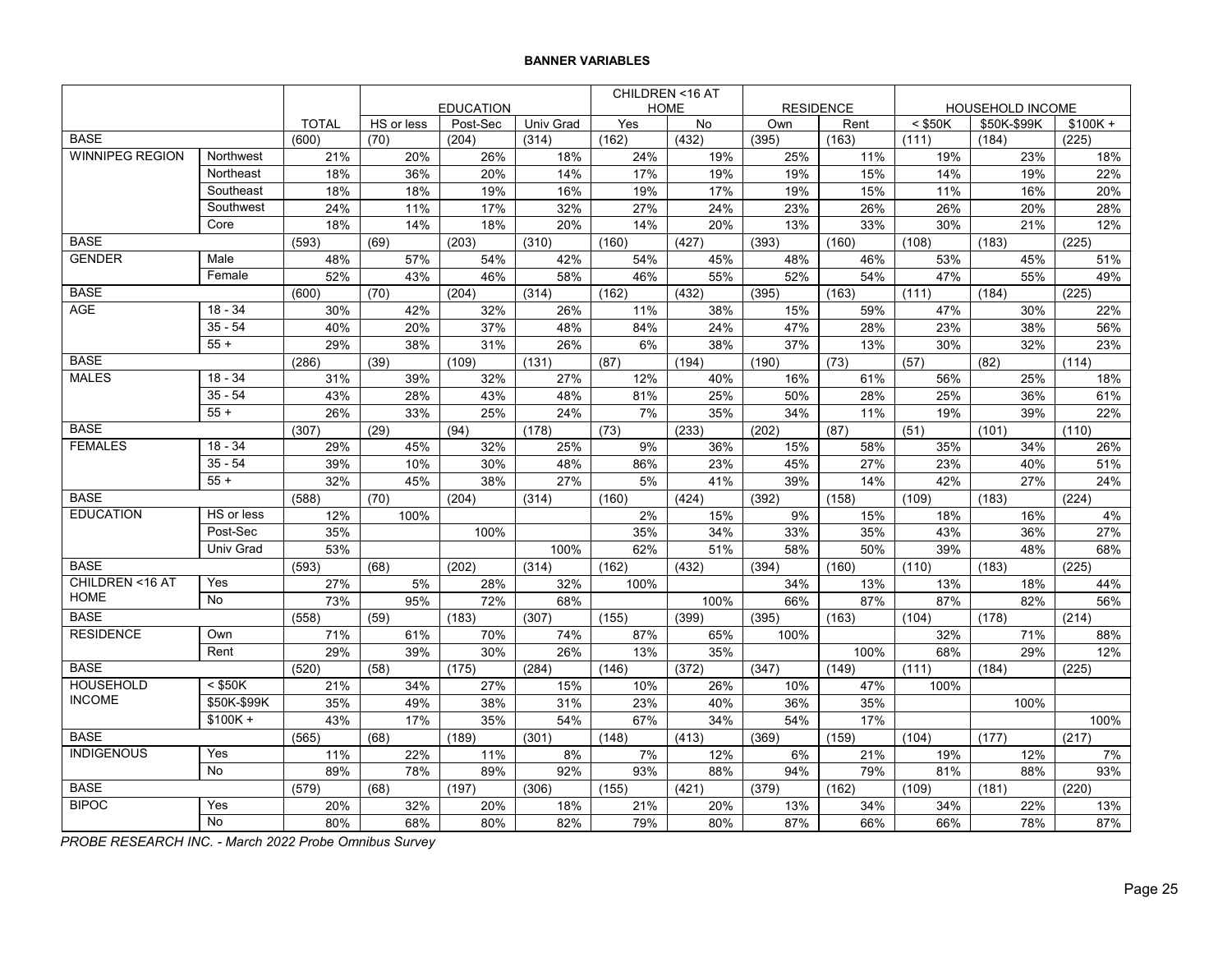|                        |                      |              |            |                  |                  | CHILDREN <16 AT |       |                  |       |           |                  |           |  |
|------------------------|----------------------|--------------|------------|------------------|------------------|-----------------|-------|------------------|-------|-----------|------------------|-----------|--|
|                        |                      |              |            | <b>EDUCATION</b> |                  | <b>HOME</b>     |       | <b>RESIDENCE</b> |       |           | HOUSEHOLD INCOME |           |  |
|                        |                      | <b>TOTAL</b> | HS or less | Post-Sec         | <b>Univ Grad</b> | Yes             | No    | Own              | Rent  | $<$ \$50K | \$50K-\$99K      | $$100K +$ |  |
| <b>BASE</b>            |                      | (600)        | (70)       | (204)            | (314)            | (162)           | (432) | (395)            | (163) | (111)     | (184)            | (225)     |  |
| <b>WINNIPEG REGION</b> | Northwest            | 21%          | 20%        | 26%              | 18%              | 24%             | 19%   | 25%              | 11%   | 19%       | 23%              | 18%       |  |
|                        | Northeast            | 18%          | 36%        | 20%              | 14%              | 17%             | 19%   | 19%              | 15%   | 14%       | 19%              | 22%       |  |
|                        | Southeast            | 18%          | 18%        | 19%              | 16%              | 19%             | 17%   | 19%              | 15%   | 11%       | 16%              | 20%       |  |
|                        | Southwest            | 24%          | 11%        | 17%              | 32%              | 27%             | 24%   | 23%              | 26%   | 26%       | 20%              | 28%       |  |
|                        | Core                 | 18%          | 14%        | 18%              | 20%              | 14%             | 20%   | 13%              | 33%   | 30%       | 21%              | 12%       |  |
| <b>BASE</b>            |                      | (593)        | (69)       | (203)            | (310)            | (160)           | (427) | (393)            | (160) | (108)     | (183)            | (225)     |  |
| <b>GENDER</b>          | Male                 | 48%          | 57%        | 54%              | 42%              | 54%             | 45%   | 48%              | 46%   | 53%       | 45%              | 51%       |  |
|                        | Female               | 52%          | 43%        | 46%              | 58%              | 46%             | 55%   | 52%              | 54%   | 47%       | 55%              | 49%       |  |
| <b>BASE</b>            |                      | (600)        | (70)       | (204)            | (314)            | (162)           | (432) | (395)            | (163) | (111)     | (184)            | (225)     |  |
| <b>AGE</b>             | $18 - 34$            | 30%          | 42%        | 32%              | 26%              | 11%             | 38%   | 15%              | 59%   | 47%       | 30%              | 22%       |  |
|                        | $35 - 54$            | 40%          | 20%        | 37%              | 48%              | 84%             | 24%   | 47%              | 28%   | 23%       | 38%              | 56%       |  |
|                        | $55 +$               | 29%          | 38%        | 31%              | 26%              | 6%              | 38%   | 37%              | 13%   | 30%       | 32%              | 23%       |  |
| <b>BASE</b>            |                      | (286)        | (39)       | (109)            | (131)            | (87)            | (194) | (190)            | (73)  | (57)      | (82)             | (114)     |  |
| <b>MALES</b>           | $18 - 34$            | 31%          | 39%        | 32%              | 27%              | 12%             | 40%   | 16%              | 61%   | 56%       | 25%              | 18%       |  |
|                        | $35 - 54$            | 43%          | 28%        | 43%              | 48%              | 81%             | 25%   | 50%              | 28%   | 25%       | 36%              | 61%       |  |
|                        | $55 +$               | 26%          | 33%        | 25%              | 24%              | 7%              | 35%   | 34%              | 11%   | 19%       | 39%              | 22%       |  |
| <b>BASE</b>            |                      | (307)        | (29)       | (94)             | (178)            | (73)            | (233) | (202)            | (87)  | (51)      | (101)            | (110)     |  |
| <b>FEMALES</b>         | $18 - 34$            | 29%          | 45%        | 32%              | 25%              | 9%              | 36%   | 15%              | 58%   | 35%       | 34%              | 26%       |  |
|                        | $35 - 54$            | 39%          | 10%        | 30%              | 48%              | 86%             | 23%   | 45%              | 27%   | 23%       | 40%              | 51%       |  |
|                        | $55+$                | 32%          | 45%        | 38%              | 27%              | 5%              | 41%   | 39%              | 14%   | 42%       | 27%              | 24%       |  |
| <b>BASE</b>            |                      | (588)        | (70)       | (204)            | (314)            | (160)           | (424) | (392)            | (158) | (109)     | (183)            | (224)     |  |
| <b>EDUCATION</b>       | HS or less           | 12%          | 100%       |                  |                  | 2%              | 15%   | 9%               | 15%   | 18%       | 16%              | 4%        |  |
|                        | Post-Sec             | 35%          |            | 100%             |                  | 35%             | 34%   | 33%              | 35%   | 43%       | 36%              | 27%       |  |
|                        | <b>Univ Grad</b>     | 53%          |            |                  | 100%             | 62%             | 51%   | 58%              | 50%   | 39%       | 48%              | 68%       |  |
| <b>BASE</b>            |                      | (593)        | (68)       | (202)            | (314)            | (162)           | (432) | (394)            | (160) | (110)     | (183)            | (225)     |  |
| CHILDREN <16 AT        | Yes                  | 27%          | 5%         | 28%              | 32%              | 100%            |       | 34%              | 13%   | 13%       | 18%              | 44%       |  |
| <b>HOME</b>            | <b>No</b>            | 73%          | 95%        | 72%              | 68%              |                 | 100%  | 66%              | 87%   | 87%       | 82%              | 56%       |  |
| <b>BASE</b>            |                      | (558)        | (59)       | (183)            | (307)            | (155)           | (399) | (395)            | (163) | (104)     | (178)            | (214)     |  |
| <b>RESIDENCE</b>       | Own                  | 71%          | 61%        | 70%              | 74%              | 87%             | 65%   | 100%             |       | 32%       | 71%              | 88%       |  |
|                        | Rent                 | 29%          | 39%        | 30%              | 26%              | 13%             | 35%   |                  | 100%  | 68%       | 29%              | 12%       |  |
| <b>BASE</b>            |                      | (520)        | (58)       | (175)            | (284)            | (146)           | (372) | (347)            | (149) | (111)     | (184)            | (225)     |  |
| <b>HOUSEHOLD</b>       | $<$ \$50K            | 21%          | 34%        | 27%              | 15%              | 10%             | 26%   | 10%              | 47%   | 100%      |                  |           |  |
| <b>INCOME</b>          | \$50K-\$99K          | 35%          | 49%        | 38%              | 31%              | 23%             | 40%   | 36%              | 35%   |           | 100%             |           |  |
|                        | $\overline{\$100K +$ | 43%          | 17%        | 35%              | 54%              | 67%             | 34%   | 54%              | 17%   |           |                  | 100%      |  |
| <b>BASE</b>            |                      | (565)        | (68)       | (189)            | (301)            | (148)           | (413) | (369)            | (159) | (104)     | (177)            | (217)     |  |
| <b>INDIGENOUS</b>      | Yes                  | 11%          | 22%        | 11%              | 8%               | 7%              | 12%   | 6%               | 21%   | 19%       | 12%              | 7%        |  |
|                        | <b>No</b>            | 89%          | 78%        | 89%              | 92%              | 93%             | 88%   | 94%              | 79%   | 81%       | 88%              | 93%       |  |
| <b>BASE</b>            |                      | (579)        | (68)       | (197)            | (306)            | (155)           | (421) | (379)            | (162) | (109)     | (181)            | (220)     |  |
| <b>BIPOC</b>           | Yes                  | 20%          | 32%        | 20%              | 18%              | 21%             | 20%   | 13%              | 34%   | 34%       | 22%              | 13%       |  |
|                        | <b>No</b>            | 80%          | 68%        | 80%              | 82%              | 79%             | 80%   | 87%              | 66%   | 66%       | 78%              | 87%       |  |